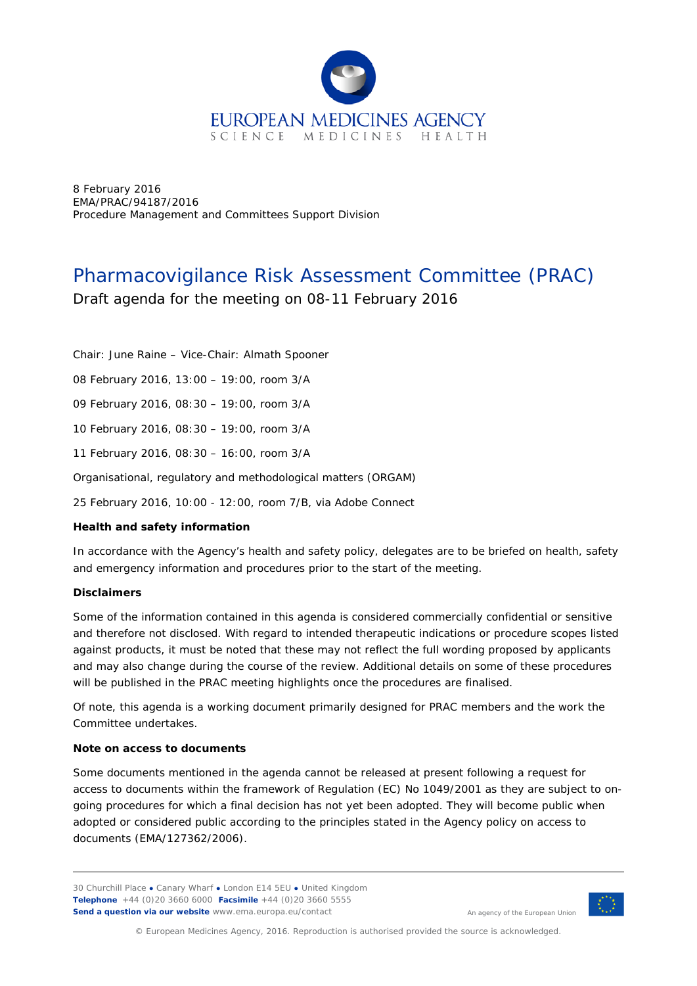

8 February 2016 EMA/PRAC/94187/2016 Procedure Management and Committees Support Division

# Pharmacovigilance Risk Assessment Committee (PRAC)

Draft agenda for the meeting on 08-11 February 2016

Chair: June Raine – Vice-Chair: Almath Spooner

08 February 2016, 13:00 – 19:00, room 3/A

09 February 2016, 08:30 – 19:00, room 3/A

10 February 2016, 08:30 – 19:00, room 3/A

11 February 2016, 08:30 – 16:00, room 3/A

Organisational, regulatory and methodological matters (ORGAM)

25 February 2016, 10:00 - 12:00, room 7/B, via Adobe Connect

### **Health and safety information**

In accordance with the Agency's health and safety policy, delegates are to be briefed on health, safety and emergency information and procedures prior to the start of the meeting.

### **Disclaimers**

Some of the information contained in this agenda is considered commercially confidential or sensitive and therefore not disclosed. With regard to intended therapeutic indications or procedure scopes listed against products, it must be noted that these may not reflect the full wording proposed by applicants and may also change during the course of the review. Additional details on some of these procedures will be published in the [PRAC meeting highlights](http://www.ema.europa.eu/ema/index.jsp?curl=pages/about_us/general/general_content_000508.jsp&mid=WC0b01ac0580028d2a) once the procedures are finalised.

Of note, this agenda is a working document primarily designed for PRAC members and the work the Committee undertakes.

#### **Note on access to documents**

Some documents mentioned in the agenda cannot be released at present following a request for access to documents within the framework of Regulation (EC) No 1049/2001 as they are subject to ongoing procedures for which a final decision has not yet been adopted. They will become public when adopted or considered public according to the principles stated in the Agency policy on access to documents (EMA/127362/2006).

30 Churchill Place **●** Canary Wharf **●** London E14 5EU **●** United Kingdom **Telephone** +44 (0)20 3660 6000 **Facsimile** +44 (0)20 3660 5555 **Send a question via our website** www.ema.europa.eu/contact



An agency of the European Union

© European Medicines Agency, 2016. Reproduction is authorised provided the source is acknowledged.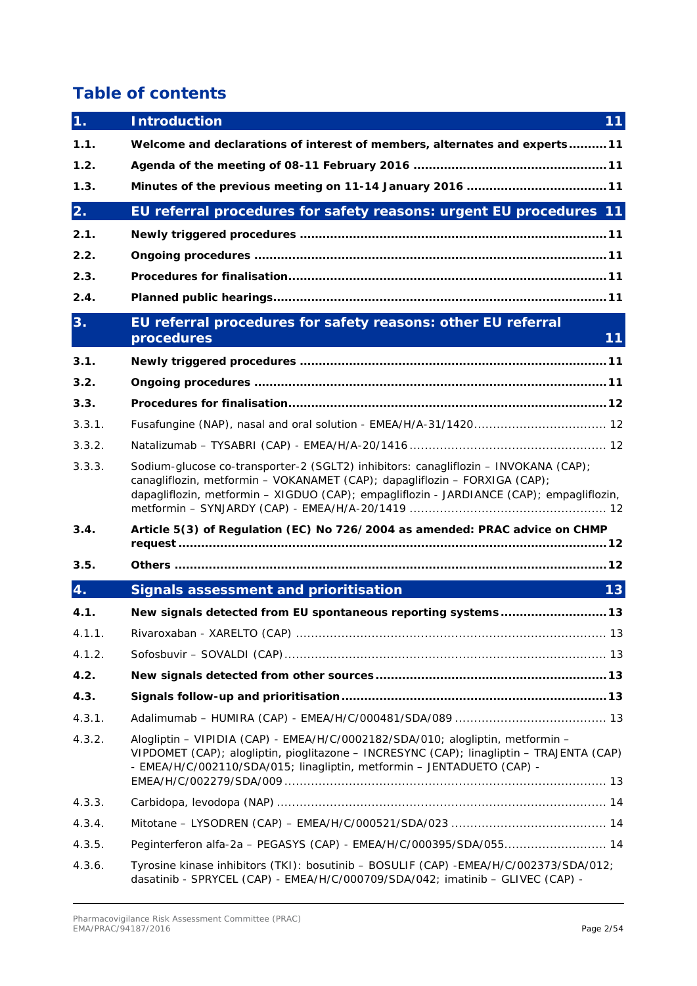# **Table of contents**

| 1.     | <b>Introduction</b>                                                                                                                                                                                                                                           | 11 |
|--------|---------------------------------------------------------------------------------------------------------------------------------------------------------------------------------------------------------------------------------------------------------------|----|
| 1.1.   | Welcome and declarations of interest of members, alternates and experts 11                                                                                                                                                                                    |    |
| 1.2.   |                                                                                                                                                                                                                                                               |    |
| 1.3.   | Minutes of the previous meeting on 11-14 January 2016  11                                                                                                                                                                                                     |    |
| 2.     | EU referral procedures for safety reasons: urgent EU procedures 11                                                                                                                                                                                            |    |
| 2.1.   |                                                                                                                                                                                                                                                               |    |
| 2.2.   |                                                                                                                                                                                                                                                               |    |
| 2.3.   |                                                                                                                                                                                                                                                               |    |
| 2.4.   |                                                                                                                                                                                                                                                               |    |
| 3.     | EU referral procedures for safety reasons: other EU referral                                                                                                                                                                                                  |    |
|        | procedures                                                                                                                                                                                                                                                    | 11 |
| 3.1.   |                                                                                                                                                                                                                                                               |    |
| 3.2.   |                                                                                                                                                                                                                                                               |    |
| 3.3.   |                                                                                                                                                                                                                                                               |    |
| 3.3.1. | Fusafungine (NAP), nasal and oral solution - EMEA/H/A-31/1420 12                                                                                                                                                                                              |    |
| 3.3.2. |                                                                                                                                                                                                                                                               |    |
| 3.3.3. | Sodium-glucose co-transporter-2 (SGLT2) inhibitors: canagliflozin - INVOKANA (CAP);<br>canagliflozin, metformin - VOKANAMET (CAP); dapagliflozin - FORXIGA (CAP);<br>dapagliflozin, metformin - XIGDUO (CAP); empagliflozin - JARDIANCE (CAP); empagliflozin, |    |
| 3.4.   | Article 5(3) of Regulation (EC) No 726/2004 as amended: PRAC advice on CHMP                                                                                                                                                                                   |    |
| 3.5.   |                                                                                                                                                                                                                                                               |    |
| 4.     | <b>Signals assessment and prioritisation</b>                                                                                                                                                                                                                  | 13 |
| 4.1.   | New signals detected from EU spontaneous reporting systems 13                                                                                                                                                                                                 |    |
| 4.1.1. |                                                                                                                                                                                                                                                               |    |
| 4.1.2. |                                                                                                                                                                                                                                                               |    |
| 4.2.   |                                                                                                                                                                                                                                                               |    |
| 4.3.   |                                                                                                                                                                                                                                                               |    |
| 4.3.1. |                                                                                                                                                                                                                                                               |    |
| 4.3.2. | Alogliptin - VIPIDIA (CAP) - EMEA/H/C/0002182/SDA/010; alogliptin, metformin -<br>VIPDOMET (CAP); alogliptin, pioglitazone - INCRESYNC (CAP); linagliptin - TRAJENTA (CAP)<br>- EMEA/H/C/002110/SDA/015; linagliptin, metformin - JENTADUETO (CAP) -          |    |
| 4.3.3. |                                                                                                                                                                                                                                                               |    |
| 4.3.4. |                                                                                                                                                                                                                                                               |    |
| 4.3.5. | Peginterferon alfa-2a - PEGASYS (CAP) - EMEA/H/C/000395/SDA/055 14                                                                                                                                                                                            |    |
| 4.3.6. | Tyrosine kinase inhibitors (TKI): bosutinib - BOSULIF (CAP) - EMEA/H/C/002373/SDA/012;<br>dasatinib - SPRYCEL (CAP) - EMEA/H/C/000709/SDA/042; imatinib - GLIVEC (CAP) -                                                                                      |    |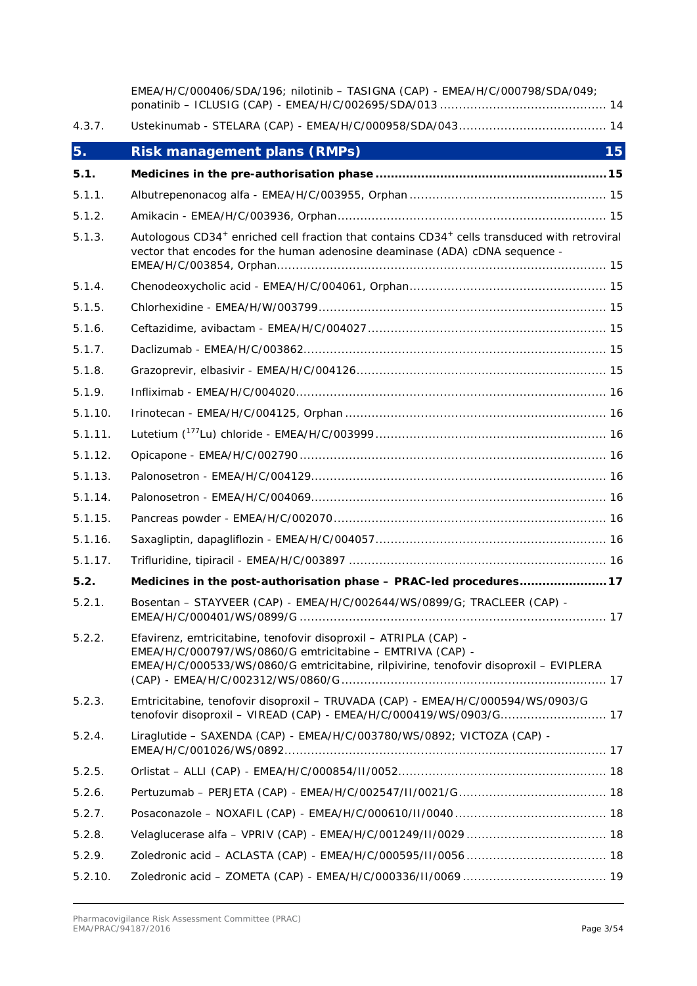|         | EMEA/H/C/000406/SDA/196; nilotinib - TASIGNA (CAP) - EMEA/H/C/000798/SDA/049;                                                                                                                                          |
|---------|------------------------------------------------------------------------------------------------------------------------------------------------------------------------------------------------------------------------|
| 4.3.7.  |                                                                                                                                                                                                                        |
| 5.      | <b>Risk management plans (RMPs)</b><br>15                                                                                                                                                                              |
| 5.1.    |                                                                                                                                                                                                                        |
| 5.1.1.  |                                                                                                                                                                                                                        |
| 5.1.2.  |                                                                                                                                                                                                                        |
| 5.1.3.  | Autologous CD34 <sup>+</sup> enriched cell fraction that contains CD34 <sup>+</sup> cells transduced with retroviral<br>vector that encodes for the human adenosine deaminase (ADA) cDNA sequence -                    |
| 5.1.4.  |                                                                                                                                                                                                                        |
| 5.1.5.  |                                                                                                                                                                                                                        |
| 5.1.6.  |                                                                                                                                                                                                                        |
| 5.1.7.  |                                                                                                                                                                                                                        |
| 5.1.8.  |                                                                                                                                                                                                                        |
| 5.1.9.  |                                                                                                                                                                                                                        |
| 5.1.10. |                                                                                                                                                                                                                        |
| 5.1.11. |                                                                                                                                                                                                                        |
| 5.1.12. |                                                                                                                                                                                                                        |
| 5.1.13. |                                                                                                                                                                                                                        |
| 5.1.14. |                                                                                                                                                                                                                        |
| 5.1.15. |                                                                                                                                                                                                                        |
| 5.1.16. |                                                                                                                                                                                                                        |
| 5.1.17. |                                                                                                                                                                                                                        |
| 5.2.    | Medicines in the post-authorisation phase - PRAC-led procedures 17                                                                                                                                                     |
| 5.2.1.  | Bosentan - STAYVEER (CAP) - EMEA/H/C/002644/WS/0899/G; TRACLEER (CAP) -                                                                                                                                                |
| 5.2.2.  | Efavirenz, emtricitabine, tenofovir disoproxil - ATRIPLA (CAP) -<br>EMEA/H/C/000797/WS/0860/G emtricitabine - EMTRIVA (CAP) -<br>EMEA/H/C/000533/WS/0860/G emtricitabine, rilpivirine, tenofovir disoproxil - EVIPLERA |
| 5.2.3.  | Emtricitabine, tenofovir disoproxil - TRUVADA (CAP) - EMEA/H/C/000594/WS/0903/G<br>tenofovir disoproxil - VIREAD (CAP) - EMEA/H/C/000419/WS/0903/G 17                                                                  |
| 5.2.4.  | Liraglutide - SAXENDA (CAP) - EMEA/H/C/003780/WS/0892; VICTOZA (CAP) -                                                                                                                                                 |
| 5.2.5.  |                                                                                                                                                                                                                        |
| 5.2.6.  |                                                                                                                                                                                                                        |
| 5.2.7.  |                                                                                                                                                                                                                        |
| 5.2.8.  |                                                                                                                                                                                                                        |
| 5.2.9.  |                                                                                                                                                                                                                        |
| 5.2.10. |                                                                                                                                                                                                                        |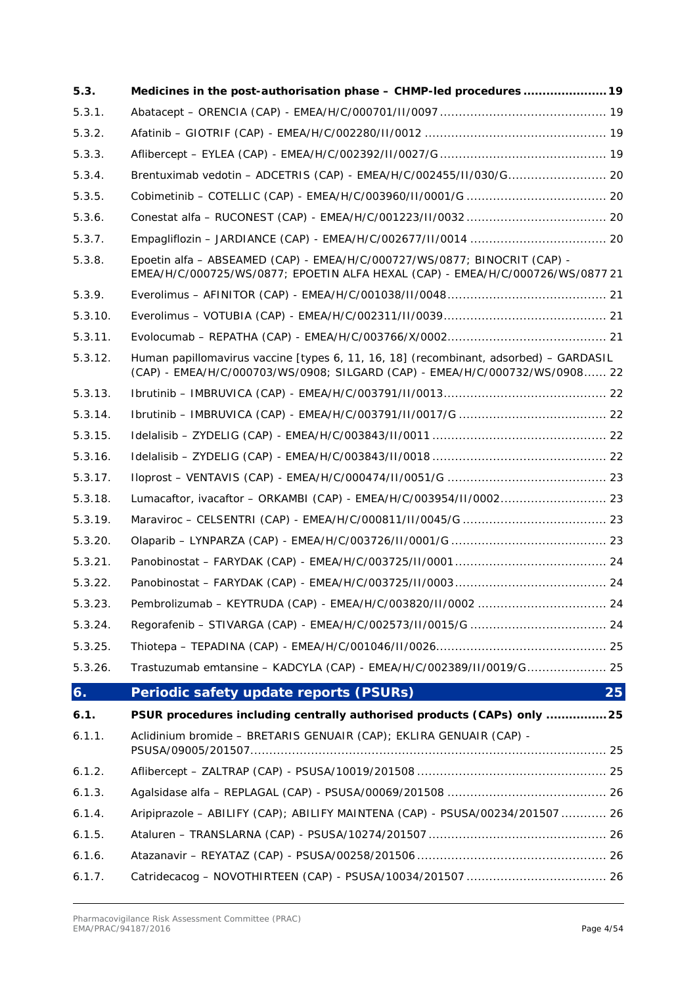| 5.3.    | Medicines in the post-authorisation phase - CHMP-led procedures  19                                                                                                  |    |
|---------|----------------------------------------------------------------------------------------------------------------------------------------------------------------------|----|
| 5.3.1.  |                                                                                                                                                                      |    |
| 5.3.2.  |                                                                                                                                                                      |    |
| 5.3.3.  |                                                                                                                                                                      |    |
| 5.3.4.  | Brentuximab vedotin - ADCETRIS (CAP) - EMEA/H/C/002455/II/030/G 20                                                                                                   |    |
| 5.3.5.  |                                                                                                                                                                      |    |
| 5.3.6.  |                                                                                                                                                                      |    |
| 5.3.7.  |                                                                                                                                                                      |    |
| 5.3.8.  | Epoetin alfa - ABSEAMED (CAP) - EMEA/H/C/000727/WS/0877; BINOCRIT (CAP) -<br>EMEA/H/C/000725/WS/0877; EPOETIN ALFA HEXAL (CAP) - EMEA/H/C/000726/WS/0877 21          |    |
| 5.3.9.  |                                                                                                                                                                      |    |
| 5.3.10. |                                                                                                                                                                      |    |
| 5.3.11. |                                                                                                                                                                      |    |
| 5.3.12. | Human papillomavirus vaccine [types 6, 11, 16, 18] (recombinant, adsorbed) - GARDASIL<br>(CAP) - EMEA/H/C/000703/WS/0908; SILGARD (CAP) - EMEA/H/C/000732/WS/0908 22 |    |
| 5.3.13. |                                                                                                                                                                      |    |
| 5.3.14. |                                                                                                                                                                      |    |
| 5.3.15. |                                                                                                                                                                      |    |
| 5.3.16. |                                                                                                                                                                      |    |
| 5.3.17. |                                                                                                                                                                      |    |
| 5.3.18. | Lumacaftor, ivacaftor - ORKAMBI (CAP) - EMEA/H/C/003954/II/0002 23                                                                                                   |    |
| 5.3.19. |                                                                                                                                                                      |    |
| 5.3.20. |                                                                                                                                                                      |    |
| 5.3.21. |                                                                                                                                                                      |    |
| 5.3.22. |                                                                                                                                                                      |    |
| 5.3.23. |                                                                                                                                                                      |    |
| 5.3.24. |                                                                                                                                                                      |    |
| 5.3.25. |                                                                                                                                                                      |    |
| 5.3.26. | Trastuzumab emtansine - KADCYLA (CAP) - EMEA/H/C/002389/II/0019/G 25                                                                                                 |    |
| 6.      | Periodic safety update reports (PSURs)                                                                                                                               | 25 |
| 6.1.    | PSUR procedures including centrally authorised products (CAPs) only  25                                                                                              |    |
| 6.1.1.  | Aclidinium bromide - BRETARIS GENUAIR (CAP); EKLIRA GENUAIR (CAP) -                                                                                                  |    |
| 6.1.2.  |                                                                                                                                                                      |    |
| 6.1.3.  |                                                                                                                                                                      |    |
| 6.1.4.  | Aripiprazole - ABILIFY (CAP); ABILIFY MAINTENA (CAP) - PSUSA/00234/201507  26                                                                                        |    |
| 6.1.5.  |                                                                                                                                                                      |    |
| 6.1.6.  |                                                                                                                                                                      |    |
| 6.1.7.  |                                                                                                                                                                      |    |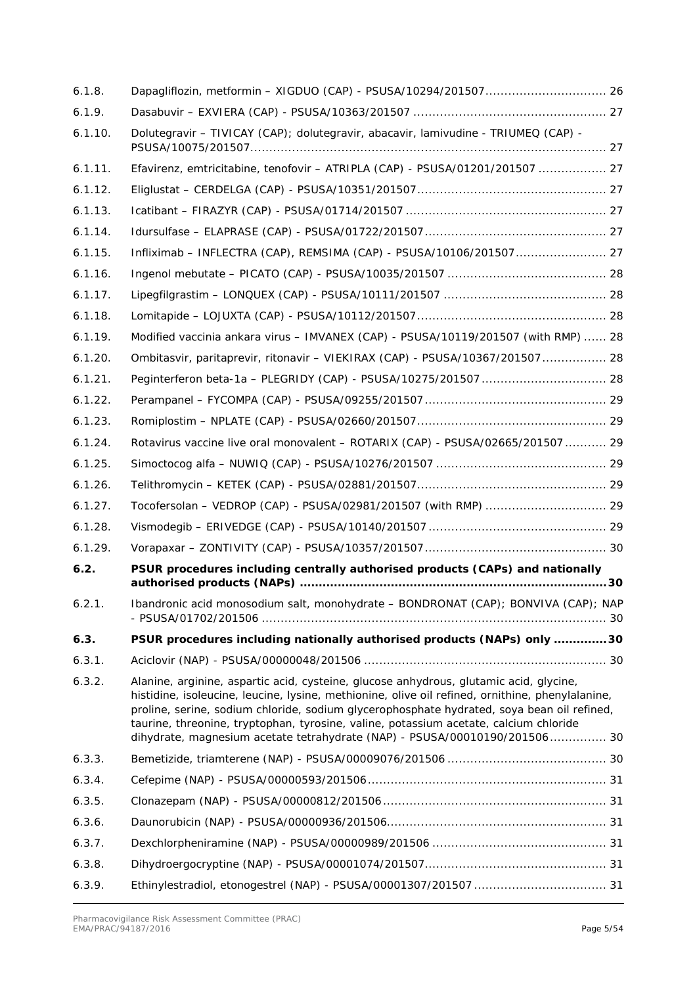| 6.1.8.  |                                                                                                                                                                                                                                                                                                                                                                                                                                                                 |
|---------|-----------------------------------------------------------------------------------------------------------------------------------------------------------------------------------------------------------------------------------------------------------------------------------------------------------------------------------------------------------------------------------------------------------------------------------------------------------------|
| 6.1.9.  |                                                                                                                                                                                                                                                                                                                                                                                                                                                                 |
| 6.1.10. | Dolutegravir - TIVICAY (CAP); dolutegravir, abacavir, lamivudine - TRIUMEQ (CAP) -                                                                                                                                                                                                                                                                                                                                                                              |
| 6.1.11. | Efavirenz, emtricitabine, tenofovir - ATRIPLA (CAP) - PSUSA/01201/201507  27                                                                                                                                                                                                                                                                                                                                                                                    |
| 6.1.12. |                                                                                                                                                                                                                                                                                                                                                                                                                                                                 |
| 6.1.13. |                                                                                                                                                                                                                                                                                                                                                                                                                                                                 |
| 6.1.14. |                                                                                                                                                                                                                                                                                                                                                                                                                                                                 |
| 6.1.15. | Infliximab - INFLECTRA (CAP), REMSIMA (CAP) - PSUSA/10106/201507 27                                                                                                                                                                                                                                                                                                                                                                                             |
| 6.1.16. |                                                                                                                                                                                                                                                                                                                                                                                                                                                                 |
| 6.1.17. |                                                                                                                                                                                                                                                                                                                                                                                                                                                                 |
| 6.1.18. |                                                                                                                                                                                                                                                                                                                                                                                                                                                                 |
| 6.1.19. | Modified vaccinia ankara virus - IMVANEX (CAP) - PSUSA/10119/201507 (with RMP)  28                                                                                                                                                                                                                                                                                                                                                                              |
| 6.1.20. | Ombitasvir, paritaprevir, ritonavir - VIEKIRAX (CAP) - PSUSA/10367/201507 28                                                                                                                                                                                                                                                                                                                                                                                    |
| 6.1.21. |                                                                                                                                                                                                                                                                                                                                                                                                                                                                 |
| 6.1.22. |                                                                                                                                                                                                                                                                                                                                                                                                                                                                 |
| 6.1.23. |                                                                                                                                                                                                                                                                                                                                                                                                                                                                 |
| 6.1.24. | Rotavirus vaccine live oral monovalent - ROTARIX (CAP) - PSUSA/02665/201507  29                                                                                                                                                                                                                                                                                                                                                                                 |
| 6.1.25. |                                                                                                                                                                                                                                                                                                                                                                                                                                                                 |
| 6.1.26. |                                                                                                                                                                                                                                                                                                                                                                                                                                                                 |
| 6.1.27. |                                                                                                                                                                                                                                                                                                                                                                                                                                                                 |
| 6.1.28. |                                                                                                                                                                                                                                                                                                                                                                                                                                                                 |
| 6.1.29. |                                                                                                                                                                                                                                                                                                                                                                                                                                                                 |
| 6.2.    | PSUR procedures including centrally authorised products (CAPs) and nationally                                                                                                                                                                                                                                                                                                                                                                                   |
| 6.2.1.  | Ibandronic acid monosodium salt, monohydrate - BONDRONAT (CAP); BONVIVA (CAP); NAP                                                                                                                                                                                                                                                                                                                                                                              |
| 6.3.    | PSUR procedures including nationally authorised products (NAPs) only  30                                                                                                                                                                                                                                                                                                                                                                                        |
| 6.3.1.  |                                                                                                                                                                                                                                                                                                                                                                                                                                                                 |
| 6.3.2.  | Alanine, arginine, aspartic acid, cysteine, glucose anhydrous, glutamic acid, glycine,<br>histidine, isoleucine, leucine, lysine, methionine, olive oil refined, ornithine, phenylalanine,<br>proline, serine, sodium chloride, sodium glycerophosphate hydrated, soya bean oil refined,<br>taurine, threonine, tryptophan, tyrosine, valine, potassium acetate, calcium chloride<br>dihydrate, magnesium acetate tetrahydrate (NAP) - PSUSA/00010190/201506 30 |
| 6.3.3.  |                                                                                                                                                                                                                                                                                                                                                                                                                                                                 |
| 6.3.4.  |                                                                                                                                                                                                                                                                                                                                                                                                                                                                 |
| 6.3.5.  |                                                                                                                                                                                                                                                                                                                                                                                                                                                                 |
| 6.3.6.  |                                                                                                                                                                                                                                                                                                                                                                                                                                                                 |
| 6.3.7.  |                                                                                                                                                                                                                                                                                                                                                                                                                                                                 |
| 6.3.8.  |                                                                                                                                                                                                                                                                                                                                                                                                                                                                 |
| 6.3.9.  | Ethinylestradiol, etonogestrel (NAP) - PSUSA/00001307/201507  31                                                                                                                                                                                                                                                                                                                                                                                                |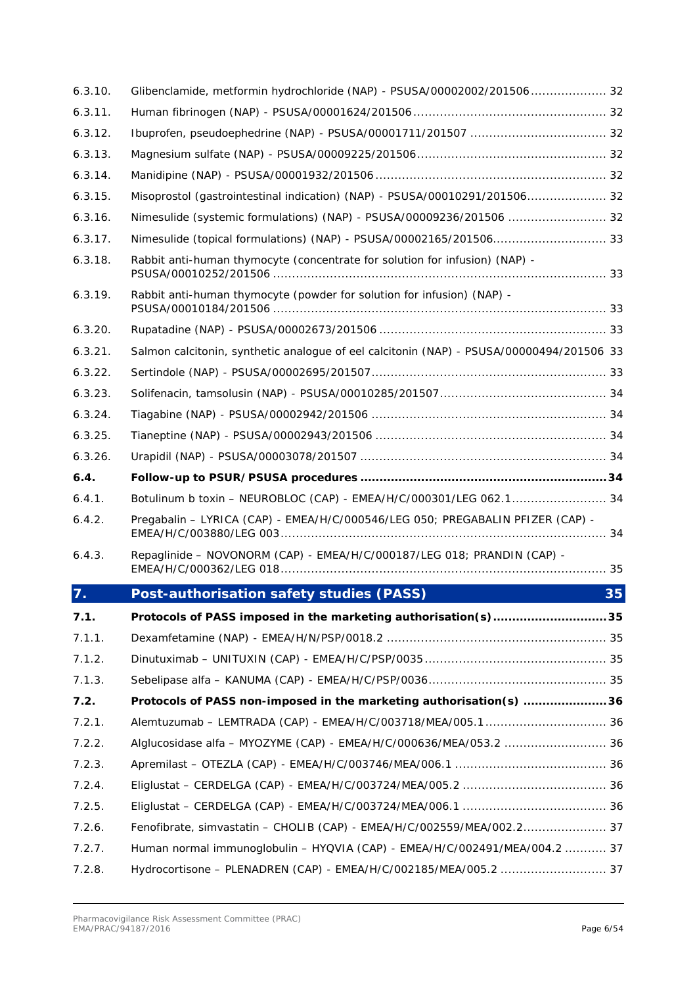| 6.3.10. | Glibenclamide, metformin hydrochloride (NAP) - PSUSA/00002002/201506 32                  |    |
|---------|------------------------------------------------------------------------------------------|----|
| 6.3.11. |                                                                                          |    |
| 6.3.12. |                                                                                          |    |
| 6.3.13. |                                                                                          |    |
| 6.3.14. |                                                                                          |    |
| 6.3.15. | Misoprostol (gastrointestinal indication) (NAP) - PSUSA/00010291/201506 32               |    |
| 6.3.16. | Nimesulide (systemic formulations) (NAP) - PSUSA/00009236/201506  32                     |    |
| 6.3.17. |                                                                                          |    |
| 6.3.18. | Rabbit anti-human thymocyte (concentrate for solution for infusion) (NAP) -              |    |
| 6.3.19. | Rabbit anti-human thymocyte (powder for solution for infusion) (NAP) -                   |    |
| 6.3.20. |                                                                                          |    |
| 6.3.21. | Salmon calcitonin, synthetic analogue of eel calcitonin (NAP) - PSUSA/00000494/201506 33 |    |
| 6.3.22. |                                                                                          |    |
| 6.3.23. |                                                                                          |    |
| 6.3.24. |                                                                                          |    |
| 6.3.25. |                                                                                          |    |
| 6.3.26. |                                                                                          |    |
|         |                                                                                          |    |
| 6.4.    |                                                                                          |    |
| 6.4.1.  | Botulinum b toxin - NEUROBLOC (CAP) - EMEA/H/C/000301/LEG 062.1 34                       |    |
| 6.4.2.  | Pregabalin - LYRICA (CAP) - EMEA/H/C/000546/LEG 050; PREGABALIN PFIZER (CAP) -           |    |
| 6.4.3.  | Repaglinide - NOVONORM (CAP) - EMEA/H/C/000187/LEG 018; PRANDIN (CAP) -                  |    |
| 7.      | Post-authorisation safety studies (PASS)                                                 | 35 |
| 7.1.    | Protocols of PASS imposed in the marketing authorisation(s)35                            |    |
| 7.1.1.  |                                                                                          |    |
| 7.1.2.  |                                                                                          |    |
| 7.1.3.  |                                                                                          |    |
| 7.2.    | Protocols of PASS non-imposed in the marketing authorisation(s)  36                      |    |
| 7.2.1.  |                                                                                          |    |
| 7.2.2.  |                                                                                          |    |
| 7.2.3.  |                                                                                          |    |
| 7.2.4.  |                                                                                          |    |
| 7.2.5.  |                                                                                          |    |
| 7.2.6.  | Fenofibrate, simvastatin - CHOLIB (CAP) - EMEA/H/C/002559/MEA/002.2 37                   |    |
| 7.2.7.  | Human normal immunoglobulin - HYQVIA (CAP) - EMEA/H/C/002491/MEA/004.2  37               |    |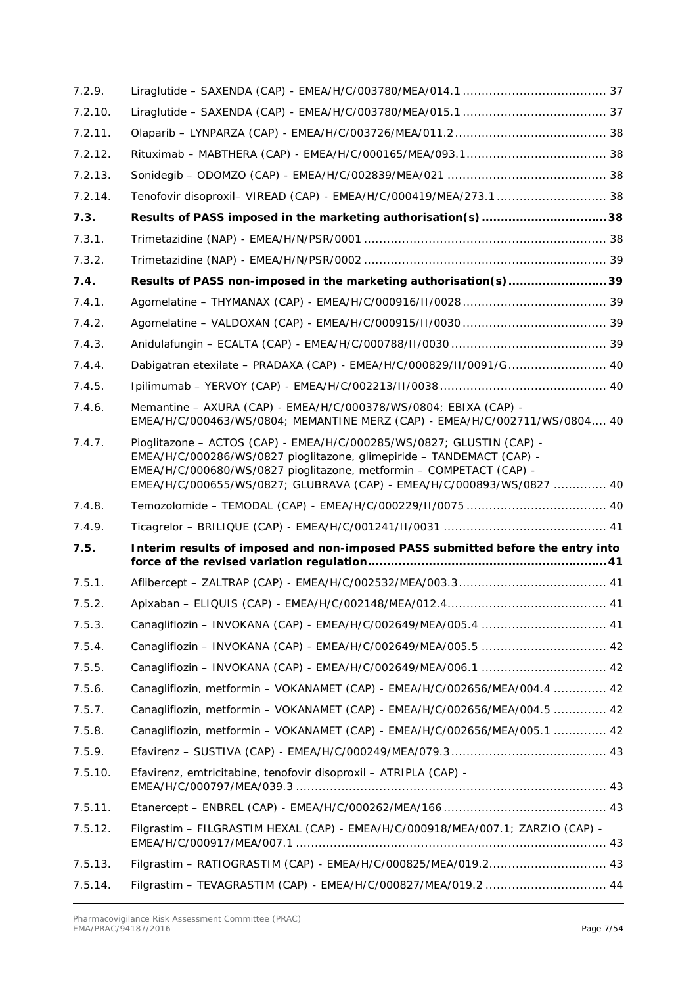| 7.2.9.  |                                                                                                                                                                                                                                                                                                |
|---------|------------------------------------------------------------------------------------------------------------------------------------------------------------------------------------------------------------------------------------------------------------------------------------------------|
| 7.2.10. |                                                                                                                                                                                                                                                                                                |
| 7.2.11. |                                                                                                                                                                                                                                                                                                |
| 7.2.12. |                                                                                                                                                                                                                                                                                                |
| 7.2.13. |                                                                                                                                                                                                                                                                                                |
| 7.2.14. | Tenofovir disoproxil- VIREAD (CAP) - EMEA/H/C/000419/MEA/273.1  38                                                                                                                                                                                                                             |
| 7.3.    | Results of PASS imposed in the marketing authorisation(s)38                                                                                                                                                                                                                                    |
| 7.3.1.  |                                                                                                                                                                                                                                                                                                |
| 7.3.2.  |                                                                                                                                                                                                                                                                                                |
| 7.4.    | Results of PASS non-imposed in the marketing authorisation(s)39                                                                                                                                                                                                                                |
| 7.4.1.  |                                                                                                                                                                                                                                                                                                |
| 7.4.2.  |                                                                                                                                                                                                                                                                                                |
| 7.4.3.  |                                                                                                                                                                                                                                                                                                |
| 7.4.4.  | Dabigatran etexilate - PRADAXA (CAP) - EMEA/H/C/000829/II/0091/G 40                                                                                                                                                                                                                            |
| 7.4.5.  |                                                                                                                                                                                                                                                                                                |
| 7.4.6.  | Memantine - AXURA (CAP) - EMEA/H/C/000378/WS/0804; EBIXA (CAP) -<br>EMEA/H/C/000463/WS/0804; MEMANTINE MERZ (CAP) - EMEA/H/C/002711/WS/0804 40                                                                                                                                                 |
| 7.4.7.  | Pioglitazone - ACTOS (CAP) - EMEA/H/C/000285/WS/0827; GLUSTIN (CAP) -<br>EMEA/H/C/000286/WS/0827 pioglitazone, glimepiride - TANDEMACT (CAP) -<br>EMEA/H/C/000680/WS/0827 pioglitazone, metformin - COMPETACT (CAP) -<br>EMEA/H/C/000655/WS/0827; GLUBRAVA (CAP) - EMEA/H/C/000893/WS/0827  40 |
| 7.4.8.  |                                                                                                                                                                                                                                                                                                |
| 7.4.9.  |                                                                                                                                                                                                                                                                                                |
| 7.5.    | Interim results of imposed and non-imposed PASS submitted before the entry into                                                                                                                                                                                                                |
| 7.5.1.  |                                                                                                                                                                                                                                                                                                |
| 7.5.2.  |                                                                                                                                                                                                                                                                                                |
| 7.5.3.  |                                                                                                                                                                                                                                                                                                |
| 7.5.4.  |                                                                                                                                                                                                                                                                                                |
| 7.5.5.  |                                                                                                                                                                                                                                                                                                |
| 7.5.6.  | Canagliflozin, metformin - VOKANAMET (CAP) - EMEA/H/C/002656/MEA/004.4  42                                                                                                                                                                                                                     |
| 7.5.7.  | Canagliflozin, metformin - VOKANAMET (CAP) - EMEA/H/C/002656/MEA/004.5  42                                                                                                                                                                                                                     |
| 7.5.8.  | Canagliflozin, metformin - VOKANAMET (CAP) - EMEA/H/C/002656/MEA/005.1  42                                                                                                                                                                                                                     |
| 7.5.9.  |                                                                                                                                                                                                                                                                                                |
| 7.5.10. | Efavirenz, emtricitabine, tenofovir disoproxil - ATRIPLA (CAP) -                                                                                                                                                                                                                               |
| 7.5.11. |                                                                                                                                                                                                                                                                                                |
| 7.5.12. | Filgrastim - FILGRASTIM HEXAL (CAP) - EMEA/H/C/000918/MEA/007.1; ZARZIO (CAP) -                                                                                                                                                                                                                |
| 7.5.13. |                                                                                                                                                                                                                                                                                                |
|         | Filgrastim - TEVAGRASTIM (CAP) - EMEA/H/C/000827/MEA/019.2  44                                                                                                                                                                                                                                 |
| 7.5.14. |                                                                                                                                                                                                                                                                                                |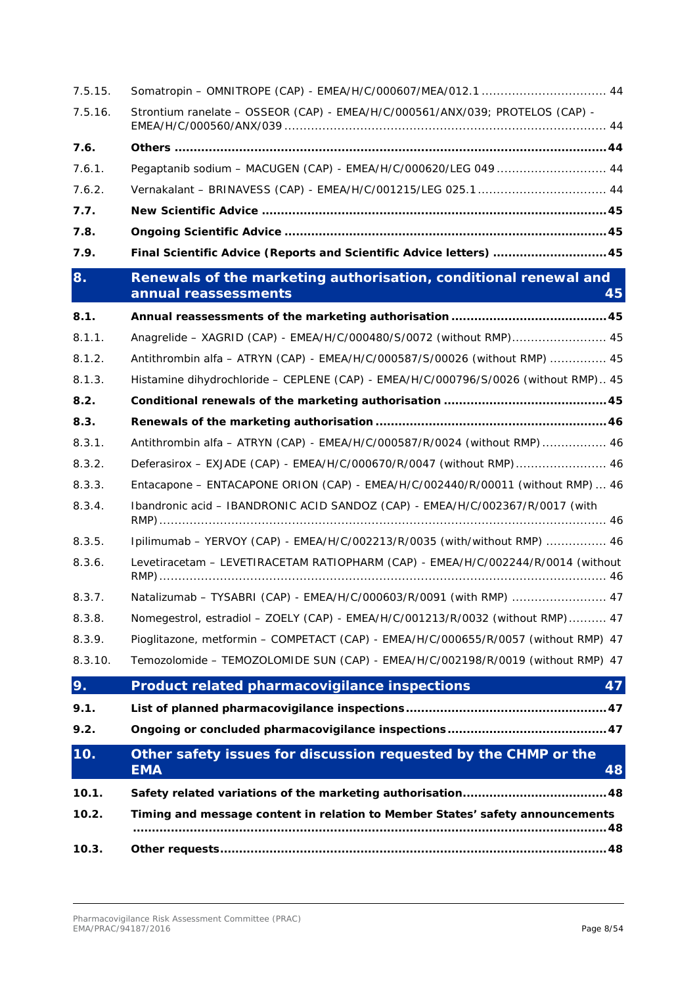| 7.5.15. |                                                                                                |
|---------|------------------------------------------------------------------------------------------------|
| 7.5.16. | Strontium ranelate - OSSEOR (CAP) - EMEA/H/C/000561/ANX/039; PROTELOS (CAP) -                  |
| 7.6.    |                                                                                                |
| 7.6.1.  | Pegaptanib sodium - MACUGEN (CAP) - EMEA/H/C/000620/LEG 049  44                                |
| 7.6.2.  | Vernakalant - BRINAVESS (CAP) - EMEA/H/C/001215/LEG 025.1 44                                   |
| 7.7.    |                                                                                                |
| 7.8.    |                                                                                                |
| 7.9.    | Final Scientific Advice (Reports and Scientific Advice letters)  45                            |
| 8.      | Renewals of the marketing authorisation, conditional renewal and<br>annual reassessments<br>45 |
| 8.1.    |                                                                                                |
| 8.1.1.  | Anagrelide - XAGRID (CAP) - EMEA/H/C/000480/S/0072 (without RMP) 45                            |
| 8.1.2.  | Antithrombin alfa - ATRYN (CAP) - EMEA/H/C/000587/S/00026 (without RMP)  45                    |
| 8.1.3.  | Histamine dihydrochloride - CEPLENE (CAP) - EMEA/H/C/000796/S/0026 (without RMP) 45            |
| 8.2.    |                                                                                                |
| 8.3.    |                                                                                                |
| 8.3.1.  | Antithrombin alfa - ATRYN (CAP) - EMEA/H/C/000587/R/0024 (without RMP)  46                     |
| 8.3.2.  | Deferasirox - EXJADE (CAP) - EMEA/H/C/000670/R/0047 (without RMP) 46                           |
| 8.3.3.  | Entacapone - ENTACAPONE ORION (CAP) - EMEA/H/C/002440/R/00011 (without RMP)  46                |
| 8.3.4.  | Ibandronic acid - IBANDRONIC ACID SANDOZ (CAP) - EMEA/H/C/002367/R/0017 (with                  |
| 8.3.5.  | Ipilimumab - YERVOY (CAP) - EMEA/H/C/002213/R/0035 (with/without RMP)  46                      |
| 8.3.6.  | Levetiracetam - LEVETIRACETAM RATIOPHARM (CAP) - EMEA/H/C/002244/R/0014 (without               |
| 8.3.7.  | Natalizumab - TYSABRI (CAP) - EMEA/H/C/000603/R/0091 (with RMP)  47                            |
| 8.3.8.  | Nomegestrol, estradiol - ZOELY (CAP) - EMEA/H/C/001213/R/0032 (without RMP) 47                 |
| 8.3.9.  | Pioglitazone, metformin - COMPETACT (CAP) - EMEA/H/C/000655/R/0057 (without RMP) 47            |
| 8.3.10. | Temozolomide - TEMOZOLOMIDE SUN (CAP) - EMEA/H/C/002198/R/0019 (without RMP) 47                |
| 9.      | 47<br>Product related pharmacovigilance inspections                                            |
| 9.1.    |                                                                                                |
| 9.2.    |                                                                                                |
| 10.     | Other safety issues for discussion requested by the CHMP or the<br><b>EMA</b><br>48            |
| 10.1.   |                                                                                                |
| 10.2.   | Timing and message content in relation to Member States' safety announcements                  |
| 10.3.   |                                                                                                |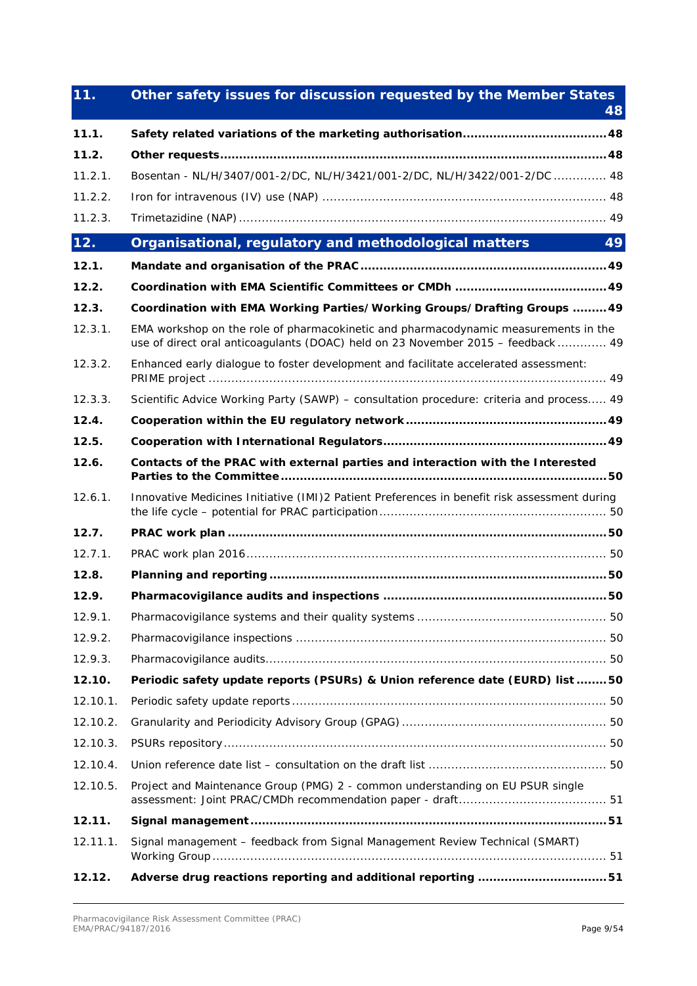| 11.      | Other safety issues for discussion requested by the Member States                                                                                                      | 48 |
|----------|------------------------------------------------------------------------------------------------------------------------------------------------------------------------|----|
| 11.1.    |                                                                                                                                                                        |    |
| 11.2.    |                                                                                                                                                                        |    |
| 11.2.1.  | Bosentan - NL/H/3407/001-2/DC, NL/H/3421/001-2/DC, NL/H/3422/001-2/DC 48                                                                                               |    |
| 11.2.2.  |                                                                                                                                                                        |    |
| 11.2.3.  |                                                                                                                                                                        |    |
| 12.      | Organisational, regulatory and methodological matters                                                                                                                  | 49 |
| 12.1.    |                                                                                                                                                                        |    |
| 12.2.    |                                                                                                                                                                        |    |
| 12.3.    | Coordination with EMA Working Parties/Working Groups/Drafting Groups  49                                                                                               |    |
| 12.3.1.  | EMA workshop on the role of pharmacokinetic and pharmacodynamic measurements in the<br>use of direct oral anticoagulants (DOAC) held on 23 November 2015 - feedback 49 |    |
| 12.3.2.  | Enhanced early dialogue to foster development and facilitate accelerated assessment:                                                                                   |    |
| 12.3.3.  | Scientific Advice Working Party (SAWP) - consultation procedure: criteria and process 49                                                                               |    |
| 12.4.    |                                                                                                                                                                        |    |
| 12.5.    |                                                                                                                                                                        |    |
| 12.6.    | Contacts of the PRAC with external parties and interaction with the Interested                                                                                         |    |
| 12.6.1.  | Innovative Medicines Initiative (IMI)2 Patient Preferences in benefit risk assessment during                                                                           |    |
| 12.7.    |                                                                                                                                                                        |    |
| 12.7.1.  |                                                                                                                                                                        |    |
| 12.8.    |                                                                                                                                                                        |    |
| 12.9.    |                                                                                                                                                                        |    |
| 12.9.1.  |                                                                                                                                                                        |    |
| 12.9.2.  |                                                                                                                                                                        |    |
| 12.9.3.  |                                                                                                                                                                        |    |
| 12.10.   | Periodic safety update reports (PSURs) & Union reference date (EURD) list  50                                                                                          |    |
| 12.10.1. |                                                                                                                                                                        |    |
| 12.10.2. |                                                                                                                                                                        |    |
| 12.10.3. |                                                                                                                                                                        |    |
| 12.10.4. |                                                                                                                                                                        |    |
| 12.10.5. | Project and Maintenance Group (PMG) 2 - common understanding on EU PSUR single                                                                                         |    |
| 12.11.   |                                                                                                                                                                        |    |
| 12.11.1. | Signal management - feedback from Signal Management Review Technical (SMART)                                                                                           |    |
| 12.12.   | Adverse drug reactions reporting and additional reporting 51                                                                                                           |    |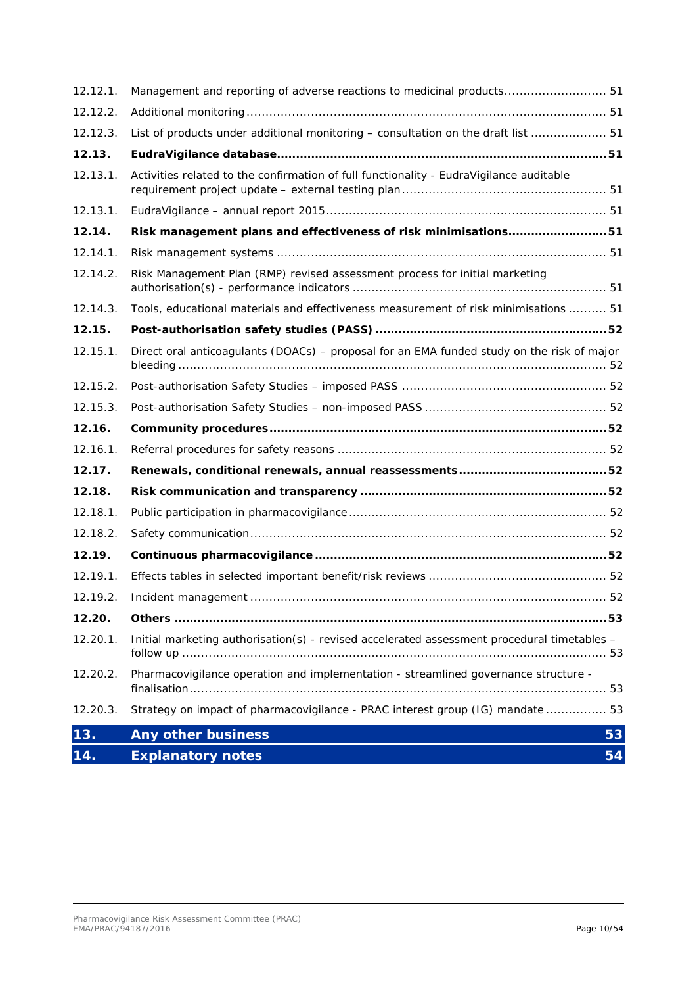| 12.12.1. | Management and reporting of adverse reactions to medicinal products 51                      |    |
|----------|---------------------------------------------------------------------------------------------|----|
| 12.12.2. |                                                                                             |    |
| 12.12.3. | List of products under additional monitoring – consultation on the draft list  51           |    |
| 12.13.   |                                                                                             |    |
| 12.13.1. | Activities related to the confirmation of full functionality - EudraVigilance auditable     |    |
| 12.13.1. |                                                                                             |    |
| 12.14.   | Risk management plans and effectiveness of risk minimisations51                             |    |
| 12.14.1. |                                                                                             |    |
| 12.14.2. | Risk Management Plan (RMP) revised assessment process for initial marketing                 |    |
| 12.14.3. | Tools, educational materials and effectiveness measurement of risk minimisations  51        |    |
| 12.15.   |                                                                                             |    |
| 12.15.1. | Direct oral anticoagulants (DOACs) - proposal for an EMA funded study on the risk of major  |    |
| 12.15.2. |                                                                                             |    |
| 12.15.3. |                                                                                             |    |
| 12.16.   |                                                                                             |    |
|          |                                                                                             |    |
| 12.16.1. |                                                                                             |    |
| 12.17.   |                                                                                             |    |
| 12.18.   |                                                                                             |    |
| 12.18.1. |                                                                                             |    |
| 12.18.2. |                                                                                             |    |
| 12.19.   |                                                                                             |    |
| 12.19.1. |                                                                                             |    |
| 12.19.2. |                                                                                             |    |
| 12.20.   |                                                                                             |    |
| 12.20.1. | Initial marketing authorisation(s) - revised accelerated assessment procedural timetables - |    |
| 12.20.2. | Pharmacovigilance operation and implementation - streamlined governance structure -         |    |
| 12.20.3. | Strategy on impact of pharmacovigilance - PRAC interest group (IG) mandate  53              |    |
| 13.      | <b>Any other business</b>                                                                   | 53 |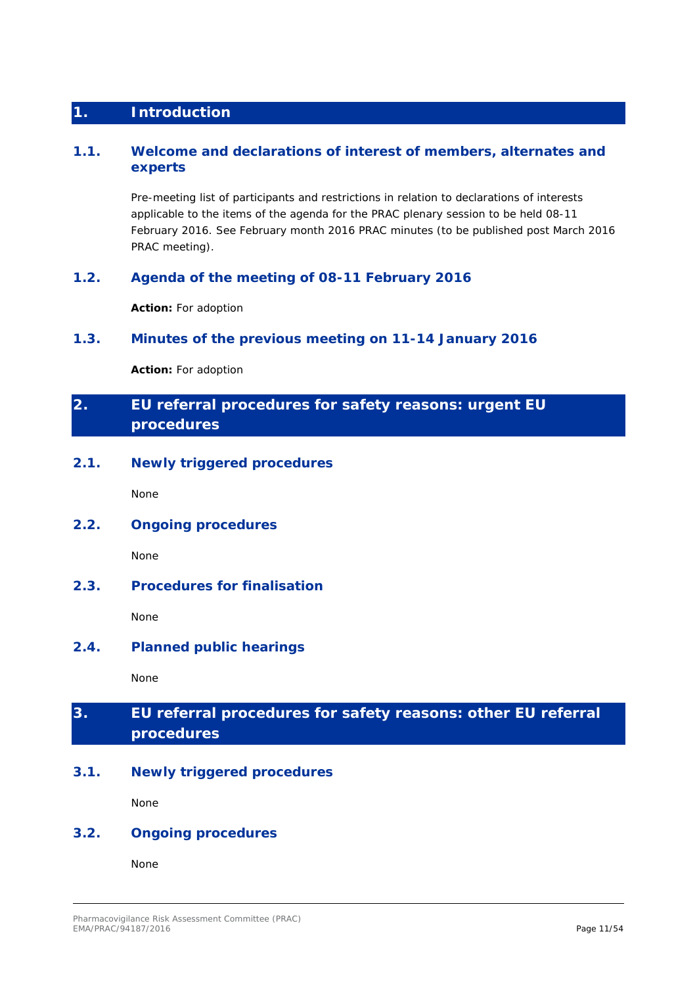## <span id="page-10-0"></span>**1. Introduction**

### <span id="page-10-1"></span>**1.1. Welcome and declarations of interest of members, alternates and experts**

Pre-meeting list of participants and restrictions in relation to declarations of interests applicable to the items of the agenda for the PRAC plenary session to be held 08-11 February 2016. See February month 2016 PRAC minutes (to be published post March 2016 PRAC meeting).

### <span id="page-10-2"></span>**1.2. Agenda of the meeting of 08-11 February 2016**

**Action:** For adoption

### <span id="page-10-3"></span>**1.3. Minutes of the previous meeting on 11-14 January 2016**

**Action:** For adoption

# <span id="page-10-4"></span>**2. EU referral procedures for safety reasons: urgent EU procedures**

### <span id="page-10-5"></span>**2.1. Newly triggered procedures**

None

## <span id="page-10-6"></span>**2.2. Ongoing procedures**

None

### <span id="page-10-7"></span>**2.3. Procedures for finalisation**

None

### <span id="page-10-8"></span>**2.4. Planned public hearings**

None

# <span id="page-10-9"></span>**3. EU referral procedures for safety reasons: other EU referral procedures**

### <span id="page-10-10"></span>**3.1. Newly triggered procedures**

None

### <span id="page-10-11"></span>**3.2. Ongoing procedures**

None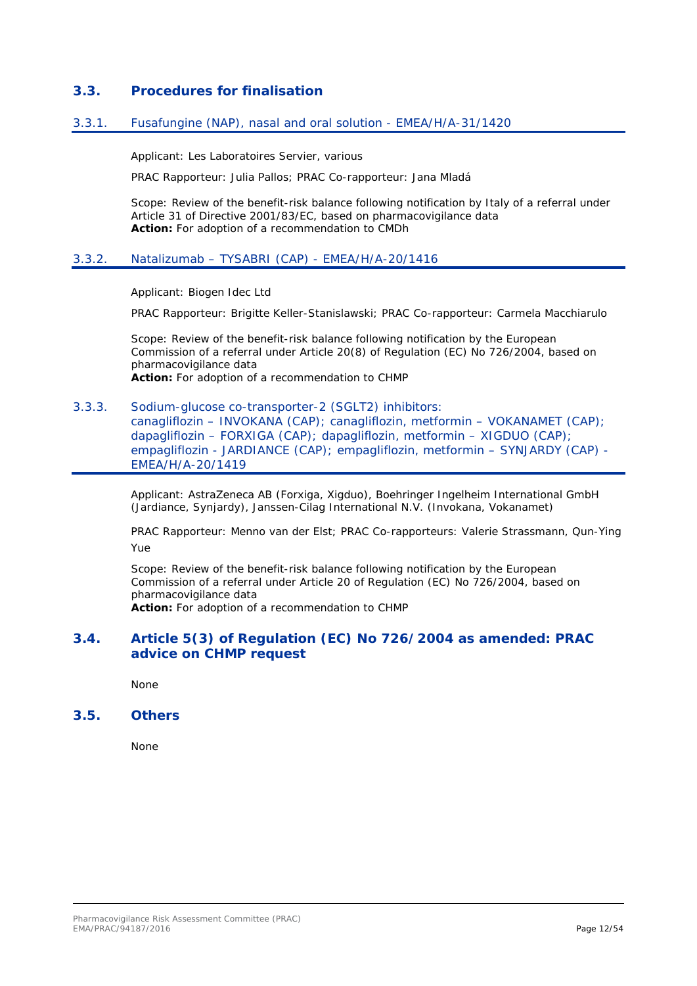### <span id="page-11-0"></span>**3.3. Procedures for finalisation**

### <span id="page-11-1"></span>3.3.1. Fusafungine (NAP), nasal and oral solution - EMEA/H/A-31/1420

Applicant: Les Laboratoires Servier, various

PRAC Rapporteur: Julia Pallos; PRAC Co-rapporteur: Jana Mladá

Scope: Review of the benefit-risk balance following notification by Italy of a referral under Article 31 of Directive 2001/83/EC, based on pharmacovigilance data **Action:** For adoption of a recommendation to CMDh

### <span id="page-11-2"></span>3.3.2. Natalizumab – TYSABRI (CAP) - EMEA/H/A-20/1416

Applicant: Biogen Idec Ltd

PRAC Rapporteur: Brigitte Keller-Stanislawski; PRAC Co-rapporteur: Carmela Macchiarulo

Scope: Review of the benefit-risk balance following notification by the European Commission of a referral under Article 20(8) of Regulation (EC) No 726/2004, based on pharmacovigilance data **Action:** For adoption of a recommendation to CHMP

#### <span id="page-11-3"></span>3.3.3. Sodium-glucose co-transporter-2 (SGLT2) inhibitors:

canagliflozin – INVOKANA (CAP); canagliflozin, metformin – VOKANAMET (CAP); dapagliflozin – FORXIGA (CAP); dapagliflozin, metformin – XIGDUO (CAP); empagliflozin - JARDIANCE (CAP); empagliflozin, metformin – SYNJARDY (CAP) - EMEA/H/A-20/1419

Applicant: AstraZeneca AB (Forxiga, Xigduo), Boehringer Ingelheim International GmbH (Jardiance, Synjardy), Janssen-Cilag International N.V. (Invokana, Vokanamet)

PRAC Rapporteur: Menno van der Elst; PRAC Co-rapporteurs: Valerie Strassmann, Qun-Ying Yue

Scope: Review of the benefit-risk balance following notification by the European Commission of a referral under Article 20 of Regulation (EC) No 726/2004, based on pharmacovigilance data **Action:** For adoption of a recommendation to CHMP

### <span id="page-11-4"></span>**3.4. Article 5(3) of Regulation (EC) No 726/2004 as amended: PRAC advice on CHMP request**

None

### <span id="page-11-5"></span>**3.5. Others**

None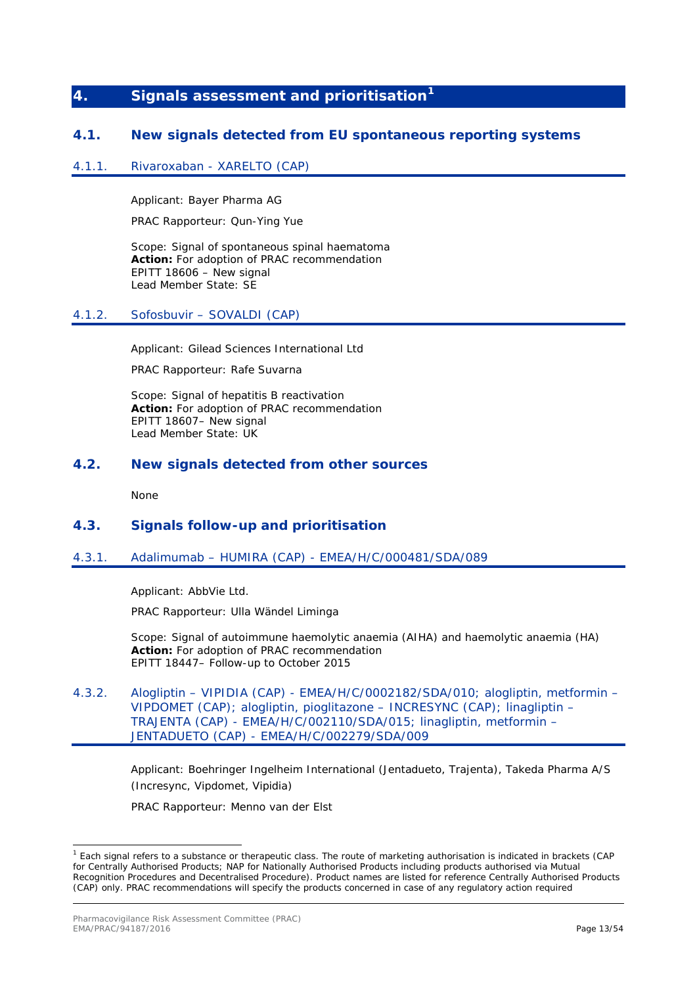## <span id="page-12-0"></span>**4. Signals assessment and prioritisation[1](#page-12-8)**

### <span id="page-12-1"></span>**4.1. New signals detected from EU spontaneous reporting systems**

#### <span id="page-12-2"></span>4.1.1. Rivaroxaban - XARELTO (CAP)

Applicant: Bayer Pharma AG

PRAC Rapporteur: Qun-Ying Yue

Scope: Signal of spontaneous spinal haematoma **Action:** For adoption of PRAC recommendation EPITT 18606 – New signal Lead Member State: SE

### <span id="page-12-3"></span>4.1.2. Sofosbuvir – SOVALDI (CAP)

Applicant: Gilead Sciences International Ltd

PRAC Rapporteur: Rafe Suvarna

Scope: Signal of hepatitis B reactivation **Action:** For adoption of PRAC recommendation EPITT 18607– New signal Lead Member State: UK

### <span id="page-12-4"></span>**4.2. New signals detected from other sources**

None

### <span id="page-12-5"></span>**4.3. Signals follow-up and prioritisation**

### <span id="page-12-6"></span>4.3.1. Adalimumab – HUMIRA (CAP) - EMEA/H/C/000481/SDA/089

Applicant: AbbVie Ltd.

PRAC Rapporteur: Ulla Wändel Liminga

Scope: Signal of autoimmune haemolytic anaemia (AIHA) and haemolytic anaemia (HA) **Action:** For adoption of PRAC recommendation EPITT 18447– Follow-up to October 2015

<span id="page-12-7"></span>4.3.2. Alogliptin – VIPIDIA (CAP) - EMEA/H/C/0002182/SDA/010; alogliptin, metformin – VIPDOMET (CAP); alogliptin, pioglitazone – INCRESYNC (CAP); linagliptin – TRAJENTA (CAP) - EMEA/H/C/002110/SDA/015; linagliptin, metformin – JENTADUETO (CAP) - EMEA/H/C/002279/SDA/009

> Applicant: Boehringer Ingelheim International (Jentadueto, Trajenta), Takeda Pharma A/S (Incresync, Vipdomet, Vipidia)

PRAC Rapporteur: Menno van der Elst

<span id="page-12-8"></span> <sup>1</sup> Each signal refers to a substance or therapeutic class. The route of marketing authorisation is indicated in brackets (CAP for Centrally Authorised Products; NAP for Nationally Authorised Products including products authorised via Mutual Recognition Procedures and Decentralised Procedure). Product names are listed for reference Centrally Authorised Products (CAP) only. PRAC recommendations will specify the products concerned in case of any regulatory action required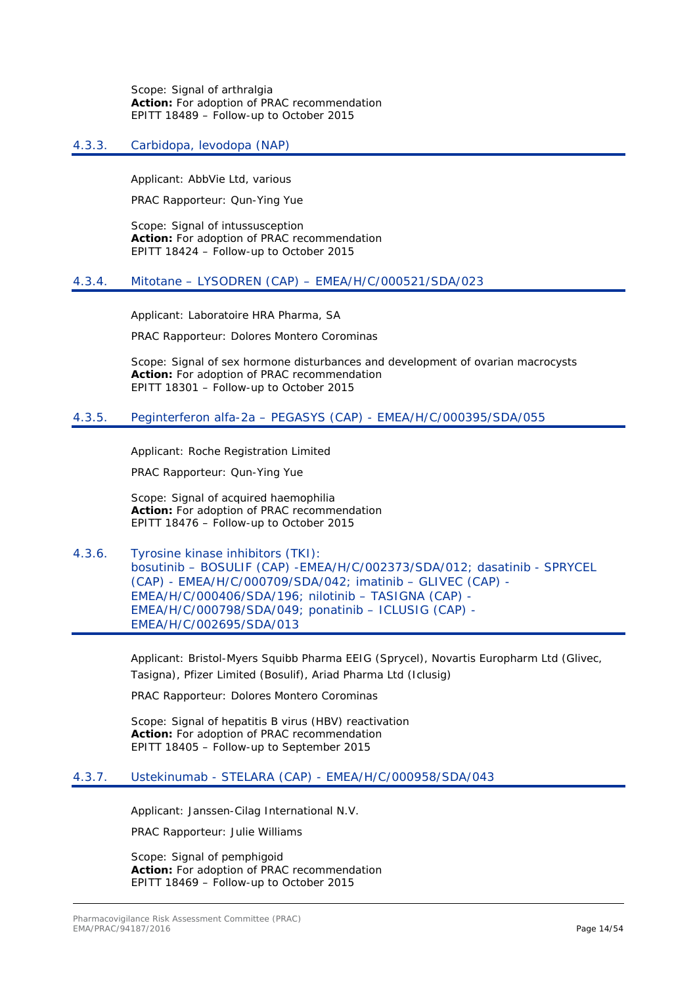Scope: Signal of arthralgia **Action:** For adoption of PRAC recommendation EPITT 18489 – Follow-up to October 2015

### <span id="page-13-0"></span>4.3.3. Carbidopa, levodopa (NAP)

Applicant: AbbVie Ltd, various

PRAC Rapporteur: Qun-Ying Yue

Scope: Signal of intussusception **Action:** For adoption of PRAC recommendation EPITT 18424 – Follow-up to October 2015

### <span id="page-13-1"></span>4.3.4. Mitotane – LYSODREN (CAP) – EMEA/H/C/000521/SDA/023

Applicant: Laboratoire HRA Pharma, SA

PRAC Rapporteur: Dolores Montero Corominas

Scope: Signal of sex hormone disturbances and development of ovarian macrocysts **Action:** For adoption of PRAC recommendation EPITT 18301 – Follow-up to October 2015

### <span id="page-13-2"></span>4.3.5. Peginterferon alfa-2a – PEGASYS (CAP) - EMEA/H/C/000395/SDA/055

Applicant: Roche Registration Limited

PRAC Rapporteur: Qun-Ying Yue

Scope: Signal of acquired haemophilia **Action:** For adoption of PRAC recommendation EPITT 18476 – Follow-up to October 2015

<span id="page-13-3"></span>4.3.6. Tyrosine kinase inhibitors (TKI): bosutinib – BOSULIF (CAP) -EMEA/H/C/002373/SDA/012; dasatinib - SPRYCEL (CAP) - EMEA/H/C/000709/SDA/042; imatinib – GLIVEC (CAP) - EMEA/H/C/000406/SDA/196; nilotinib – TASIGNA (CAP) - EMEA/H/C/000798/SDA/049; ponatinib – ICLUSIG (CAP) - EMEA/H/C/002695/SDA/013

> Applicant: Bristol-Myers Squibb Pharma EEIG (Sprycel), Novartis Europharm Ltd (Glivec, Tasigna), Pfizer Limited (Bosulif), Ariad Pharma Ltd (Iclusig)

PRAC Rapporteur: Dolores Montero Corominas

Scope: Signal of hepatitis B virus (HBV) reactivation **Action:** For adoption of PRAC recommendation EPITT 18405 – Follow-up to September 2015

### <span id="page-13-4"></span>4.3.7. Ustekinumab - STELARA (CAP) - EMEA/H/C/000958/SDA/043

Applicant: Janssen-Cilag International N.V.

PRAC Rapporteur: Julie Williams

Scope: Signal of pemphigoid **Action:** For adoption of PRAC recommendation EPITT 18469 – Follow-up to October 2015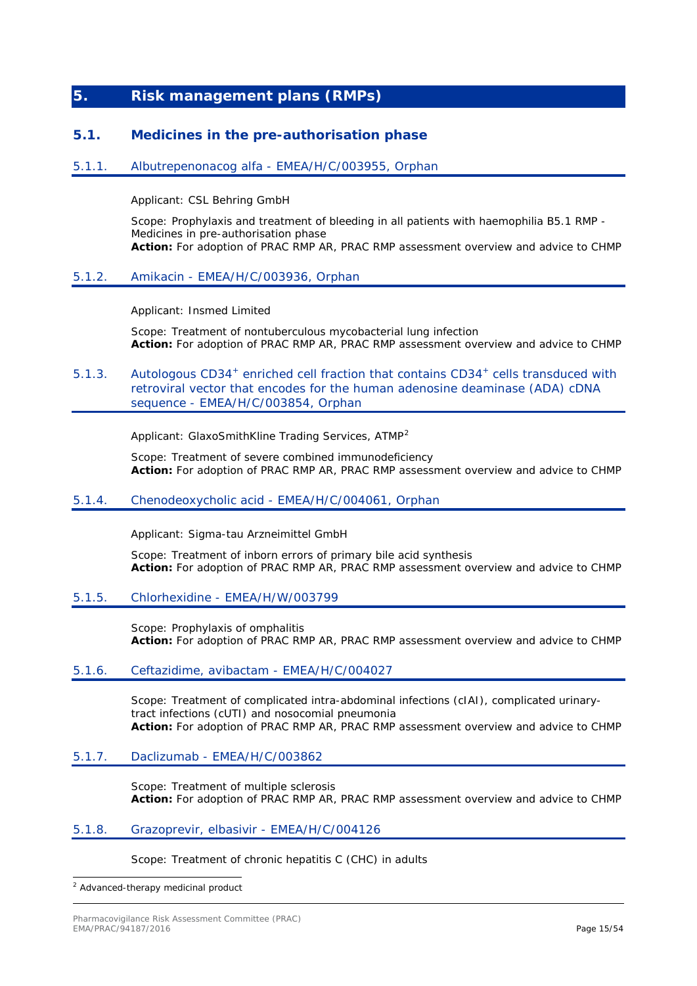## <span id="page-14-0"></span>**5. Risk management plans (RMPs)**

### <span id="page-14-1"></span>**5.1. Medicines in the pre-authorisation phase**

### <span id="page-14-2"></span>5.1.1. Albutrepenonacog alfa - EMEA/H/C/003955, Orphan

Applicant: CSL Behring GmbH

Scope: Prophylaxis and treatment of bleeding in all patients with haemophilia B5.1 RMP - Medicines in pre-authorisation phase **Action:** For adoption of PRAC RMP AR, PRAC RMP assessment overview and advice to CHMP

### <span id="page-14-3"></span>5.1.2. Amikacin - EMEA/H/C/003936, Orphan

Applicant: Insmed Limited

Scope: Treatment of nontuberculous mycobacterial lung infection **Action:** For adoption of PRAC RMP AR, PRAC RMP assessment overview and advice to CHMP

### <span id="page-14-4"></span>5.1.3. Autologous CD34<sup>+</sup> enriched cell fraction that contains CD34<sup>+</sup> cells transduced with retroviral vector that encodes for the human adenosine deaminase (ADA) cDNA sequence - EMEA/H/C/003854, Orphan

Applicant: GlaxoSmithKline Trading Services, ATMP<sup>[2](#page-14-10)</sup>

Scope: Treatment of severe combined immunodeficiency **Action:** For adoption of PRAC RMP AR, PRAC RMP assessment overview and advice to CHMP

#### <span id="page-14-5"></span>5.1.4. Chenodeoxycholic acid - EMEA/H/C/004061, Orphan

Applicant: Sigma-tau Arzneimittel GmbH

Scope: Treatment of inborn errors of primary bile acid synthesis **Action:** For adoption of PRAC RMP AR, PRAC RMP assessment overview and advice to CHMP

#### <span id="page-14-6"></span>5.1.5. Chlorhexidine - EMEA/H/W/003799

Scope: Prophylaxis of omphalitis **Action:** For adoption of PRAC RMP AR, PRAC RMP assessment overview and advice to CHMP

### <span id="page-14-7"></span>5.1.6. Ceftazidime, avibactam - EMEA/H/C/004027

Scope: Treatment of complicated intra-abdominal infections (cIAI), complicated urinarytract infections (cUTI) and nosocomial pneumonia **Action:** For adoption of PRAC RMP AR, PRAC RMP assessment overview and advice to CHMP

### <span id="page-14-8"></span>5.1.7. Daclizumab - EMEA/H/C/003862

Scope: Treatment of multiple sclerosis **Action:** For adoption of PRAC RMP AR, PRAC RMP assessment overview and advice to CHMP

#### <span id="page-14-9"></span>5.1.8. Grazoprevir, elbasivir - EMEA/H/C/004126

Scope: Treatment of chronic hepatitis C (CHC) in adults

<span id="page-14-10"></span>2 Advanced-therapy medicinal product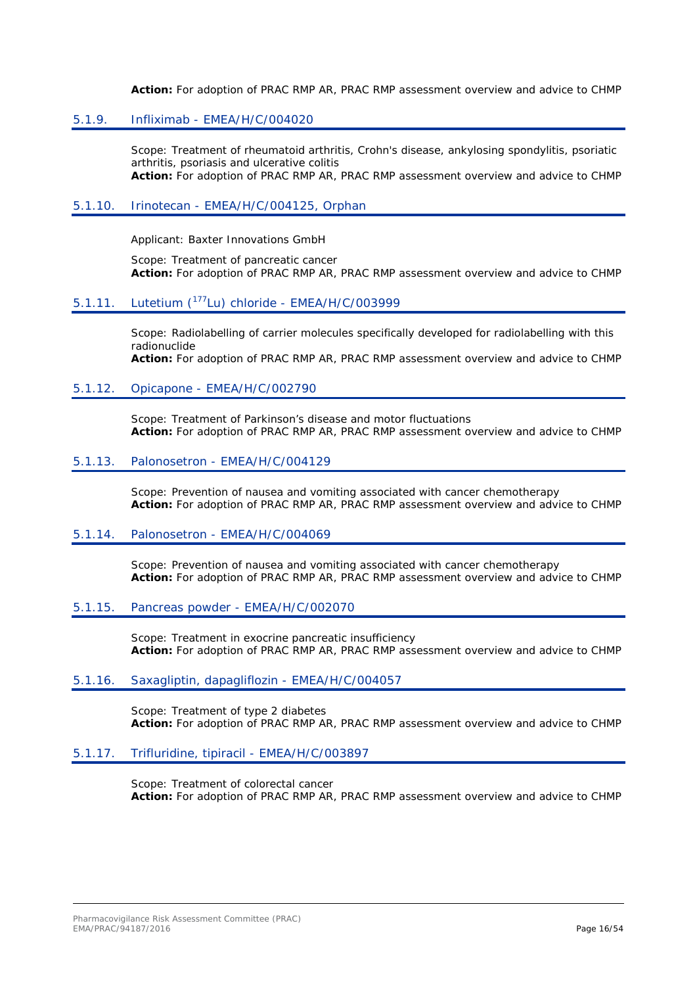**Action:** For adoption of PRAC RMP AR, PRAC RMP assessment overview and advice to CHMP

### <span id="page-15-0"></span>5.1.9. Infliximab - EMEA/H/C/004020

Scope: Treatment of rheumatoid arthritis, Crohn's disease, ankylosing spondylitis, psoriatic arthritis, psoriasis and ulcerative colitis **Action:** For adoption of PRAC RMP AR, PRAC RMP assessment overview and advice to CHMP

#### <span id="page-15-1"></span>5.1.10. Irinotecan - EMEA/H/C/004125, Orphan

Applicant: Baxter Innovations GmbH

Scope: Treatment of pancreatic cancer **Action:** For adoption of PRAC RMP AR, PRAC RMP assessment overview and advice to CHMP

### <span id="page-15-2"></span>5.1.11. Lutetium (177Lu) chloride - EMEA/H/C/003999

Scope: Radiolabelling of carrier molecules specifically developed for radiolabelling with this radionuclide **Action:** For adoption of PRAC RMP AR, PRAC RMP assessment overview and advice to CHMP

### <span id="page-15-3"></span>5.1.12. Opicapone - EMEA/H/C/002790

Scope: Treatment of Parkinson's disease and motor fluctuations **Action:** For adoption of PRAC RMP AR, PRAC RMP assessment overview and advice to CHMP

#### <span id="page-15-4"></span>5.1.13. Palonosetron - EMEA/H/C/004129

Scope: Prevention of nausea and vomiting associated with cancer chemotherapy **Action:** For adoption of PRAC RMP AR, PRAC RMP assessment overview and advice to CHMP

#### <span id="page-15-5"></span>5.1.14. Palonosetron - EMEA/H/C/004069

Scope: Prevention of nausea and vomiting associated with cancer chemotherapy **Action:** For adoption of PRAC RMP AR, PRAC RMP assessment overview and advice to CHMP

#### <span id="page-15-6"></span>5.1.15. Pancreas powder - EMEA/H/C/002070

Scope: Treatment in exocrine pancreatic insufficiency **Action:** For adoption of PRAC RMP AR, PRAC RMP assessment overview and advice to CHMP

#### <span id="page-15-7"></span>5.1.16. Saxagliptin, dapagliflozin - EMEA/H/C/004057

Scope: Treatment of type 2 diabetes **Action:** For adoption of PRAC RMP AR, PRAC RMP assessment overview and advice to CHMP

### <span id="page-15-8"></span>5.1.17. Trifluridine, tipiracil - EMEA/H/C/003897

Scope: Treatment of colorectal cancer **Action:** For adoption of PRAC RMP AR, PRAC RMP assessment overview and advice to CHMP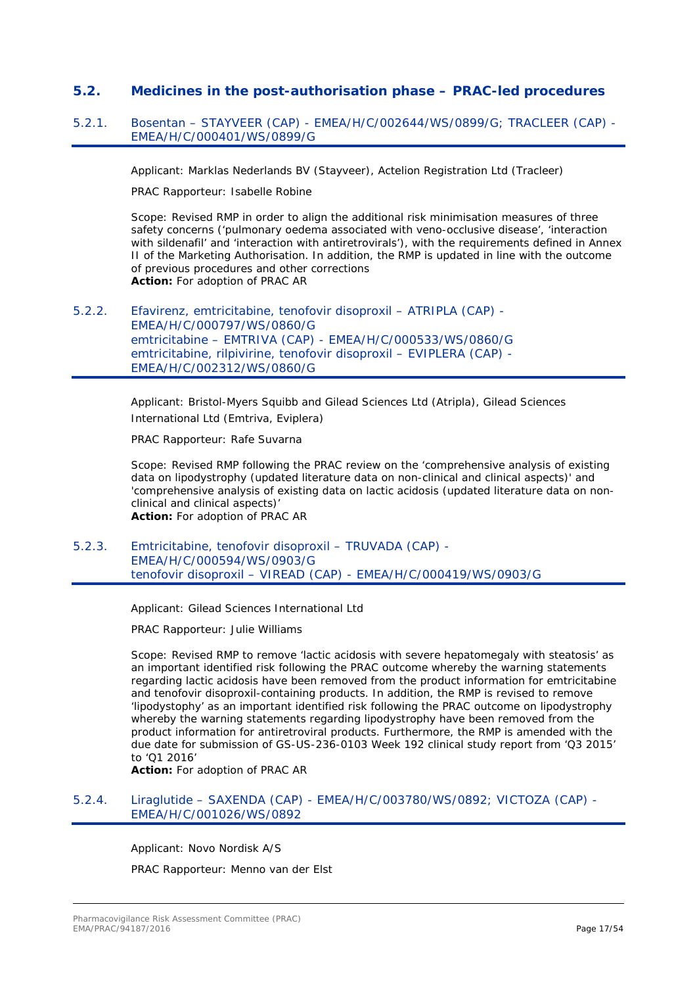### <span id="page-16-0"></span>**5.2. Medicines in the post-authorisation phase – PRAC-led procedures**

### <span id="page-16-1"></span>5.2.1. Bosentan – STAYVEER (CAP) - EMEA/H/C/002644/WS/0899/G; TRACLEER (CAP) - EMEA/H/C/000401/WS/0899/G

Applicant: Marklas Nederlands BV (Stayveer), Actelion Registration Ltd (Tracleer)

PRAC Rapporteur: Isabelle Robine

Scope: Revised RMP in order to align the additional risk minimisation measures of three safety concerns ('pulmonary oedema associated with veno-occlusive disease', 'interaction with sildenafil' and 'interaction with antiretrovirals'), with the requirements defined in Annex II of the Marketing Authorisation. In addition, the RMP is updated in line with the outcome of previous procedures and other corrections **Action:** For adoption of PRAC AR

<span id="page-16-2"></span>5.2.2. Efavirenz, emtricitabine, tenofovir disoproxil – ATRIPLA (CAP) - EMEA/H/C/000797/WS/0860/G emtricitabine – EMTRIVA (CAP) - EMEA/H/C/000533/WS/0860/G emtricitabine, rilpivirine, tenofovir disoproxil – EVIPLERA (CAP) - EMEA/H/C/002312/WS/0860/G

> Applicant: Bristol-Myers Squibb and Gilead Sciences Ltd (Atripla), Gilead Sciences International Ltd (Emtriva, Eviplera)

PRAC Rapporteur: Rafe Suvarna

Scope: Revised RMP following the PRAC review on the 'comprehensive analysis of existing data on lipodystrophy (updated literature data on non-clinical and clinical aspects)' and 'comprehensive analysis of existing data on lactic acidosis (updated literature data on nonclinical and clinical aspects)' **Action:** For adoption of PRAC AR

<span id="page-16-3"></span>5.2.3. Emtricitabine, tenofovir disoproxil – TRUVADA (CAP) - EMEA/H/C/000594/WS/0903/G tenofovir disoproxil – VIREAD (CAP) - EMEA/H/C/000419/WS/0903/G

Applicant: Gilead Sciences International Ltd

PRAC Rapporteur: Julie Williams

Scope: Revised RMP to remove 'lactic acidosis with severe hepatomegaly with steatosis' as an important identified risk following the PRAC outcome whereby the warning statements regarding lactic acidosis have been removed from the product information for emtricitabine and tenofovir disoproxil-containing products. In addition, the RMP is revised to remove 'lipodystophy' as an important identified risk following the PRAC outcome on lipodystrophy whereby the warning statements regarding lipodystrophy have been removed from the product information for antiretroviral products. Furthermore, the RMP is amended with the due date for submission of GS-US-236-0103 Week 192 clinical study report from 'Q3 2015' to 'Q1 2016'

**Action:** For adoption of PRAC AR

### <span id="page-16-4"></span>5.2.4. Liraglutide – SAXENDA (CAP) - EMEA/H/C/003780/WS/0892; VICTOZA (CAP) - EMEA/H/C/001026/WS/0892

Applicant: Novo Nordisk A/S PRAC Rapporteur: Menno van der Elst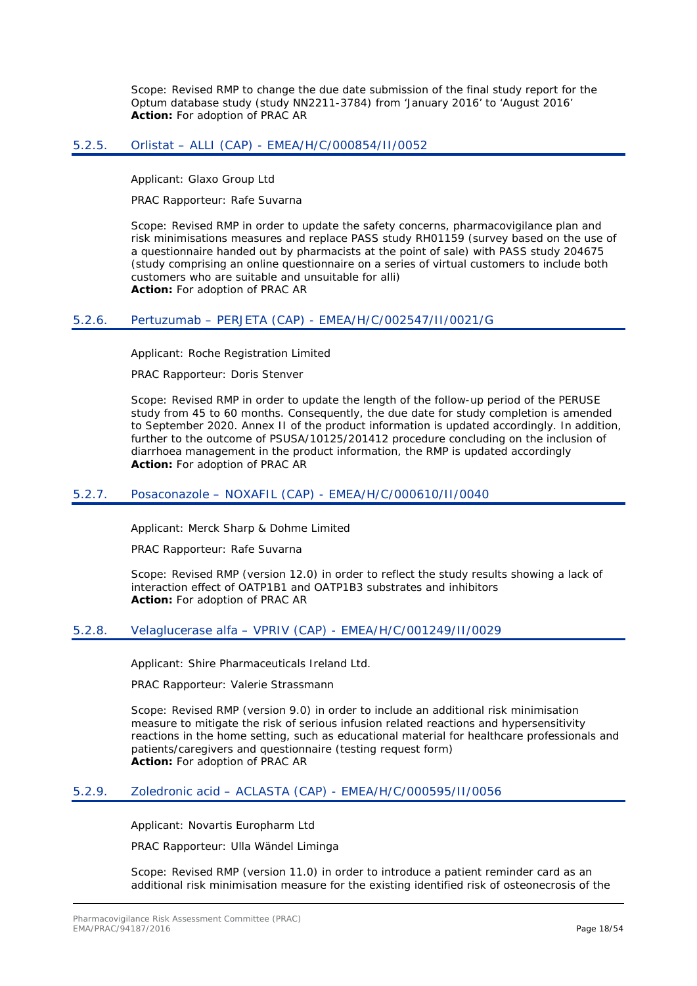Scope: Revised RMP to change the due date submission of the final study report for the Optum database study (study NN2211-3784) from 'January 2016' to 'August 2016' **Action:** For adoption of PRAC AR

### <span id="page-17-0"></span>5.2.5. Orlistat – ALLI (CAP) - EMEA/H/C/000854/II/0052

Applicant: Glaxo Group Ltd

PRAC Rapporteur: Rafe Suvarna

Scope: Revised RMP in order to update the safety concerns, pharmacovigilance plan and risk minimisations measures and replace PASS study RH01159 (survey based on the use of a questionnaire handed out by pharmacists at the point of sale) with PASS study 204675 (study comprising an online questionnaire on a series of virtual customers to include both customers who are suitable and unsuitable for alli) **Action:** For adoption of PRAC AR

### <span id="page-17-1"></span>5.2.6. Pertuzumab – PERJETA (CAP) - EMEA/H/C/002547/II/0021/G

Applicant: Roche Registration Limited

PRAC Rapporteur: Doris Stenver

Scope: Revised RMP in order to update the length of the follow-up period of the PERUSE study from 45 to 60 months. Consequently, the due date for study completion is amended to September 2020. Annex II of the product information is updated accordingly. In addition, further to the outcome of PSUSA/10125/201412 procedure concluding on the inclusion of diarrhoea management in the product information, the RMP is updated accordingly **Action:** For adoption of PRAC AR

#### <span id="page-17-2"></span>5.2.7. Posaconazole – NOXAFIL (CAP) - EMEA/H/C/000610/II/0040

Applicant: Merck Sharp & Dohme Limited

PRAC Rapporteur: Rafe Suvarna

Scope: Revised RMP (version 12.0) in order to reflect the study results showing a lack of interaction effect of OATP1B1 and OATP1B3 substrates and inhibitors **Action:** For adoption of PRAC AR

### <span id="page-17-3"></span>5.2.8. Velaglucerase alfa – VPRIV (CAP) - EMEA/H/C/001249/II/0029

Applicant: Shire Pharmaceuticals Ireland Ltd.

PRAC Rapporteur: Valerie Strassmann

Scope: Revised RMP (version 9.0) in order to include an additional risk minimisation measure to mitigate the risk of serious infusion related reactions and hypersensitivity reactions in the home setting, such as educational material for healthcare professionals and patients/caregivers and questionnaire (testing request form) **Action:** For adoption of PRAC AR

#### <span id="page-17-4"></span>5.2.9. Zoledronic acid – ACLASTA (CAP) - EMEA/H/C/000595/II/0056

Applicant: Novartis Europharm Ltd

PRAC Rapporteur: Ulla Wändel Liminga

Scope: Revised RMP (version 11.0) in order to introduce a patient reminder card as an additional risk minimisation measure for the existing identified risk of osteonecrosis of the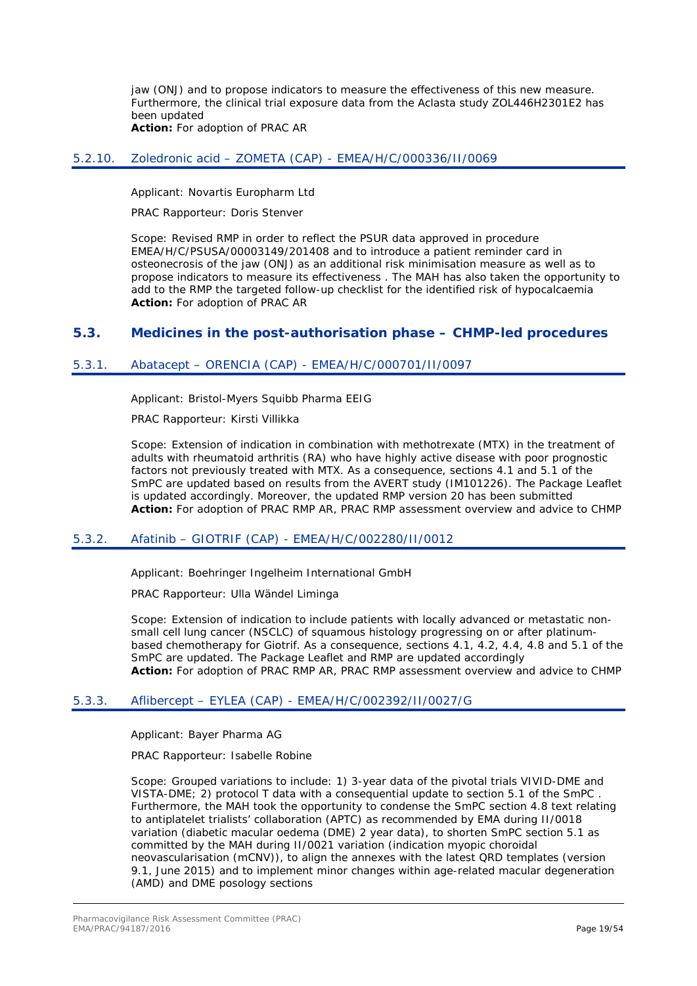jaw (ONJ) and to propose indicators to measure the effectiveness of this new measure. Furthermore, the clinical trial exposure data from the Aclasta study ZOL446H2301E2 has been updated **Action:** For adoption of PRAC AR

### <span id="page-18-0"></span>5.2.10. Zoledronic acid – ZOMETA (CAP) - EMEA/H/C/000336/II/0069

Applicant: Novartis Europharm Ltd

PRAC Rapporteur: Doris Stenver

Scope: Revised RMP in order to reflect the PSUR data approved in procedure EMEA/H/C/PSUSA/00003149/201408 and to introduce a patient reminder card in osteonecrosis of the jaw (ONJ) as an additional risk minimisation measure as well as to propose indicators to measure its effectiveness . The MAH has also taken the opportunity to add to the RMP the targeted follow-up checklist for the identified risk of hypocalcaemia **Action:** For adoption of PRAC AR

### <span id="page-18-1"></span>**5.3. Medicines in the post-authorisation phase – CHMP-led procedures**

### <span id="page-18-2"></span>5.3.1. Abatacept – ORENCIA (CAP) - EMEA/H/C/000701/II/0097

Applicant: Bristol-Myers Squibb Pharma EEIG

PRAC Rapporteur: Kirsti Villikka

Scope: Extension of indication in combination with methotrexate (MTX) in the treatment of adults with rheumatoid arthritis (RA) who have highly active disease with poor prognostic factors not previously treated with MTX. As a consequence, sections 4.1 and 5.1 of the SmPC are updated based on results from the AVERT study (IM101226). The Package Leaflet is updated accordingly. Moreover, the updated RMP version 20 has been submitted **Action:** For adoption of PRAC RMP AR, PRAC RMP assessment overview and advice to CHMP

### <span id="page-18-3"></span>5.3.2. Afatinib – GIOTRIF (CAP) - EMEA/H/C/002280/II/0012

Applicant: Boehringer Ingelheim International GmbH

PRAC Rapporteur: Ulla Wändel Liminga

Scope: Extension of indication to include patients with locally advanced or metastatic nonsmall cell lung cancer (NSCLC) of squamous histology progressing on or after platinumbased chemotherapy for Giotrif. As a consequence, sections 4.1, 4.2, 4.4, 4.8 and 5.1 of the SmPC are updated. The Package Leaflet and RMP are updated accordingly **Action:** For adoption of PRAC RMP AR, PRAC RMP assessment overview and advice to CHMP

#### <span id="page-18-4"></span>5.3.3. Aflibercept – EYLEA (CAP) - EMEA/H/C/002392/II/0027/G

Applicant: Bayer Pharma AG

PRAC Rapporteur: Isabelle Robine

Scope: Grouped variations to include: 1) 3-year data of the pivotal trials VIVID-DME and VISTA-DME; 2) protocol T data with a consequential update to section 5.1 of the SmPC . Furthermore, the MAH took the opportunity to condense the SmPC section 4.8 text relating to antiplatelet trialists' collaboration (APTC) as recommended by EMA during II/0018 variation (diabetic macular oedema (DME) 2 year data), to shorten SmPC section 5.1 as committed by the MAH during II/0021 variation (indication myopic choroidal neovascularisation (mCNV)), to align the annexes with the latest QRD templates (version 9.1, June 2015) and to implement minor changes within age-related macular degeneration (AMD) and DME posology sections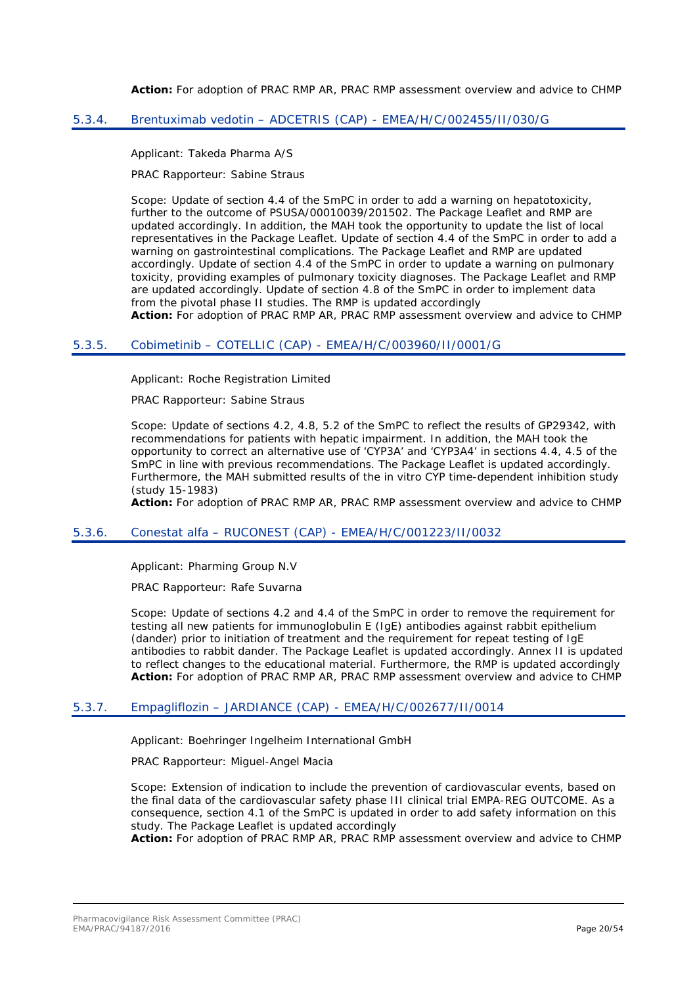**Action:** For adoption of PRAC RMP AR, PRAC RMP assessment overview and advice to CHMP

#### <span id="page-19-0"></span>5.3.4. Brentuximab vedotin – ADCETRIS (CAP) - EMEA/H/C/002455/II/030/G

Applicant: Takeda Pharma A/S

PRAC Rapporteur: Sabine Straus

Scope: Update of section 4.4 of the SmPC in order to add a warning on hepatotoxicity, further to the outcome of PSUSA/00010039/201502. The Package Leaflet and RMP are updated accordingly. In addition, the MAH took the opportunity to update the list of local representatives in the Package Leaflet. Update of section 4.4 of the SmPC in order to add a warning on gastrointestinal complications. The Package Leaflet and RMP are updated accordingly. Update of section 4.4 of the SmPC in order to update a warning on pulmonary toxicity, providing examples of pulmonary toxicity diagnoses. The Package Leaflet and RMP are updated accordingly. Update of section 4.8 of the SmPC in order to implement data from the pivotal phase II studies. The RMP is updated accordingly

**Action:** For adoption of PRAC RMP AR, PRAC RMP assessment overview and advice to CHMP

#### <span id="page-19-1"></span>5.3.5. Cobimetinib – COTELLIC (CAP) - EMEA/H/C/003960/II/0001/G

Applicant: Roche Registration Limited

PRAC Rapporteur: Sabine Straus

Scope: Update of sections 4.2, 4.8, 5.2 of the SmPC to reflect the results of GP29342, with recommendations for patients with hepatic impairment. In addition, the MAH took the opportunity to correct an alternative use of 'CYP3A' and 'CYP3A4' in sections 4.4, 4.5 of the SmPC in line with previous recommendations. The Package Leaflet is updated accordingly. Furthermore, the MAH submitted results of the in vitro CYP time-dependent inhibition study (study 15-1983)

**Action:** For adoption of PRAC RMP AR, PRAC RMP assessment overview and advice to CHMP

#### <span id="page-19-2"></span>5.3.6. Conestat alfa – RUCONEST (CAP) - EMEA/H/C/001223/II/0032

Applicant: Pharming Group N.V

PRAC Rapporteur: Rafe Suvarna

Scope: Update of sections 4.2 and 4.4 of the SmPC in order to remove the requirement for testing all new patients for immunoglobulin E (IgE) antibodies against rabbit epithelium (dander) prior to initiation of treatment and the requirement for repeat testing of IgE antibodies to rabbit dander. The Package Leaflet is updated accordingly. Annex II is updated to reflect changes to the educational material. Furthermore, the RMP is updated accordingly **Action:** For adoption of PRAC RMP AR, PRAC RMP assessment overview and advice to CHMP

#### <span id="page-19-3"></span>5.3.7. Empagliflozin – JARDIANCE (CAP) - EMEA/H/C/002677/II/0014

Applicant: Boehringer Ingelheim International GmbH

PRAC Rapporteur: Miguel-Angel Macia

Scope: Extension of indication to include the prevention of cardiovascular events, based on the final data of the cardiovascular safety phase III clinical trial EMPA-REG OUTCOME. As a consequence, section 4.1 of the SmPC is updated in order to add safety information on this study. The Package Leaflet is updated accordingly

**Action:** For adoption of PRAC RMP AR, PRAC RMP assessment overview and advice to CHMP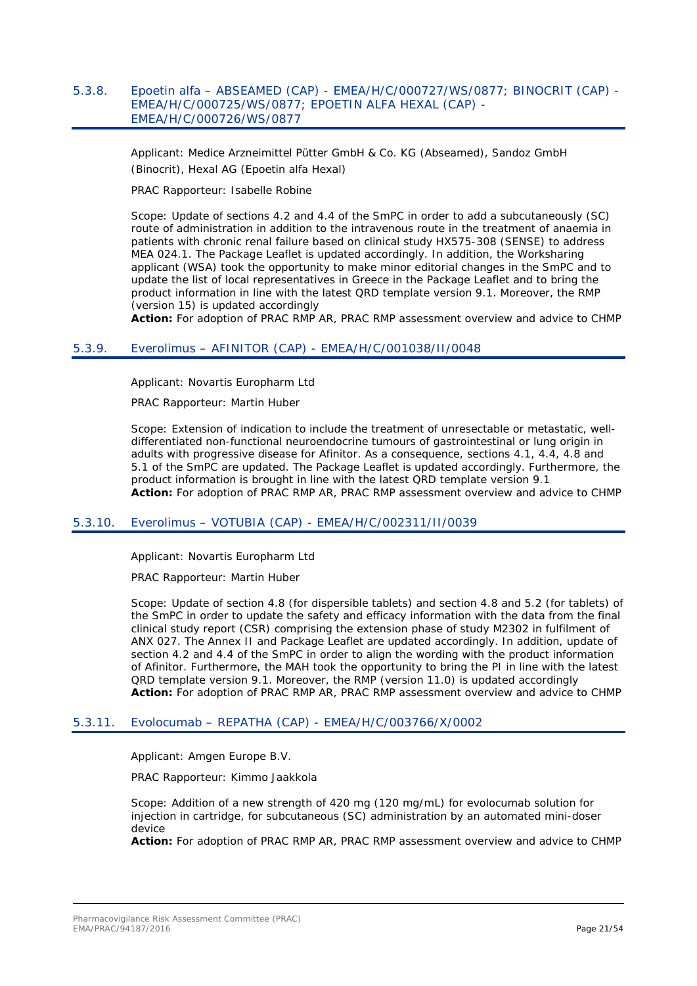### <span id="page-20-0"></span>5.3.8. Epoetin alfa – ABSEAMED (CAP) - EMEA/H/C/000727/WS/0877; BINOCRIT (CAP) - EMEA/H/C/000725/WS/0877; EPOETIN ALFA HEXAL (CAP) - EMEA/H/C/000726/WS/0877

Applicant: Medice Arzneimittel Pütter GmbH & Co. KG (Abseamed), Sandoz GmbH (Binocrit), Hexal AG (Epoetin alfa Hexal)

PRAC Rapporteur: Isabelle Robine

Scope: Update of sections 4.2 and 4.4 of the SmPC in order to add a subcutaneously (SC) route of administration in addition to the intravenous route in the treatment of anaemia in patients with chronic renal failure based on clinical study HX575-308 (SENSE) to address MEA 024.1. The Package Leaflet is updated accordingly. In addition, the Worksharing applicant (WSA) took the opportunity to make minor editorial changes in the SmPC and to update the list of local representatives in Greece in the Package Leaflet and to bring the product information in line with the latest QRD template version 9.1. Moreover, the RMP (version 15) is updated accordingly

**Action:** For adoption of PRAC RMP AR, PRAC RMP assessment overview and advice to CHMP

### <span id="page-20-1"></span>5.3.9. Everolimus – AFINITOR (CAP) - EMEA/H/C/001038/II/0048

Applicant: Novartis Europharm Ltd

PRAC Rapporteur: Martin Huber

Scope: Extension of indication to include the treatment of unresectable or metastatic, welldifferentiated non-functional neuroendocrine tumours of gastrointestinal or lung origin in adults with progressive disease for Afinitor. As a consequence, sections 4.1, 4.4, 4.8 and 5.1 of the SmPC are updated. The Package Leaflet is updated accordingly. Furthermore, the product information is brought in line with the latest QRD template version 9.1 **Action:** For adoption of PRAC RMP AR, PRAC RMP assessment overview and advice to CHMP

### <span id="page-20-2"></span>5.3.10. Everolimus – VOTUBIA (CAP) - EMEA/H/C/002311/II/0039

Applicant: Novartis Europharm Ltd

PRAC Rapporteur: Martin Huber

Scope: Update of section 4.8 (for dispersible tablets) and section 4.8 and 5.2 (for tablets) of the SmPC in order to update the safety and efficacy information with the data from the final clinical study report (CSR) comprising the extension phase of study M2302 in fulfilment of ANX 027. The Annex II and Package Leaflet are updated accordingly. In addition, update of section 4.2 and 4.4 of the SmPC in order to align the wording with the product information of Afinitor. Furthermore, the MAH took the opportunity to bring the PI in line with the latest QRD template version 9.1. Moreover, the RMP (version 11.0) is updated accordingly **Action:** For adoption of PRAC RMP AR, PRAC RMP assessment overview and advice to CHMP

### <span id="page-20-3"></span>5.3.11. Evolocumab – REPATHA (CAP) - EMEA/H/C/003766/X/0002

Applicant: Amgen Europe B.V.

PRAC Rapporteur: Kimmo Jaakkola

Scope: Addition of a new strength of 420 mg (120 mg/mL) for evolocumab solution for injection in cartridge, for subcutaneous (SC) administration by an automated mini-doser device

**Action:** For adoption of PRAC RMP AR, PRAC RMP assessment overview and advice to CHMP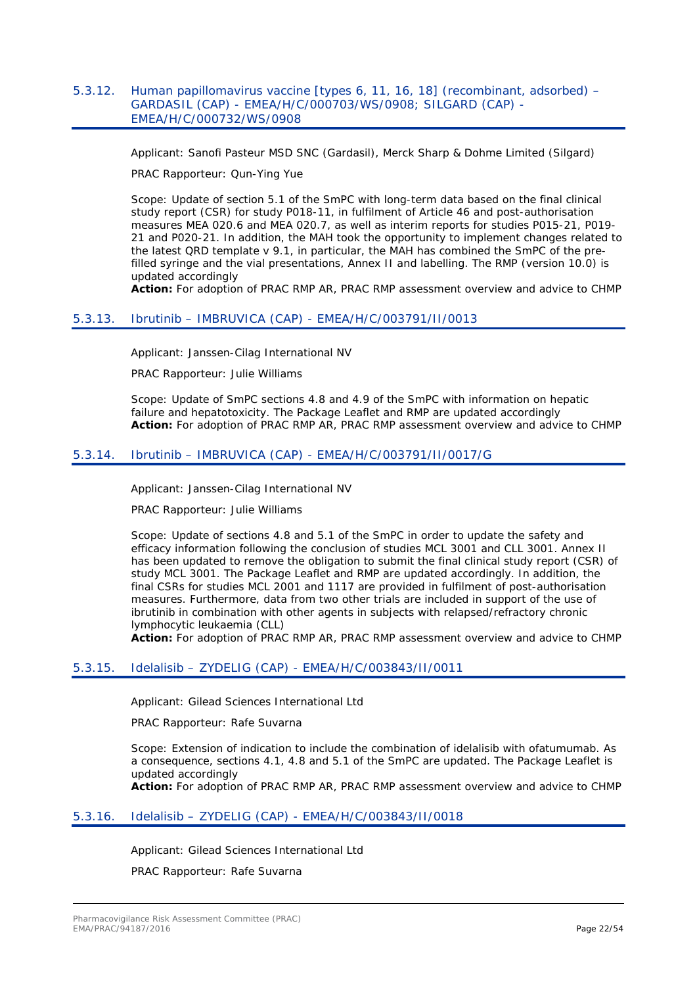### <span id="page-21-0"></span>5.3.12. Human papillomavirus vaccine [types 6, 11, 16, 18] (recombinant, adsorbed) – GARDASIL (CAP) - EMEA/H/C/000703/WS/0908; SILGARD (CAP) - EMEA/H/C/000732/WS/0908

Applicant: Sanofi Pasteur MSD SNC (Gardasil), Merck Sharp & Dohme Limited (Silgard)

PRAC Rapporteur: Qun-Ying Yue

Scope: Update of section 5.1 of the SmPC with long-term data based on the final clinical study report (CSR) for study P018-11, in fulfilment of Article 46 and post-authorisation measures MEA 020.6 and MEA 020.7, as well as interim reports for studies P015-21, P019- 21 and P020-21. In addition, the MAH took the opportunity to implement changes related to the latest QRD template v 9.1, in particular, the MAH has combined the SmPC of the prefilled syringe and the vial presentations, Annex II and labelling. The RMP (version 10.0) is updated accordingly

**Action:** For adoption of PRAC RMP AR, PRAC RMP assessment overview and advice to CHMP

### <span id="page-21-1"></span>5.3.13. Ibrutinib – IMBRUVICA (CAP) - EMEA/H/C/003791/II/0013

Applicant: Janssen-Cilag International NV

PRAC Rapporteur: Julie Williams

Scope: Update of SmPC sections 4.8 and 4.9 of the SmPC with information on hepatic failure and hepatotoxicity. The Package Leaflet and RMP are updated accordingly **Action:** For adoption of PRAC RMP AR, PRAC RMP assessment overview and advice to CHMP

### <span id="page-21-2"></span>5.3.14. Ibrutinib – IMBRUVICA (CAP) - EMEA/H/C/003791/II/0017/G

Applicant: Janssen-Cilag International NV

PRAC Rapporteur: Julie Williams

Scope: Update of sections 4.8 and 5.1 of the SmPC in order to update the safety and efficacy information following the conclusion of studies MCL 3001 and CLL 3001. Annex II has been updated to remove the obligation to submit the final clinical study report (CSR) of study MCL 3001. The Package Leaflet and RMP are updated accordingly. In addition, the final CSRs for studies MCL 2001 and 1117 are provided in fulfilment of post-authorisation measures. Furthermore, data from two other trials are included in support of the use of ibrutinib in combination with other agents in subjects with relapsed/refractory chronic lymphocytic leukaemia (CLL)

**Action:** For adoption of PRAC RMP AR, PRAC RMP assessment overview and advice to CHMP

### <span id="page-21-3"></span>5.3.15. Idelalisib – ZYDELIG (CAP) - EMEA/H/C/003843/II/0011

Applicant: Gilead Sciences International Ltd

PRAC Rapporteur: Rafe Suvarna

Scope: Extension of indication to include the combination of idelalisib with ofatumumab. As a consequence, sections 4.1, 4.8 and 5.1 of the SmPC are updated. The Package Leaflet is updated accordingly

**Action:** For adoption of PRAC RMP AR, PRAC RMP assessment overview and advice to CHMP

### <span id="page-21-4"></span>5.3.16. Idelalisib – ZYDELIG (CAP) - EMEA/H/C/003843/II/0018

Applicant: Gilead Sciences International Ltd

PRAC Rapporteur: Rafe Suvarna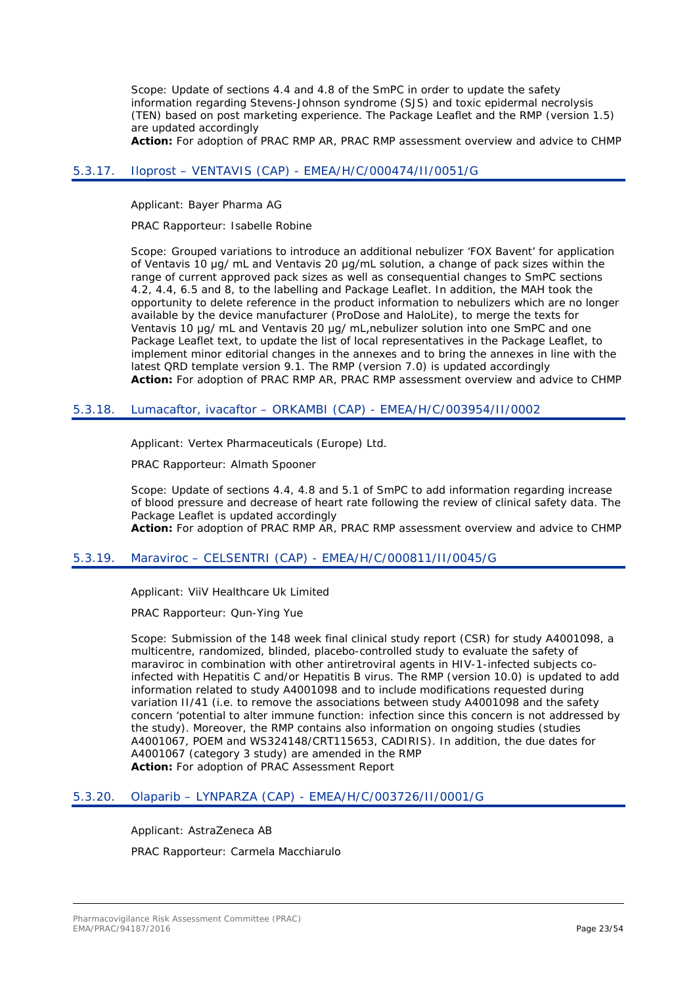Scope: Update of sections 4.4 and 4.8 of the SmPC in order to update the safety information regarding Stevens-Johnson syndrome (SJS) and toxic epidermal necrolysis (TEN) based on post marketing experience. The Package Leaflet and the RMP (version 1.5) are updated accordingly

**Action:** For adoption of PRAC RMP AR, PRAC RMP assessment overview and advice to CHMP

### <span id="page-22-0"></span>5.3.17. Iloprost – VENTAVIS (CAP) - EMEA/H/C/000474/II/0051/G

Applicant: Bayer Pharma AG

PRAC Rapporteur: Isabelle Robine

Scope: Grouped variations to introduce an additional nebulizer 'FOX Bavent' for application of Ventavis 10 μg/ mL and Ventavis 20 μg/mL solution, a change of pack sizes within the range of current approved pack sizes as well as consequential changes to SmPC sections 4.2, 4.4, 6.5 and 8, to the labelling and Package Leaflet. In addition, the MAH took the opportunity to delete reference in the product information to nebulizers which are no longer available by the device manufacturer (ProDose and HaloLite), to merge the texts for Ventavis 10 μg/ mL and Ventavis 20 μg/ mL,nebulizer solution into one SmPC and one Package Leaflet text, to update the list of local representatives in the Package Leaflet, to implement minor editorial changes in the annexes and to bring the annexes in line with the latest QRD template version 9.1. The RMP (version 7.0) is updated accordingly **Action:** For adoption of PRAC RMP AR, PRAC RMP assessment overview and advice to CHMP

### <span id="page-22-1"></span>5.3.18. Lumacaftor, ivacaftor – ORKAMBI (CAP) - EMEA/H/C/003954/II/0002

Applicant: Vertex Pharmaceuticals (Europe) Ltd.

PRAC Rapporteur: Almath Spooner

Scope: Update of sections 4.4, 4.8 and 5.1 of SmPC to add information regarding increase of blood pressure and decrease of heart rate following the review of clinical safety data. The Package Leaflet is updated accordingly

**Action:** For adoption of PRAC RMP AR, PRAC RMP assessment overview and advice to CHMP

#### <span id="page-22-2"></span>5.3.19. Maraviroc – CELSENTRI (CAP) - EMEA/H/C/000811/II/0045/G

Applicant: ViiV Healthcare Uk Limited

PRAC Rapporteur: Qun-Ying Yue

Scope: Submission of the 148 week final clinical study report (CSR) for study A4001098, a multicentre, randomized, blinded, placebo-controlled study to evaluate the safety of maraviroc in combination with other antiretroviral agents in HIV-1-infected subjects coinfected with Hepatitis C and/or Hepatitis B virus. The RMP (version 10.0) is updated to add information related to study A4001098 and to include modifications requested during variation II/41 (i.e. to remove the associations between study A4001098 and the safety concern 'potential to alter immune function: infection since this concern is not addressed by the study). Moreover, the RMP contains also information on ongoing studies (studies A4001067, POEM and WS324148/CRT115653, CADIRIS). In addition, the due dates for A4001067 (category 3 study) are amended in the RMP **Action:** For adoption of PRAC Assessment Report

### <span id="page-22-3"></span>5.3.20. Olaparib – LYNPARZA (CAP) - EMEA/H/C/003726/II/0001/G

Applicant: AstraZeneca AB

PRAC Rapporteur: Carmela Macchiarulo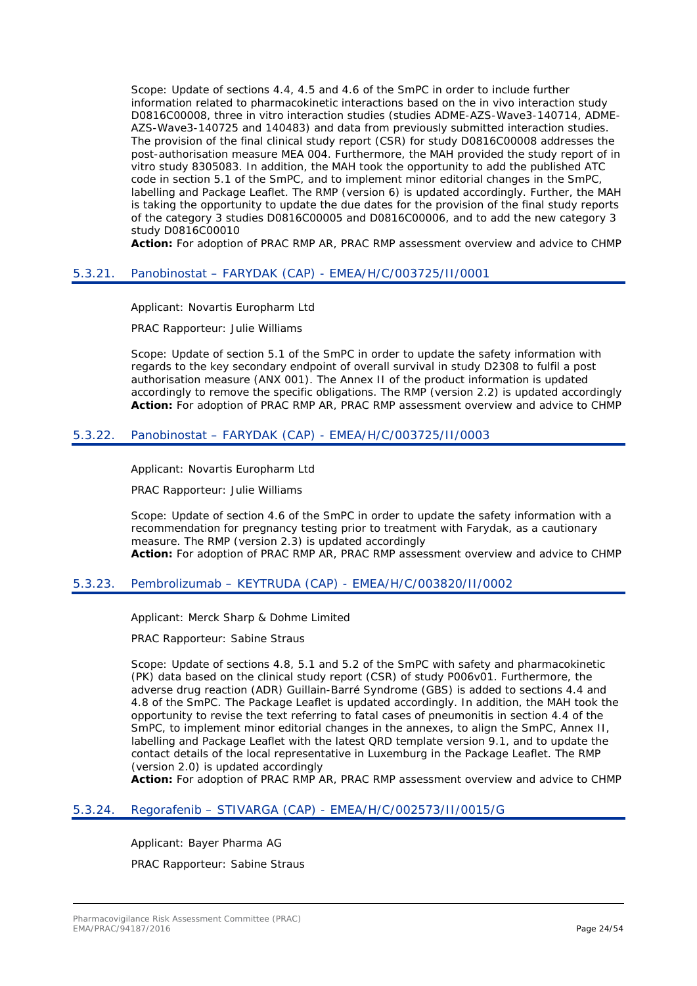Scope: Update of sections 4.4, 4.5 and 4.6 of the SmPC in order to include further information related to pharmacokinetic interactions based on the in vivo interaction study D0816C00008, three in vitro interaction studies (studies ADME-AZS-Wave3-140714, ADME-AZS-Wave3-140725 and 140483) and data from previously submitted interaction studies. The provision of the final clinical study report (CSR) for study D0816C00008 addresses the post-authorisation measure MEA 004. Furthermore, the MAH provided the study report of in vitro study 8305083. In addition, the MAH took the opportunity to add the published ATC code in section 5.1 of the SmPC, and to implement minor editorial changes in the SmPC, labelling and Package Leaflet. The RMP (version 6) is updated accordingly. Further, the MAH is taking the opportunity to update the due dates for the provision of the final study reports of the category 3 studies D0816C00005 and D0816C00006, and to add the new category 3 study D0816C00010

**Action:** For adoption of PRAC RMP AR, PRAC RMP assessment overview and advice to CHMP

#### <span id="page-23-0"></span>5.3.21. Panobinostat – FARYDAK (CAP) - EMEA/H/C/003725/II/0001

Applicant: Novartis Europharm Ltd

PRAC Rapporteur: Julie Williams

Scope: Update of section 5.1 of the SmPC in order to update the safety information with regards to the key secondary endpoint of overall survival in study D2308 to fulfil a post authorisation measure (ANX 001). The Annex II of the product information is updated accordingly to remove the specific obligations. The RMP (version 2.2) is updated accordingly **Action:** For adoption of PRAC RMP AR, PRAC RMP assessment overview and advice to CHMP

### <span id="page-23-1"></span>5.3.22. Panobinostat – FARYDAK (CAP) - EMEA/H/C/003725/II/0003

Applicant: Novartis Europharm Ltd

PRAC Rapporteur: Julie Williams

Scope: Update of section 4.6 of the SmPC in order to update the safety information with a recommendation for pregnancy testing prior to treatment with Farydak, as a cautionary measure. The RMP (version 2.3) is updated accordingly **Action:** For adoption of PRAC RMP AR, PRAC RMP assessment overview and advice to CHMP

### <span id="page-23-2"></span>5.3.23. Pembrolizumab – KEYTRUDA (CAP) - EMEA/H/C/003820/II/0002

Applicant: Merck Sharp & Dohme Limited

PRAC Rapporteur: Sabine Straus

Scope: Update of sections 4.8, 5.1 and 5.2 of the SmPC with safety and pharmacokinetic (PK) data based on the clinical study report (CSR) of study P006v01. Furthermore, the adverse drug reaction (ADR) Guillain-Barré Syndrome (GBS) is added to sections 4.4 and 4.8 of the SmPC. The Package Leaflet is updated accordingly. In addition, the MAH took the opportunity to revise the text referring to fatal cases of pneumonitis in section 4.4 of the SmPC, to implement minor editorial changes in the annexes, to align the SmPC, Annex II, labelling and Package Leaflet with the latest QRD template version 9.1, and to update the contact details of the local representative in Luxemburg in the Package Leaflet. The RMP (version 2.0) is updated accordingly

**Action:** For adoption of PRAC RMP AR, PRAC RMP assessment overview and advice to CHMP

### <span id="page-23-3"></span>5.3.24. Regorafenib – STIVARGA (CAP) - EMEA/H/C/002573/II/0015/G

Applicant: Bayer Pharma AG PRAC Rapporteur: Sabine Straus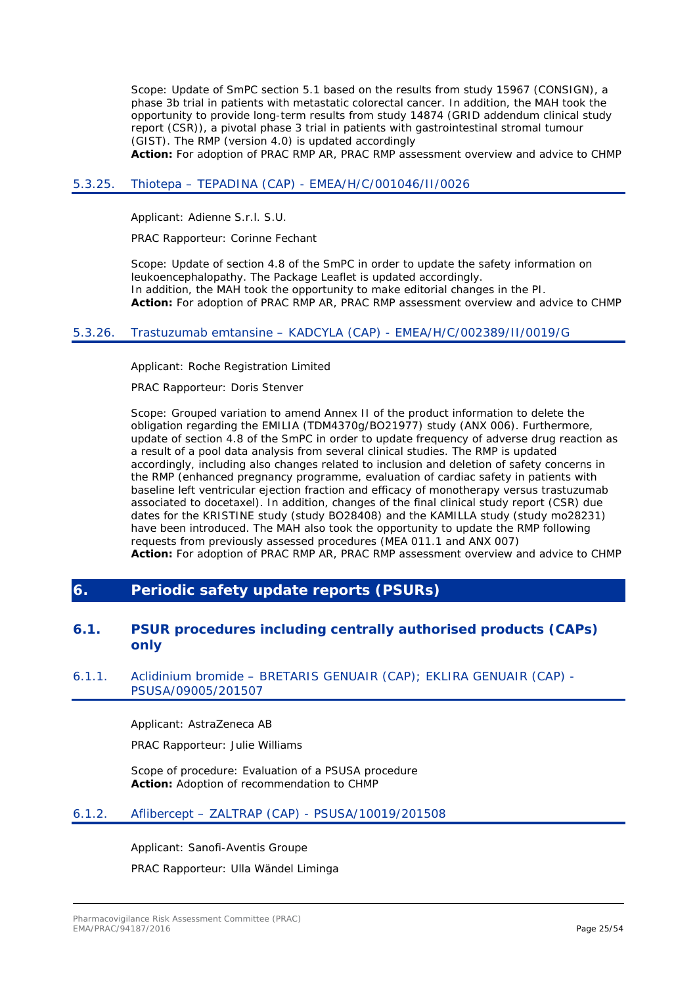Scope: Update of SmPC section 5.1 based on the results from study 15967 (CONSIGN), a phase 3b trial in patients with metastatic colorectal cancer. In addition, the MAH took the opportunity to provide long-term results from study 14874 (GRID addendum clinical study report (CSR)), a pivotal phase 3 trial in patients with gastrointestinal stromal tumour (GIST). The RMP (version 4.0) is updated accordingly

**Action:** For adoption of PRAC RMP AR, PRAC RMP assessment overview and advice to CHMP

#### <span id="page-24-0"></span>5.3.25. Thiotepa – TEPADINA (CAP) - EMEA/H/C/001046/II/0026

Applicant: Adienne S.r.l. S.U.

PRAC Rapporteur: Corinne Fechant

Scope: Update of section 4.8 of the SmPC in order to update the safety information on leukoencephalopathy. The Package Leaflet is updated accordingly. In addition, the MAH took the opportunity to make editorial changes in the PI. **Action:** For adoption of PRAC RMP AR, PRAC RMP assessment overview and advice to CHMP

### <span id="page-24-1"></span>5.3.26. Trastuzumab emtansine – KADCYLA (CAP) - EMEA/H/C/002389/II/0019/G

Applicant: Roche Registration Limited

PRAC Rapporteur: Doris Stenver

Scope: Grouped variation to amend Annex II of the product information to delete the obligation regarding the EMILIA (TDM4370g/BO21977) study (ANX 006). Furthermore, update of section 4.8 of the SmPC in order to update frequency of adverse drug reaction as a result of a pool data analysis from several clinical studies. The RMP is updated accordingly, including also changes related to inclusion and deletion of safety concerns in the RMP (enhanced pregnancy programme, evaluation of cardiac safety in patients with baseline left ventricular ejection fraction and efficacy of monotherapy versus trastuzumab associated to docetaxel). In addition, changes of the final clinical study report (CSR) due dates for the KRISTINE study (study BO28408) and the KAMILLA study (study mo28231) have been introduced. The MAH also took the opportunity to update the RMP following requests from previously assessed procedures (MEA 011.1 and ANX 007) **Action:** For adoption of PRAC RMP AR, PRAC RMP assessment overview and advice to CHMP

## <span id="page-24-2"></span>**6. Periodic safety update reports (PSURs)**

### <span id="page-24-3"></span>**6.1. PSUR procedures including centrally authorised products (CAPs) only**

### <span id="page-24-4"></span>6.1.1. Aclidinium bromide – BRETARIS GENUAIR (CAP); EKLIRA GENUAIR (CAP) - PSUSA/09005/201507

Applicant: AstraZeneca AB

PRAC Rapporteur: Julie Williams

Scope of procedure: Evaluation of a PSUSA procedure **Action:** Adoption of recommendation to CHMP

### <span id="page-24-5"></span>6.1.2. Aflibercept – ZALTRAP (CAP) - PSUSA/10019/201508

Applicant: Sanofi-Aventis Groupe PRAC Rapporteur: Ulla Wändel Liminga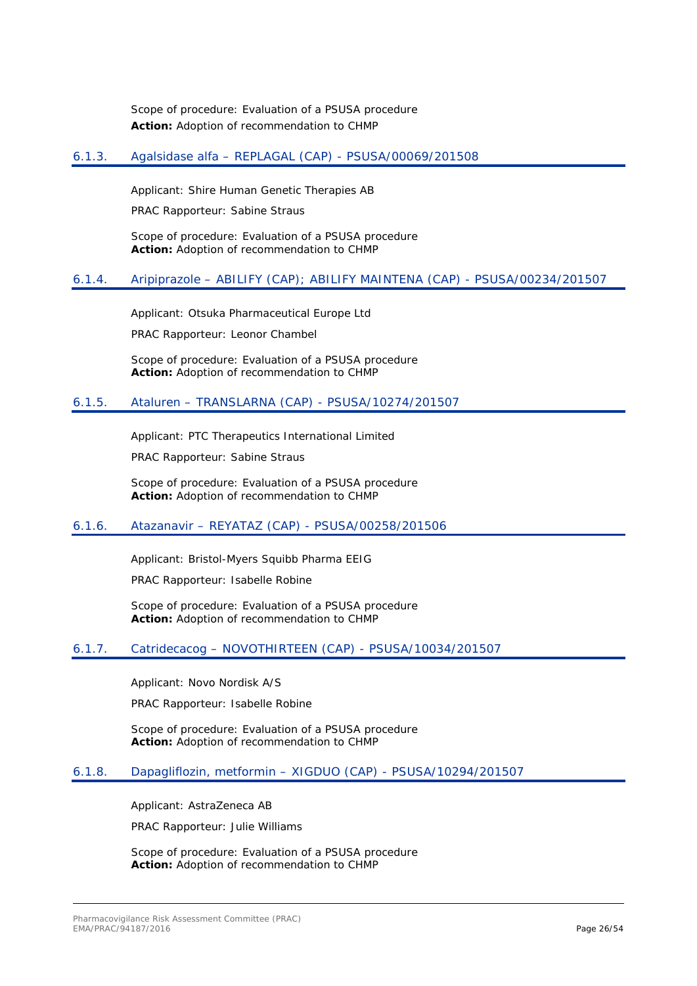Scope of procedure: Evaluation of a PSUSA procedure **Action:** Adoption of recommendation to CHMP

### <span id="page-25-0"></span>6.1.3. Agalsidase alfa – REPLAGAL (CAP) - PSUSA/00069/201508

Applicant: Shire Human Genetic Therapies AB

PRAC Rapporteur: Sabine Straus

Scope of procedure: Evaluation of a PSUSA procedure **Action:** Adoption of recommendation to CHMP

### <span id="page-25-1"></span>6.1.4. Aripiprazole – ABILIFY (CAP); ABILIFY MAINTENA (CAP) - PSUSA/00234/201507

Applicant: Otsuka Pharmaceutical Europe Ltd

PRAC Rapporteur: Leonor Chambel

Scope of procedure: Evaluation of a PSUSA procedure **Action:** Adoption of recommendation to CHMP

### <span id="page-25-2"></span>6.1.5. Ataluren – TRANSLARNA (CAP) - PSUSA/10274/201507

Applicant: PTC Therapeutics International Limited

PRAC Rapporteur: Sabine Straus

Scope of procedure: Evaluation of a PSUSA procedure **Action:** Adoption of recommendation to CHMP

### <span id="page-25-3"></span>6.1.6. Atazanavir – REYATAZ (CAP) - PSUSA/00258/201506

Applicant: Bristol-Myers Squibb Pharma EEIG

PRAC Rapporteur: Isabelle Robine

Scope of procedure: Evaluation of a PSUSA procedure **Action:** Adoption of recommendation to CHMP

### <span id="page-25-4"></span>6.1.7. Catridecacog – NOVOTHIRTEEN (CAP) - PSUSA/10034/201507

Applicant: Novo Nordisk A/S

PRAC Rapporteur: Isabelle Robine

Scope of procedure: Evaluation of a PSUSA procedure **Action:** Adoption of recommendation to CHMP

### <span id="page-25-5"></span>6.1.8. Dapagliflozin, metformin – XIGDUO (CAP) - PSUSA/10294/201507

Applicant: AstraZeneca AB

PRAC Rapporteur: Julie Williams

Scope of procedure: Evaluation of a PSUSA procedure **Action:** Adoption of recommendation to CHMP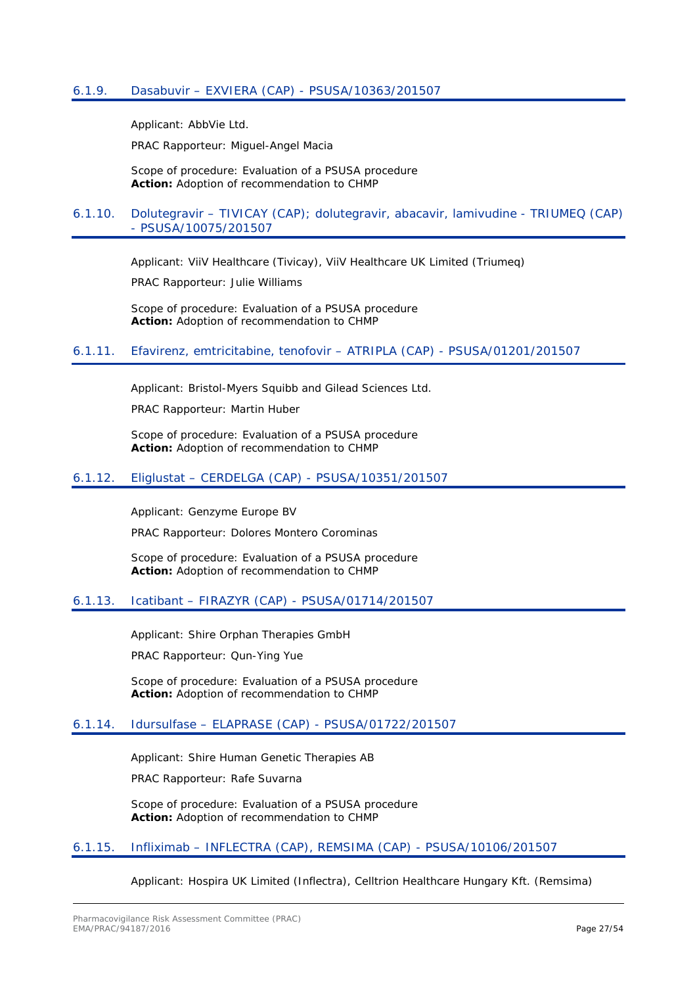<span id="page-26-0"></span>Applicant: AbbVie Ltd.

PRAC Rapporteur: Miguel-Angel Macia

Scope of procedure: Evaluation of a PSUSA procedure **Action:** Adoption of recommendation to CHMP

### <span id="page-26-1"></span>6.1.10. Dolutegravir – TIVICAY (CAP); dolutegravir, abacavir, lamivudine - TRIUMEQ (CAP) - PSUSA/10075/201507

Applicant: ViiV Healthcare (Tivicay), ViiV Healthcare UK Limited (Triumeq)

PRAC Rapporteur: Julie Williams

Scope of procedure: Evaluation of a PSUSA procedure **Action:** Adoption of recommendation to CHMP

### <span id="page-26-2"></span>6.1.11. Efavirenz, emtricitabine, tenofovir – ATRIPLA (CAP) - PSUSA/01201/201507

Applicant: Bristol-Myers Squibb and Gilead Sciences Ltd.

PRAC Rapporteur: Martin Huber

Scope of procedure: Evaluation of a PSUSA procedure **Action:** Adoption of recommendation to CHMP

### <span id="page-26-3"></span>6.1.12. Eliglustat – CERDELGA (CAP) - PSUSA/10351/201507

Applicant: Genzyme Europe BV

PRAC Rapporteur: Dolores Montero Corominas

Scope of procedure: Evaluation of a PSUSA procedure **Action:** Adoption of recommendation to CHMP

#### <span id="page-26-4"></span>6.1.13. Icatibant – FIRAZYR (CAP) - PSUSA/01714/201507

Applicant: Shire Orphan Therapies GmbH

PRAC Rapporteur: Qun-Ying Yue

Scope of procedure: Evaluation of a PSUSA procedure **Action:** Adoption of recommendation to CHMP

### <span id="page-26-5"></span>6.1.14. Idursulfase – ELAPRASE (CAP) - PSUSA/01722/201507

Applicant: Shire Human Genetic Therapies AB

PRAC Rapporteur: Rafe Suvarna

Scope of procedure: Evaluation of a PSUSA procedure **Action:** Adoption of recommendation to CHMP

#### <span id="page-26-6"></span>6.1.15. Infliximab – INFLECTRA (CAP), REMSIMA (CAP) - PSUSA/10106/201507

Applicant: Hospira UK Limited (Inflectra), Celltrion Healthcare Hungary Kft. (Remsima)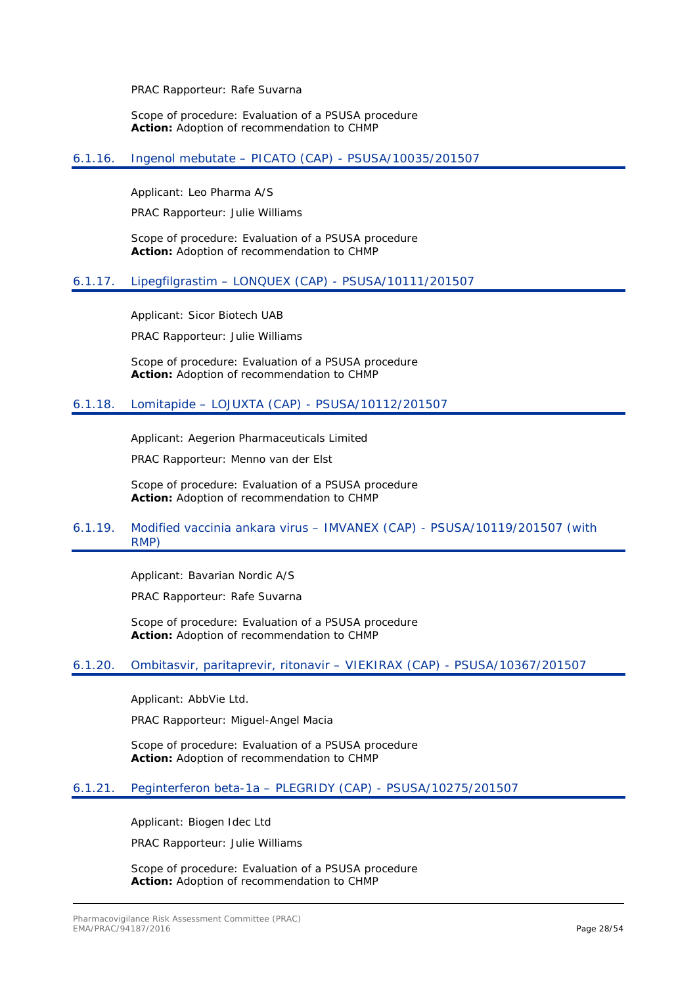PRAC Rapporteur: Rafe Suvarna

Scope of procedure: Evaluation of a PSUSA procedure **Action:** Adoption of recommendation to CHMP

### <span id="page-27-0"></span>6.1.16. Ingenol mebutate – PICATO (CAP) - PSUSA/10035/201507

Applicant: Leo Pharma A/S

PRAC Rapporteur: Julie Williams

Scope of procedure: Evaluation of a PSUSA procedure **Action:** Adoption of recommendation to CHMP

### <span id="page-27-1"></span>6.1.17. Lipegfilgrastim – LONQUEX (CAP) - PSUSA/10111/201507

Applicant: Sicor Biotech UAB

PRAC Rapporteur: Julie Williams

Scope of procedure: Evaluation of a PSUSA procedure **Action:** Adoption of recommendation to CHMP

### <span id="page-27-2"></span>6.1.18. Lomitapide – LOJUXTA (CAP) - PSUSA/10112/201507

Applicant: Aegerion Pharmaceuticals Limited

PRAC Rapporteur: Menno van der Elst

Scope of procedure: Evaluation of a PSUSA procedure **Action:** Adoption of recommendation to CHMP

### <span id="page-27-3"></span>6.1.19. Modified vaccinia ankara virus – IMVANEX (CAP) - PSUSA/10119/201507 (with RMP)

Applicant: Bavarian Nordic A/S

PRAC Rapporteur: Rafe Suvarna

Scope of procedure: Evaluation of a PSUSA procedure **Action:** Adoption of recommendation to CHMP

### <span id="page-27-4"></span>6.1.20. Ombitasvir, paritaprevir, ritonavir – VIEKIRAX (CAP) - PSUSA/10367/201507

Applicant: AbbVie Ltd.

PRAC Rapporteur: Miguel-Angel Macia

Scope of procedure: Evaluation of a PSUSA procedure **Action:** Adoption of recommendation to CHMP

### <span id="page-27-5"></span>6.1.21. Peginterferon beta-1a – PLEGRIDY (CAP) - PSUSA/10275/201507

Applicant: Biogen Idec Ltd

PRAC Rapporteur: Julie Williams

Scope of procedure: Evaluation of a PSUSA procedure **Action:** Adoption of recommendation to CHMP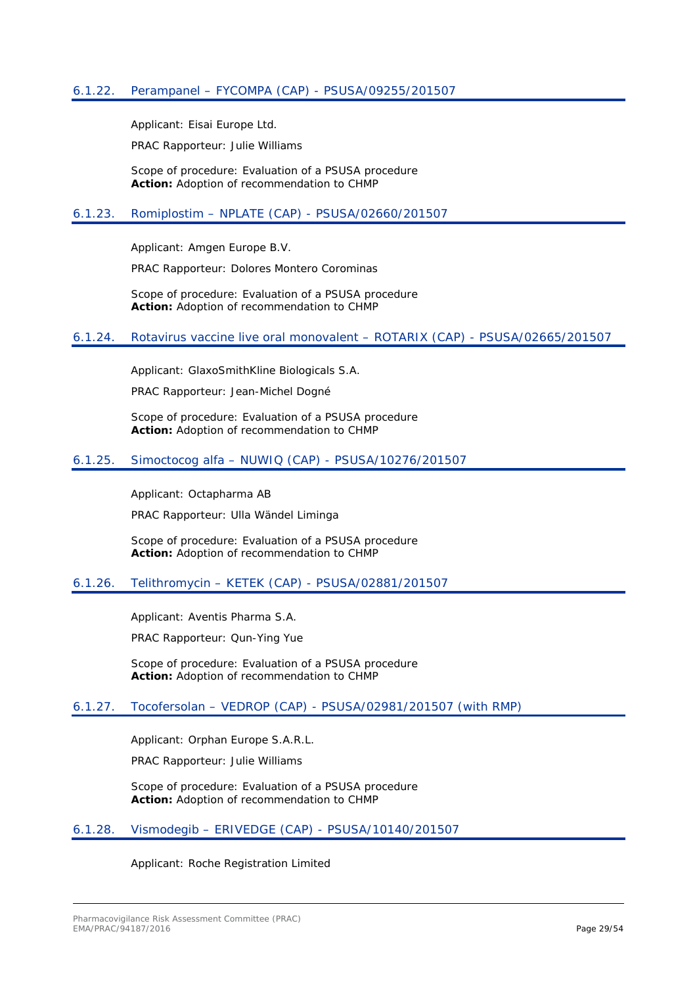<span id="page-28-0"></span>Applicant: Eisai Europe Ltd.

PRAC Rapporteur: Julie Williams

Scope of procedure: Evaluation of a PSUSA procedure **Action:** Adoption of recommendation to CHMP

### <span id="page-28-1"></span>6.1.23. Romiplostim – NPLATE (CAP) - PSUSA/02660/201507

Applicant: Amgen Europe B.V.

PRAC Rapporteur: Dolores Montero Corominas

Scope of procedure: Evaluation of a PSUSA procedure **Action:** Adoption of recommendation to CHMP

### <span id="page-28-2"></span>6.1.24. Rotavirus vaccine live oral monovalent – ROTARIX (CAP) - PSUSA/02665/201507

Applicant: GlaxoSmithKline Biologicals S.A.

PRAC Rapporteur: Jean-Michel Dogné

Scope of procedure: Evaluation of a PSUSA procedure **Action:** Adoption of recommendation to CHMP

### <span id="page-28-3"></span>6.1.25. Simoctocog alfa – NUWIQ (CAP) - PSUSA/10276/201507

Applicant: Octapharma AB

PRAC Rapporteur: Ulla Wändel Liminga

Scope of procedure: Evaluation of a PSUSA procedure **Action:** Adoption of recommendation to CHMP

### <span id="page-28-4"></span>6.1.26. Telithromycin – KETEK (CAP) - PSUSA/02881/201507

Applicant: Aventis Pharma S.A.

PRAC Rapporteur: Qun-Ying Yue

Scope of procedure: Evaluation of a PSUSA procedure **Action:** Adoption of recommendation to CHMP

### <span id="page-28-5"></span>6.1.27. Tocofersolan – VEDROP (CAP) - PSUSA/02981/201507 (with RMP)

Applicant: Orphan Europe S.A.R.L.

PRAC Rapporteur: Julie Williams

Scope of procedure: Evaluation of a PSUSA procedure **Action:** Adoption of recommendation to CHMP

### <span id="page-28-6"></span>6.1.28. Vismodegib – ERIVEDGE (CAP) - PSUSA/10140/201507

#### Applicant: Roche Registration Limited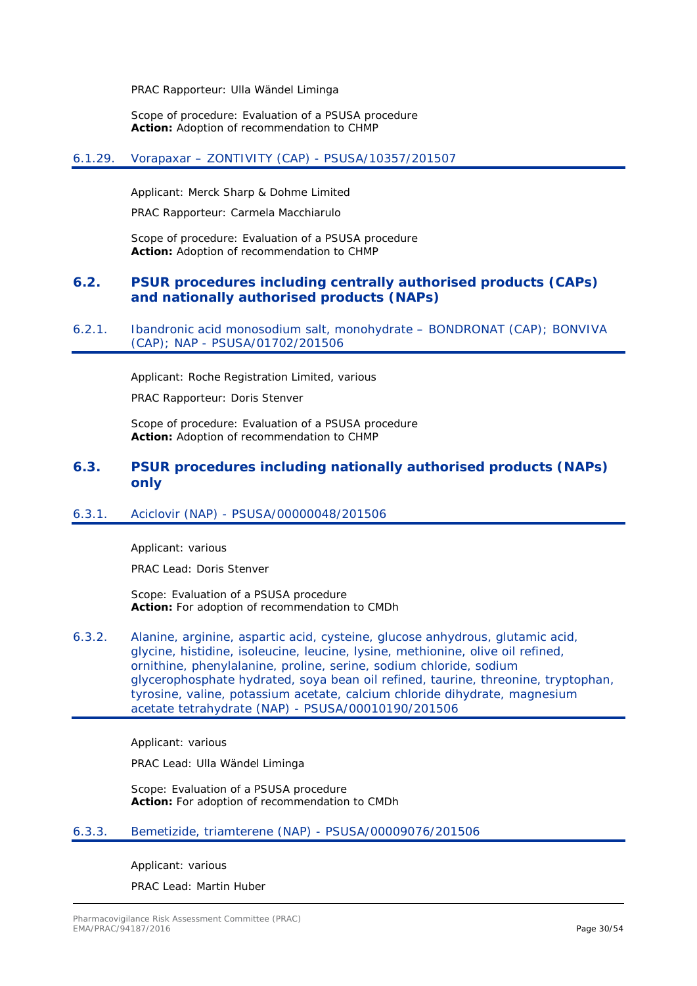PRAC Rapporteur: Ulla Wändel Liminga

Scope of procedure: Evaluation of a PSUSA procedure **Action:** Adoption of recommendation to CHMP

### <span id="page-29-0"></span>6.1.29. Vorapaxar – ZONTIVITY (CAP) - PSUSA/10357/201507

Applicant: Merck Sharp & Dohme Limited

PRAC Rapporteur: Carmela Macchiarulo

Scope of procedure: Evaluation of a PSUSA procedure **Action:** Adoption of recommendation to CHMP

### <span id="page-29-1"></span>**6.2. PSUR procedures including centrally authorised products (CAPs) and nationally authorised products (NAPs)**

<span id="page-29-2"></span>6.2.1. Ibandronic acid monosodium salt, monohydrate – BONDRONAT (CAP); BONVIVA (CAP); NAP - PSUSA/01702/201506

Applicant: Roche Registration Limited, various

PRAC Rapporteur: Doris Stenver

Scope of procedure: Evaluation of a PSUSA procedure **Action:** Adoption of recommendation to CHMP

### <span id="page-29-3"></span>**6.3. PSUR procedures including nationally authorised products (NAPs) only**

### <span id="page-29-4"></span>6.3.1. Aciclovir (NAP) - PSUSA/00000048/201506

Applicant: various

PRAC Lead: Doris Stenver

Scope: Evaluation of a PSUSA procedure **Action:** For adoption of recommendation to CMDh

<span id="page-29-5"></span>6.3.2. Alanine, arginine, aspartic acid, cysteine, glucose anhydrous, glutamic acid, glycine, histidine, isoleucine, leucine, lysine, methionine, olive oil refined, ornithine, phenylalanine, proline, serine, sodium chloride, sodium glycerophosphate hydrated, soya bean oil refined, taurine, threonine, tryptophan, tyrosine, valine, potassium acetate, calcium chloride dihydrate, magnesium acetate tetrahydrate (NAP) - PSUSA/00010190/201506

Applicant: various

PRAC Lead: Ulla Wändel Liminga

Scope: Evaluation of a PSUSA procedure **Action:** For adoption of recommendation to CMDh

#### <span id="page-29-6"></span>6.3.3. Bemetizide, triamterene (NAP) - PSUSA/00009076/201506

Applicant: various

PRAC Lead: Martin Huber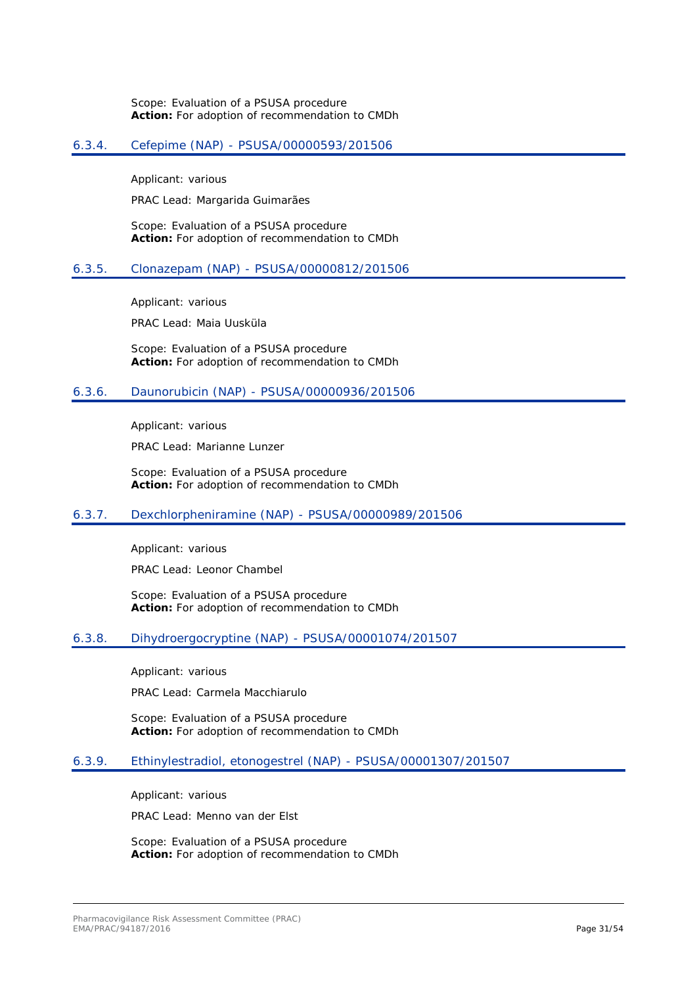Scope: Evaluation of a PSUSA procedure **Action:** For adoption of recommendation to CMDh

#### <span id="page-30-0"></span>6.3.4. Cefepime (NAP) - PSUSA/00000593/201506

Applicant: various

PRAC Lead: Margarida Guimarães

Scope: Evaluation of a PSUSA procedure **Action:** For adoption of recommendation to CMDh

#### <span id="page-30-1"></span>6.3.5. Clonazepam (NAP) - PSUSA/00000812/201506

Applicant: various

PRAC Lead: Maia Uusküla

Scope: Evaluation of a PSUSA procedure **Action:** For adoption of recommendation to CMDh

#### <span id="page-30-2"></span>6.3.6. Daunorubicin (NAP) - PSUSA/00000936/201506

Applicant: various

PRAC Lead: Marianne Lunzer

Scope: Evaluation of a PSUSA procedure **Action:** For adoption of recommendation to CMDh

#### <span id="page-30-3"></span>6.3.7. Dexchlorpheniramine (NAP) - PSUSA/00000989/201506

Applicant: various

PRAC Lead: Leonor Chambel

Scope: Evaluation of a PSUSA procedure **Action:** For adoption of recommendation to CMDh

#### <span id="page-30-4"></span>6.3.8. Dihydroergocryptine (NAP) - PSUSA/00001074/201507

Applicant: various

PRAC Lead: Carmela Macchiarulo

Scope: Evaluation of a PSUSA procedure **Action:** For adoption of recommendation to CMDh

#### <span id="page-30-5"></span>6.3.9. Ethinylestradiol, etonogestrel (NAP) - PSUSA/00001307/201507

Applicant: various

PRAC Lead: Menno van der Elst

Scope: Evaluation of a PSUSA procedure **Action:** For adoption of recommendation to CMDh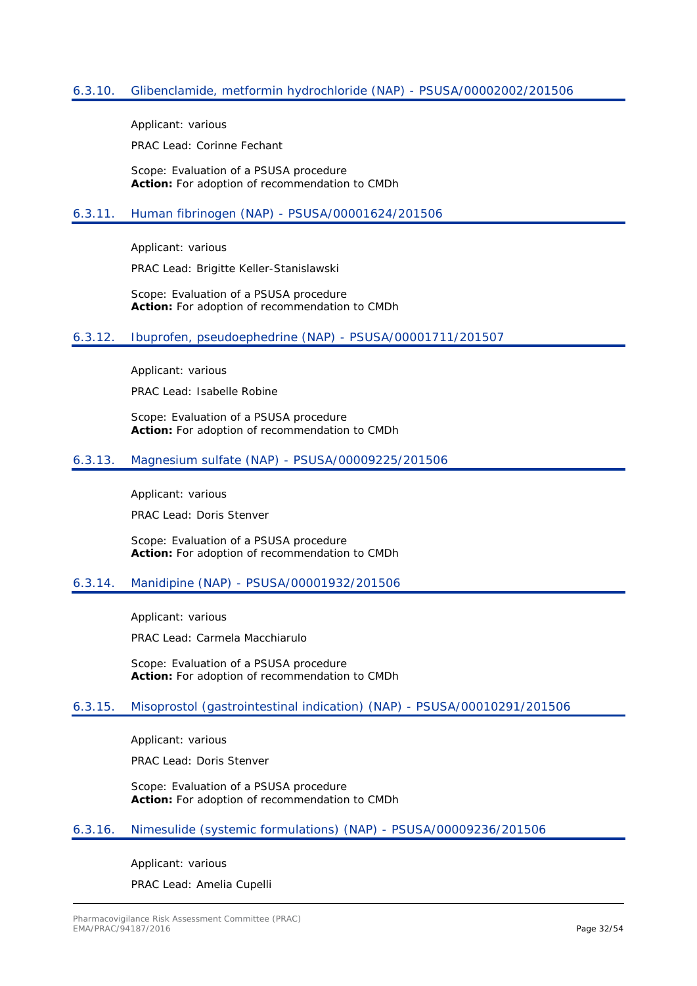### <span id="page-31-0"></span>6.3.10. Glibenclamide, metformin hydrochloride (NAP) - PSUSA/00002002/201506

Applicant: various

PRAC Lead: Corinne Fechant

Scope: Evaluation of a PSUSA procedure **Action:** For adoption of recommendation to CMDh

#### <span id="page-31-1"></span>6.3.11. Human fibrinogen (NAP) - PSUSA/00001624/201506

Applicant: various

PRAC Lead: Brigitte Keller-Stanislawski

Scope: Evaluation of a PSUSA procedure **Action:** For adoption of recommendation to CMDh

#### <span id="page-31-2"></span>6.3.12. Ibuprofen, pseudoephedrine (NAP) - PSUSA/00001711/201507

Applicant: various

PRAC Lead: Isabelle Robine

Scope: Evaluation of a PSUSA procedure **Action:** For adoption of recommendation to CMDh

### <span id="page-31-3"></span>6.3.13. Magnesium sulfate (NAP) - PSUSA/00009225/201506

Applicant: various

PRAC Lead: Doris Stenver

Scope: Evaluation of a PSUSA procedure **Action:** For adoption of recommendation to CMDh

### <span id="page-31-4"></span>6.3.14. Manidipine (NAP) - PSUSA/00001932/201506

Applicant: various

PRAC Lead: Carmela Macchiarulo

Scope: Evaluation of a PSUSA procedure **Action:** For adoption of recommendation to CMDh

#### <span id="page-31-5"></span>6.3.15. Misoprostol (gastrointestinal indication) (NAP) - PSUSA/00010291/201506

Applicant: various

PRAC Lead: Doris Stenver

Scope: Evaluation of a PSUSA procedure **Action:** For adoption of recommendation to CMDh

#### <span id="page-31-6"></span>6.3.16. Nimesulide (systemic formulations) (NAP) - PSUSA/00009236/201506

Applicant: various

PRAC Lead: Amelia Cupelli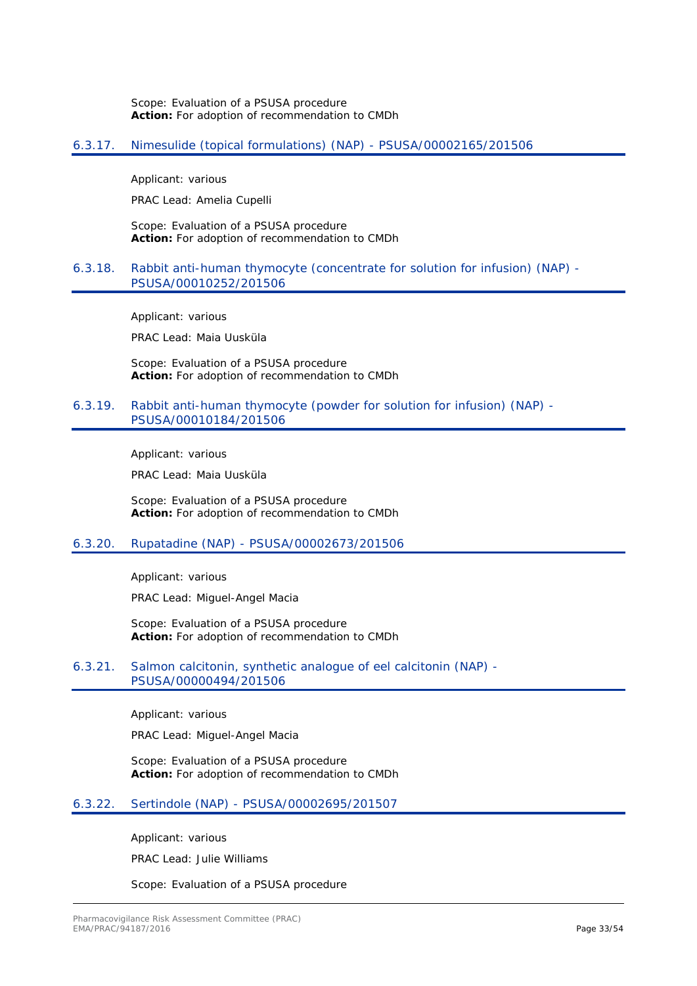Scope: Evaluation of a PSUSA procedure **Action:** For adoption of recommendation to CMDh

### <span id="page-32-0"></span>6.3.17. Nimesulide (topical formulations) (NAP) - PSUSA/00002165/201506

Applicant: various

PRAC Lead: Amelia Cupelli

Scope: Evaluation of a PSUSA procedure **Action:** For adoption of recommendation to CMDh

#### <span id="page-32-1"></span>6.3.18. Rabbit anti-human thymocyte (concentrate for solution for infusion) (NAP) - PSUSA/00010252/201506

Applicant: various

PRAC Lead: Maia Uusküla

Scope: Evaluation of a PSUSA procedure **Action:** For adoption of recommendation to CMDh

### <span id="page-32-2"></span>6.3.19. Rabbit anti-human thymocyte (powder for solution for infusion) (NAP) - PSUSA/00010184/201506

Applicant: various

PRAC Lead: Maia Uusküla

Scope: Evaluation of a PSUSA procedure **Action:** For adoption of recommendation to CMDh

#### <span id="page-32-3"></span>6.3.20. Rupatadine (NAP) - PSUSA/00002673/201506

Applicant: various

PRAC Lead: Miguel-Angel Macia

Scope: Evaluation of a PSUSA procedure **Action:** For adoption of recommendation to CMDh

### <span id="page-32-4"></span>6.3.21. Salmon calcitonin, synthetic analogue of eel calcitonin (NAP) - PSUSA/00000494/201506

Applicant: various

PRAC Lead: Miguel-Angel Macia

Scope: Evaluation of a PSUSA procedure **Action:** For adoption of recommendation to CMDh

### <span id="page-32-5"></span>6.3.22. Sertindole (NAP) - PSUSA/00002695/201507

Applicant: various

PRAC Lead: Julie Williams

Scope: Evaluation of a PSUSA procedure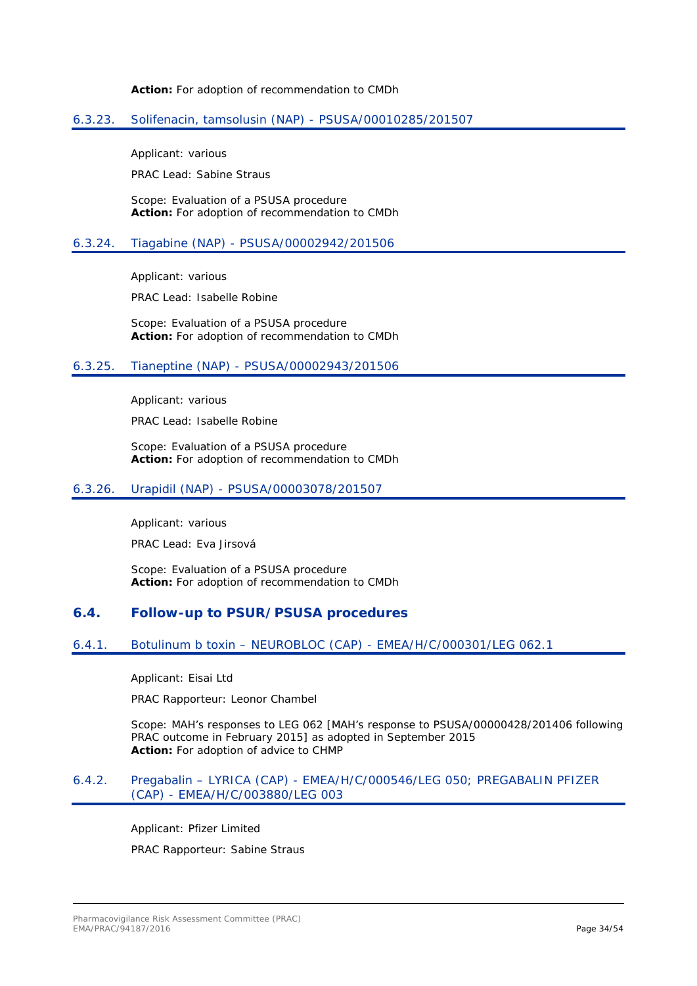**Action:** For adoption of recommendation to CMDh

### <span id="page-33-0"></span>6.3.23. Solifenacin, tamsolusin (NAP) - PSUSA/00010285/201507

Applicant: various

PRAC Lead: Sabine Straus

Scope: Evaluation of a PSUSA procedure **Action:** For adoption of recommendation to CMDh

### <span id="page-33-1"></span>6.3.24. Tiagabine (NAP) - PSUSA/00002942/201506

Applicant: various

PRAC Lead: Isabelle Robine

Scope: Evaluation of a PSUSA procedure **Action:** For adoption of recommendation to CMDh

### <span id="page-33-2"></span>6.3.25. Tianeptine (NAP) - PSUSA/00002943/201506

Applicant: various

PRAC Lead: Isabelle Robine

Scope: Evaluation of a PSUSA procedure **Action:** For adoption of recommendation to CMDh

#### <span id="page-33-3"></span>6.3.26. Urapidil (NAP) - PSUSA/00003078/201507

Applicant: various

PRAC Lead: Eva Jirsová

Scope: Evaluation of a PSUSA procedure **Action:** For adoption of recommendation to CMDh

### <span id="page-33-4"></span>**6.4. Follow-up to PSUR/PSUSA procedures**

### <span id="page-33-5"></span>6.4.1. Botulinum b toxin – NEUROBLOC (CAP) - EMEA/H/C/000301/LEG 062.1

Applicant: Eisai Ltd

PRAC Rapporteur: Leonor Chambel

Scope: MAH's responses to LEG 062 [MAH's response to PSUSA/00000428/201406 following PRAC outcome in February 2015] as adopted in September 2015 **Action:** For adoption of advice to CHMP

#### <span id="page-33-6"></span>6.4.2. Pregabalin – LYRICA (CAP) - EMEA/H/C/000546/LEG 050; PREGABALIN PFIZER (CAP) - EMEA/H/C/003880/LEG 003

Applicant: Pfizer Limited PRAC Rapporteur: Sabine Straus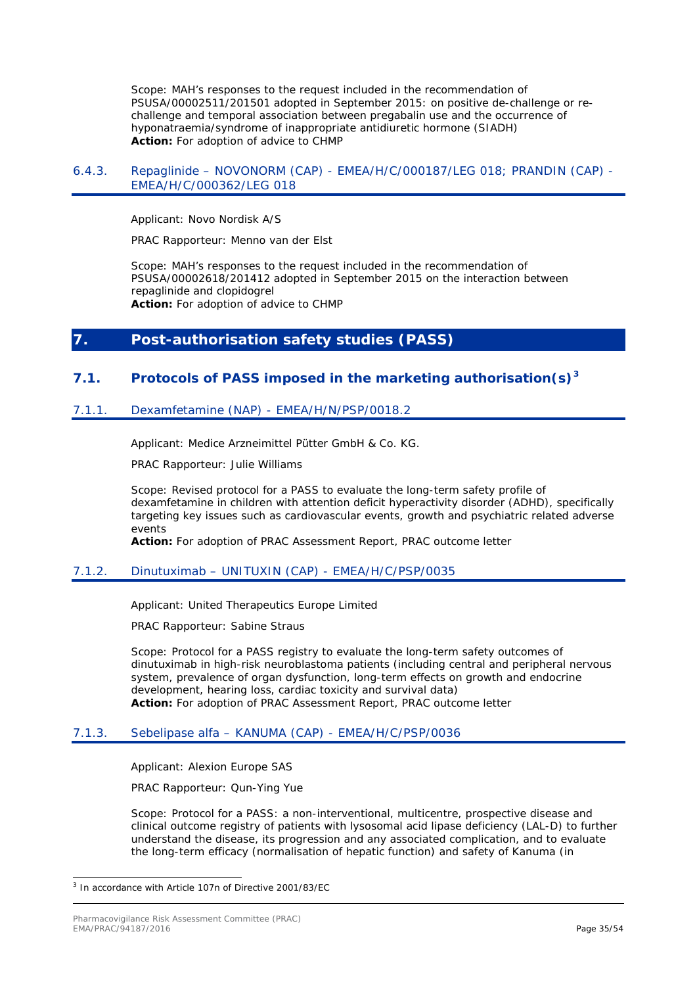Scope: MAH's responses to the request included in the recommendation of PSUSA/00002511/201501 adopted in September 2015: on positive de-challenge or rechallenge and temporal association between pregabalin use and the occurrence of hyponatraemia/syndrome of inappropriate antidiuretic hormone (SIADH) **Action:** For adoption of advice to CHMP

#### <span id="page-34-0"></span>6.4.3. Repaglinide – NOVONORM (CAP) - EMEA/H/C/000187/LEG 018; PRANDIN (CAP) - EMEA/H/C/000362/LEG 018

Applicant: Novo Nordisk A/S

PRAC Rapporteur: Menno van der Elst

Scope: MAH's responses to the request included in the recommendation of PSUSA/00002618/201412 adopted in September 2015 on the interaction between repaglinide and clopidogrel **Action:** For adoption of advice to CHMP

### <span id="page-34-1"></span>**7. Post-authorisation safety studies (PASS)**

### <span id="page-34-2"></span>**7.1. Protocols of PASS imposed in the marketing authorisation(s)[3](#page-34-6)**

### <span id="page-34-3"></span>7.1.1. Dexamfetamine (NAP) - EMEA/H/N/PSP/0018.2

Applicant: Medice Arzneimittel Pütter GmbH & Co. KG.

PRAC Rapporteur: Julie Williams

Scope: Revised protocol for a PASS to evaluate the long-term safety profile of dexamfetamine in children with attention deficit hyperactivity disorder (ADHD), specifically targeting key issues such as cardiovascular events, growth and psychiatric related adverse events

**Action:** For adoption of PRAC Assessment Report, PRAC outcome letter

### <span id="page-34-4"></span>7.1.2. Dinutuximab – UNITUXIN (CAP) - EMEA/H/C/PSP/0035

Applicant: United Therapeutics Europe Limited

PRAC Rapporteur: Sabine Straus

Scope: Protocol for a PASS registry to evaluate the long-term safety outcomes of dinutuximab in high-risk neuroblastoma patients (including central and peripheral nervous system, prevalence of organ dysfunction, long-term effects on growth and endocrine development, hearing loss, cardiac toxicity and survival data) **Action:** For adoption of PRAC Assessment Report, PRAC outcome letter

### <span id="page-34-5"></span>7.1.3. Sebelipase alfa – KANUMA (CAP) - EMEA/H/C/PSP/0036

Applicant: Alexion Europe SAS

PRAC Rapporteur: Qun-Ying Yue

Scope: Protocol for a PASS: a non-interventional, multicentre, prospective disease and clinical outcome registry of patients with lysosomal acid lipase deficiency (LAL-D) to further understand the disease, its progression and any associated complication, and to evaluate the long-term efficacy (normalisation of hepatic function) and safety of Kanuma (in

<span id="page-34-6"></span> <sup>3</sup> In accordance with Article 107n of Directive 2001/83/EC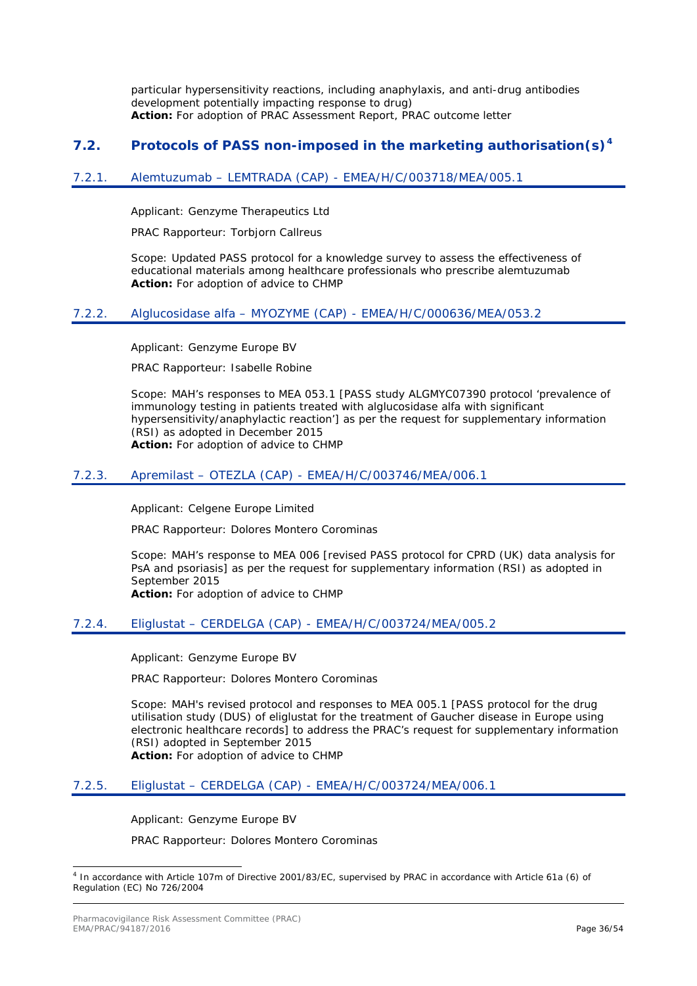particular hypersensitivity reactions, including anaphylaxis, and anti-drug antibodies development potentially impacting response to drug) **Action:** For adoption of PRAC Assessment Report, PRAC outcome letter

### <span id="page-35-0"></span>**7.2. Protocols of PASS non-imposed in the marketing authorisation(s)[4](#page-35-6)**

### <span id="page-35-1"></span>7.2.1. Alemtuzumab – LEMTRADA (CAP) - EMEA/H/C/003718/MEA/005.1

Applicant: Genzyme Therapeutics Ltd

PRAC Rapporteur: Torbjorn Callreus

Scope: Updated PASS protocol for a knowledge survey to assess the effectiveness of educational materials among healthcare professionals who prescribe alemtuzumab **Action:** For adoption of advice to CHMP

### <span id="page-35-2"></span>7.2.2. Alglucosidase alfa – MYOZYME (CAP) - EMEA/H/C/000636/MEA/053.2

Applicant: Genzyme Europe BV

PRAC Rapporteur: Isabelle Robine

Scope: MAH's responses to MEA 053.1 [PASS study ALGMYC07390 protocol 'prevalence of immunology testing in patients treated with alglucosidase alfa with significant hypersensitivity/anaphylactic reaction'] as per the request for supplementary information (RSI) as adopted in December 2015 **Action:** For adoption of advice to CHMP

### <span id="page-35-3"></span>7.2.3. Apremilast – OTEZLA (CAP) - EMEA/H/C/003746/MEA/006.1

Applicant: Celgene Europe Limited

PRAC Rapporteur: Dolores Montero Corominas

Scope: MAH's response to MEA 006 [revised PASS protocol for CPRD (UK) data analysis for PsA and psoriasis] as per the request for supplementary information (RSI) as adopted in September 2015 **Action:** For adoption of advice to CHMP

### <span id="page-35-4"></span>7.2.4. Eliglustat – CERDELGA (CAP) - EMEA/H/C/003724/MEA/005.2

Applicant: Genzyme Europe BV

PRAC Rapporteur: Dolores Montero Corominas

Scope: MAH's revised protocol and responses to MEA 005.1 [PASS protocol for the drug utilisation study (DUS) of eliglustat for the treatment of Gaucher disease in Europe using electronic healthcare records] to address the PRAC's request for supplementary information (RSI) adopted in September 2015 **Action:** For adoption of advice to CHMP

### <span id="page-35-5"></span>7.2.5. Eliglustat – CERDELGA (CAP) - EMEA/H/C/003724/MEA/006.1

Applicant: Genzyme Europe BV

PRAC Rapporteur: Dolores Montero Corominas

<span id="page-35-6"></span> <sup>4</sup> In accordance with Article 107m of Directive 2001/83/EC, supervised by PRAC in accordance with Article 61a (6) of Regulation (EC) No 726/2004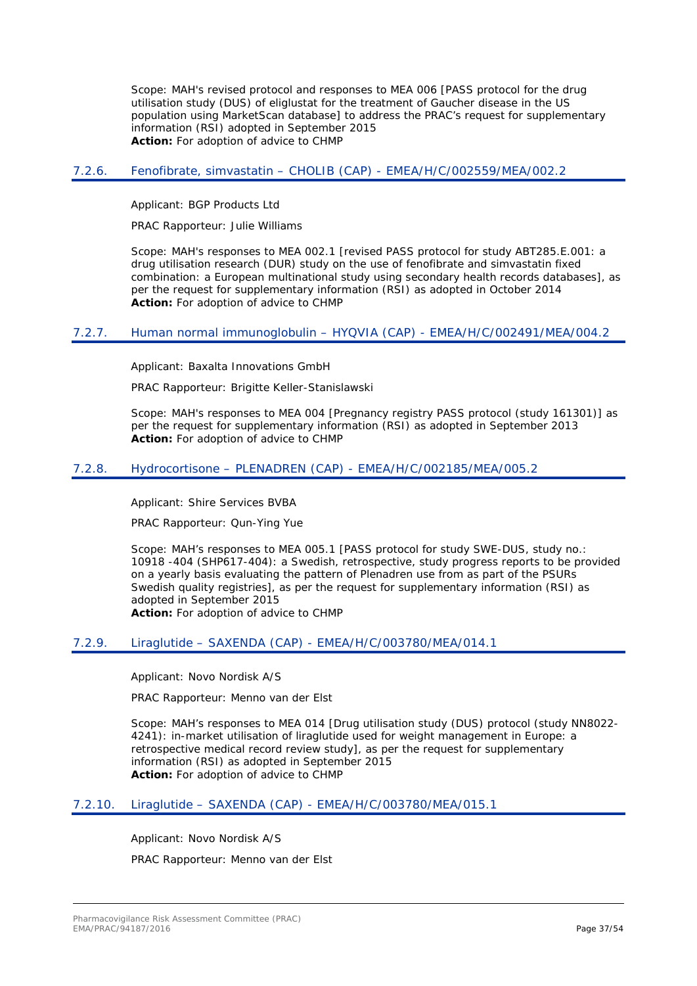Scope: MAH's revised protocol and responses to MEA 006 [PASS protocol for the drug utilisation study (DUS) of eliglustat for the treatment of Gaucher disease in the US population using MarketScan database] to address the PRAC's request for supplementary information (RSI) adopted in September 2015 **Action:** For adoption of advice to CHMP

### <span id="page-36-0"></span>7.2.6. Fenofibrate, simvastatin – CHOLIB (CAP) - EMEA/H/C/002559/MEA/002.2

Applicant: BGP Products Ltd

PRAC Rapporteur: Julie Williams

Scope: MAH's responses to MEA 002.1 [revised PASS protocol for study ABT285.E.001: a drug utilisation research (DUR) study on the use of fenofibrate and simvastatin fixed combination: a European multinational study using secondary health records databases], as per the request for supplementary information (RSI) as adopted in October 2014 **Action:** For adoption of advice to CHMP

### <span id="page-36-1"></span>7.2.7. Human normal immunoglobulin – HYQVIA (CAP) - EMEA/H/C/002491/MEA/004.2

Applicant: Baxalta Innovations GmbH

PRAC Rapporteur: Brigitte Keller-Stanislawski

Scope: MAH's responses to MEA 004 [Pregnancy registry PASS protocol (study 161301)] as per the request for supplementary information (RSI) as adopted in September 2013 **Action:** For adoption of advice to CHMP

### <span id="page-36-2"></span>7.2.8. Hydrocortisone – PLENADREN (CAP) - EMEA/H/C/002185/MEA/005.2

Applicant: Shire Services BVBA

PRAC Rapporteur: Qun-Ying Yue

Scope: MAH's responses to MEA 005.1 [PASS protocol for study SWE-DUS, study no.: 10918 -404 (SHP617-404): a Swedish, retrospective, study progress reports to be provided on a yearly basis evaluating the pattern of Plenadren use from as part of the PSURs Swedish quality registries], as per the request for supplementary information (RSI) as adopted in September 2015 **Action:** For adoption of advice to CHMP

### <span id="page-36-3"></span>7.2.9. Liraglutide – SAXENDA (CAP) - EMEA/H/C/003780/MEA/014.1

Applicant: Novo Nordisk A/S

PRAC Rapporteur: Menno van der Elst

Scope: MAH's responses to MEA 014 [Drug utilisation study (DUS) protocol (study NN8022- 4241): in-market utilisation of liraglutide used for weight management in Europe: a retrospective medical record review study], as per the request for supplementary information (RSI) as adopted in September 2015 **Action:** For adoption of advice to CHMP

### <span id="page-36-4"></span>7.2.10. Liraglutide – SAXENDA (CAP) - EMEA/H/C/003780/MEA/015.1

Applicant: Novo Nordisk A/S

PRAC Rapporteur: Menno van der Elst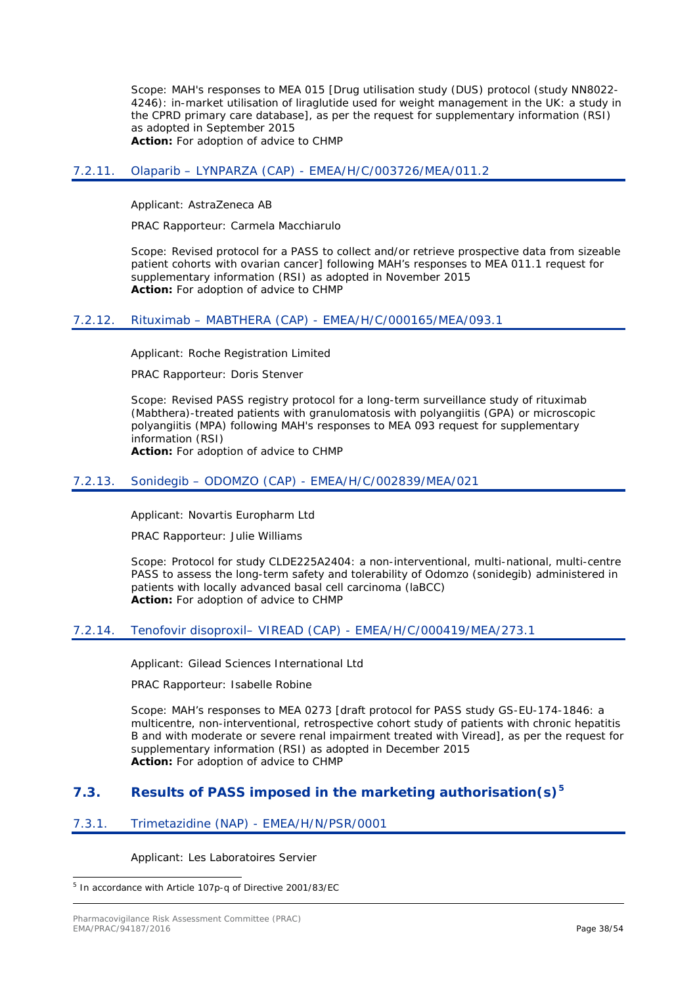Scope: MAH's responses to MEA 015 [Drug utilisation study (DUS) protocol (study NN8022- 4246): in-market utilisation of liraglutide used for weight management in the UK: a study in the CPRD primary care database], as per the request for supplementary information (RSI) as adopted in September 2015 **Action:** For adoption of advice to CHMP

### <span id="page-37-0"></span>7.2.11. Olaparib – LYNPARZA (CAP) - EMEA/H/C/003726/MEA/011.2

Applicant: AstraZeneca AB

PRAC Rapporteur: Carmela Macchiarulo

Scope: Revised protocol for a PASS to collect and/or retrieve prospective data from sizeable patient cohorts with ovarian cancer] following MAH's responses to MEA 011.1 request for supplementary information (RSI) as adopted in November 2015 **Action:** For adoption of advice to CHMP

### <span id="page-37-1"></span>7.2.12. Rituximab – MABTHERA (CAP) - EMEA/H/C/000165/MEA/093.1

Applicant: Roche Registration Limited

PRAC Rapporteur: Doris Stenver

Scope: Revised PASS registry protocol for a long-term surveillance study of rituximab (Mabthera)-treated patients with granulomatosis with polyangiitis (GPA) or microscopic polyangiitis (MPA) following MAH's responses to MEA 093 request for supplementary information (RSI)

**Action:** For adoption of advice to CHMP

#### <span id="page-37-2"></span>7.2.13. Sonidegib – ODOMZO (CAP) - EMEA/H/C/002839/MEA/021

Applicant: Novartis Europharm Ltd

PRAC Rapporteur: Julie Williams

Scope: Protocol for study CLDE225A2404: a non-interventional, multi-national, multi-centre PASS to assess the long-term safety and tolerability of Odomzo (sonidegib) administered in patients with locally advanced basal cell carcinoma (laBCC) **Action:** For adoption of advice to CHMP

#### <span id="page-37-3"></span>7.2.14. Tenofovir disoproxil– VIREAD (CAP) - EMEA/H/C/000419/MEA/273.1

Applicant: Gilead Sciences International Ltd

PRAC Rapporteur: Isabelle Robine

Scope: MAH's responses to MEA 0273 [draft protocol for PASS study GS-EU-174-1846: a multicentre, non-interventional, retrospective cohort study of patients with chronic hepatitis B and with moderate or severe renal impairment treated with Viread], as per the request for supplementary information (RSI) as adopted in December 2015 **Action:** For adoption of advice to CHMP

## <span id="page-37-4"></span>**7.3. Results of PASS imposed in the marketing authorisation(s)[5](#page-37-6)**

### <span id="page-37-5"></span>7.3.1. Trimetazidine (NAP) - EMEA/H/N/PSR/0001

Applicant: Les Laboratoires Servier

<span id="page-37-6"></span>5 In accordance with Article 107p-q of Directive 2001/83/EC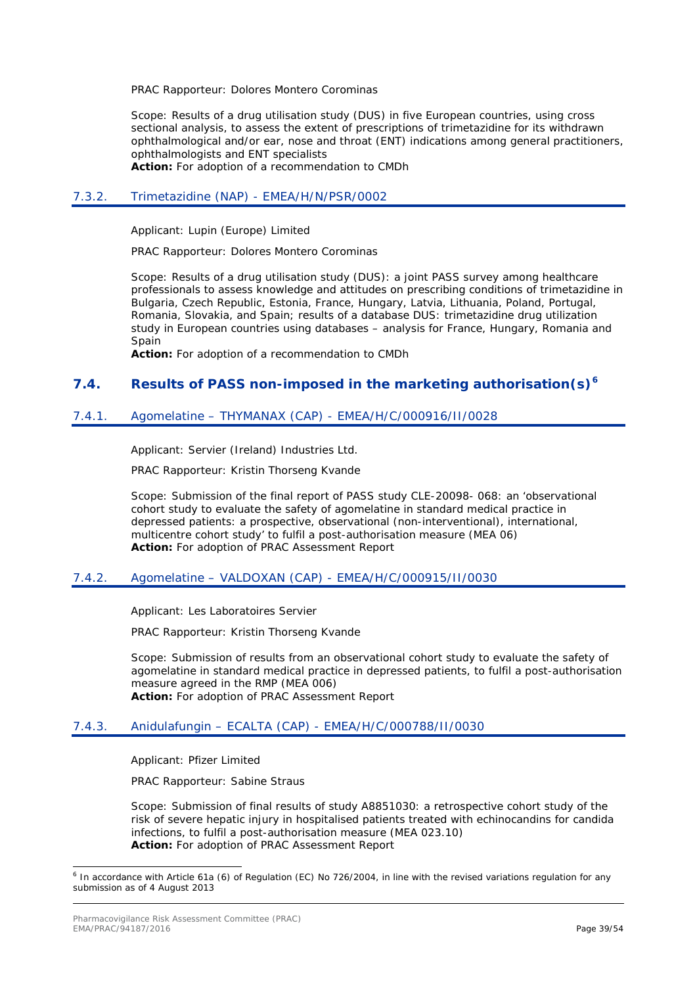PRAC Rapporteur: Dolores Montero Corominas

Scope: Results of a drug utilisation study (DUS) in five European countries, using cross sectional analysis, to assess the extent of prescriptions of trimetazidine for its withdrawn ophthalmological and/or ear, nose and throat (ENT) indications among general practitioners, ophthalmologists and ENT specialists **Action:** For adoption of a recommendation to CMDh

### <span id="page-38-0"></span>7.3.2. Trimetazidine (NAP) - EMEA/H/N/PSR/0002

Applicant: Lupin (Europe) Limited

PRAC Rapporteur: Dolores Montero Corominas

Scope: Results of a drug utilisation study (DUS): a joint PASS survey among healthcare professionals to assess knowledge and attitudes on prescribing conditions of trimetazidine in Bulgaria, Czech Republic, Estonia, France, Hungary, Latvia, Lithuania, Poland, Portugal, Romania, Slovakia, and Spain; results of a database DUS: trimetazidine drug utilization study in European countries using databases – analysis for France, Hungary, Romania and **Spain** 

**Action:** For adoption of a recommendation to CMDh

### <span id="page-38-1"></span>**7.4. Results of PASS non-imposed in the marketing authorisation(s)[6](#page-38-5)**

### <span id="page-38-2"></span>7.4.1. Agomelatine – THYMANAX (CAP) - EMEA/H/C/000916/II/0028

Applicant: Servier (Ireland) Industries Ltd.

PRAC Rapporteur: Kristin Thorseng Kvande

Scope: Submission of the final report of PASS study CLE-20098- 068: an 'observational cohort study to evaluate the safety of agomelatine in standard medical practice in depressed patients: a prospective, observational (non-interventional), international, multicentre cohort study' to fulfil a post-authorisation measure (MEA 06) **Action:** For adoption of PRAC Assessment Report

### <span id="page-38-3"></span>7.4.2. Agomelatine – VALDOXAN (CAP) - EMEA/H/C/000915/II/0030

Applicant: Les Laboratoires Servier

PRAC Rapporteur: Kristin Thorseng Kvande

Scope: Submission of results from an observational cohort study to evaluate the safety of agomelatine in standard medical practice in depressed patients, to fulfil a post-authorisation measure agreed in the RMP (MEA 006) **Action:** For adoption of PRAC Assessment Report

### <span id="page-38-4"></span>7.4.3. Anidulafungin – ECALTA (CAP) - EMEA/H/C/000788/II/0030

Applicant: Pfizer Limited

PRAC Rapporteur: Sabine Straus

Scope: Submission of final results of study A8851030: a retrospective cohort study of the risk of severe hepatic injury in hospitalised patients treated with echinocandins for candida infections, to fulfil a post-authorisation measure (MEA 023.10) **Action:** For adoption of PRAC Assessment Report

<span id="page-38-5"></span> <sup>6</sup> In accordance with Article 61a (6) of Regulation (EC) No 726/2004, in line with the revised variations regulation for any submission as of 4 August 2013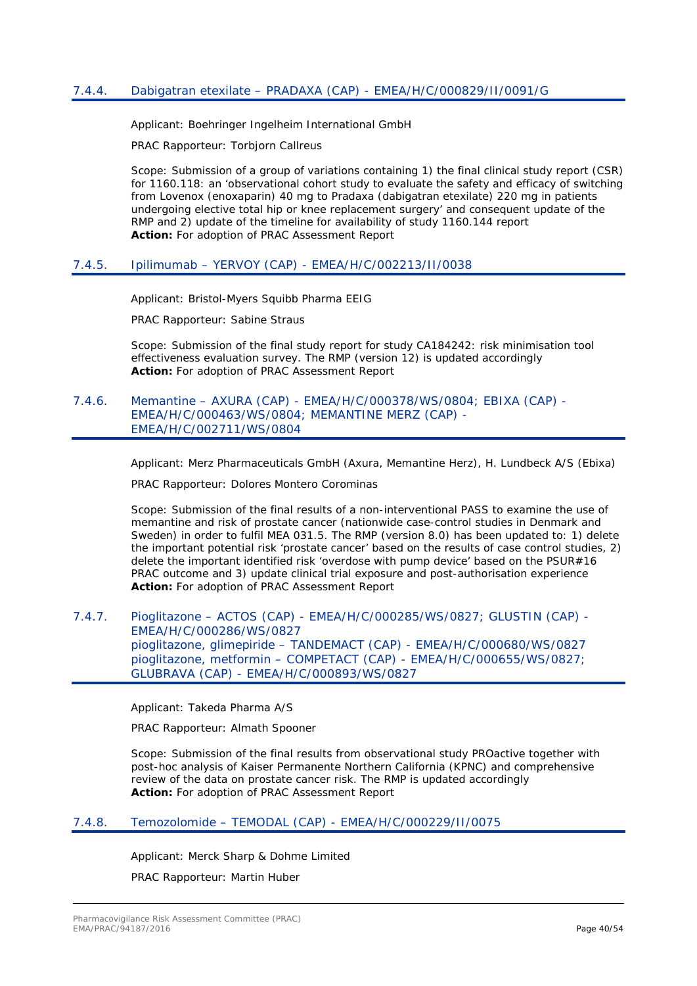### <span id="page-39-0"></span>7.4.4. Dabigatran etexilate – PRADAXA (CAP) - EMEA/H/C/000829/II/0091/G

Applicant: Boehringer Ingelheim International GmbH

PRAC Rapporteur: Torbjorn Callreus

Scope: Submission of a group of variations containing 1) the final clinical study report (CSR) for 1160.118: an 'observational cohort study to evaluate the safety and efficacy of switching from Lovenox (enoxaparin) 40 mg to Pradaxa (dabigatran etexilate) 220 mg in patients undergoing elective total hip or knee replacement surgery' and consequent update of the RMP and 2) update of the timeline for availability of study 1160.144 report **Action:** For adoption of PRAC Assessment Report

#### <span id="page-39-1"></span>7.4.5. Ipilimumab – YERVOY (CAP) - EMEA/H/C/002213/II/0038

Applicant: Bristol-Myers Squibb Pharma EEIG

PRAC Rapporteur: Sabine Straus

Scope: Submission of the final study report for study CA184242: risk minimisation tool effectiveness evaluation survey. The RMP (version 12) is updated accordingly **Action:** For adoption of PRAC Assessment Report

### <span id="page-39-2"></span>7.4.6. Memantine – AXURA (CAP) - EMEA/H/C/000378/WS/0804; EBIXA (CAP) - EMEA/H/C/000463/WS/0804; MEMANTINE MERZ (CAP) - EMEA/H/C/002711/WS/0804

Applicant: Merz Pharmaceuticals GmbH (Axura, Memantine Herz), H. Lundbeck A/S (Ebixa)

PRAC Rapporteur: Dolores Montero Corominas

Scope: Submission of the final results of a non-interventional PASS to examine the use of memantine and risk of prostate cancer (nationwide case-control studies in Denmark and Sweden) in order to fulfil MEA 031.5. The RMP (version 8.0) has been updated to: 1) delete the important potential risk 'prostate cancer' based on the results of case control studies, 2) delete the important identified risk 'overdose with pump device' based on the PSUR#16 PRAC outcome and 3) update clinical trial exposure and post-authorisation experience **Action:** For adoption of PRAC Assessment Report

### <span id="page-39-3"></span>7.4.7. Pioglitazone – ACTOS (CAP) - EMEA/H/C/000285/WS/0827; GLUSTIN (CAP) - EMEA/H/C/000286/WS/0827 pioglitazone, glimepiride – TANDEMACT (CAP) - EMEA/H/C/000680/WS/0827 pioglitazone, metformin – COMPETACT (CAP) - EMEA/H/C/000655/WS/0827; GLUBRAVA (CAP) - EMEA/H/C/000893/WS/0827

Applicant: Takeda Pharma A/S

PRAC Rapporteur: Almath Spooner

Scope: Submission of the final results from observational study PROactive together with post-hoc analysis of Kaiser Permanente Northern California (KPNC) and comprehensive review of the data on prostate cancer risk. The RMP is updated accordingly **Action:** For adoption of PRAC Assessment Report

### <span id="page-39-4"></span>7.4.8. Temozolomide – TEMODAL (CAP) - EMEA/H/C/000229/II/0075

Applicant: Merck Sharp & Dohme Limited

PRAC Rapporteur: Martin Huber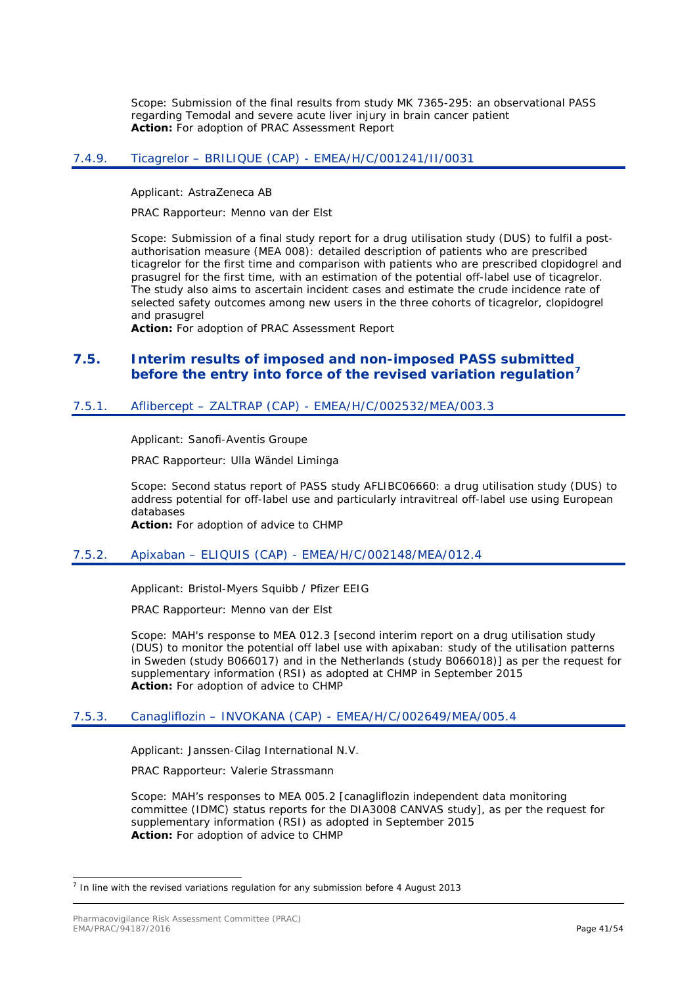Scope: Submission of the final results from study MK 7365-295: an observational PASS regarding Temodal and severe acute liver injury in brain cancer patient **Action:** For adoption of PRAC Assessment Report

### <span id="page-40-0"></span>7.4.9. Ticagrelor – BRILIQUE (CAP) - EMEA/H/C/001241/II/0031

Applicant: AstraZeneca AB

PRAC Rapporteur: Menno van der Elst

Scope: Submission of a final study report for a drug utilisation study (DUS) to fulfil a postauthorisation measure (MEA 008): detailed description of patients who are prescribed ticagrelor for the first time and comparison with patients who are prescribed clopidogrel and prasugrel for the first time, with an estimation of the potential off-label use of ticagrelor. The study also aims to ascertain incident cases and estimate the crude incidence rate of selected safety outcomes among new users in the three cohorts of ticagrelor, clopidogrel and prasugrel

**Action:** For adoption of PRAC Assessment Report

### <span id="page-40-1"></span>**7.5. Interim results of imposed and non-imposed PASS submitted before the entry into force of the revised variation regulation[7](#page-40-5)**

### <span id="page-40-2"></span>7.5.1. Aflibercept – ZALTRAP (CAP) - EMEA/H/C/002532/MEA/003.3

Applicant: Sanofi-Aventis Groupe

PRAC Rapporteur: Ulla Wändel Liminga

Scope: Second status report of PASS study AFLIBC06660: a drug utilisation study (DUS) to address potential for off-label use and particularly intravitreal off-label use using European databases

**Action:** For adoption of advice to CHMP

### <span id="page-40-3"></span>7.5.2. Apixaban – ELIQUIS (CAP) - EMEA/H/C/002148/MEA/012.4

Applicant: Bristol-Myers Squibb / Pfizer EEIG

PRAC Rapporteur: Menno van der Elst

Scope: MAH's response to MEA 012.3 [second interim report on a drug utilisation study (DUS) to monitor the potential off label use with apixaban: study of the utilisation patterns in Sweden (study B066017) and in the Netherlands (study B066018)] as per the request for supplementary information (RSI) as adopted at CHMP in September 2015 **Action:** For adoption of advice to CHMP

### <span id="page-40-4"></span>7.5.3. Canagliflozin – INVOKANA (CAP) - EMEA/H/C/002649/MEA/005.4

Applicant: Janssen-Cilag International N.V.

PRAC Rapporteur: Valerie Strassmann

Scope: MAH's responses to MEA 005.2 [canagliflozin independent data monitoring committee (IDMC) status reports for the DIA3008 CANVAS study], as per the request for supplementary information (RSI) as adopted in September 2015 **Action:** For adoption of advice to CHMP

<span id="page-40-5"></span> $<sup>7</sup>$  In line with the revised variations regulation for any submission before 4 August 2013</sup>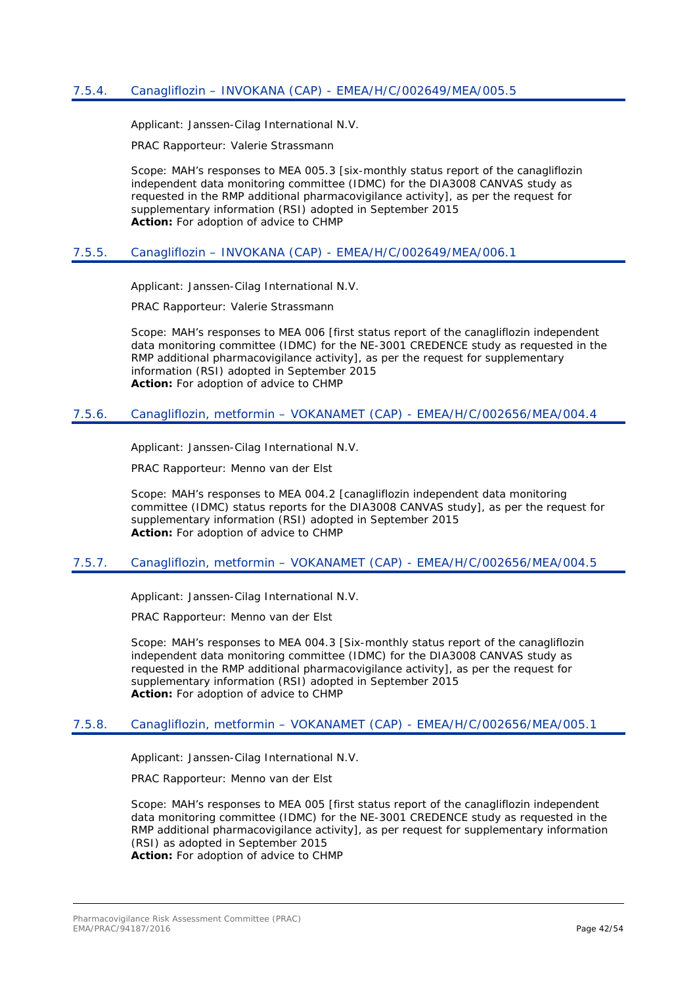<span id="page-41-0"></span>Applicant: Janssen-Cilag International N.V.

PRAC Rapporteur: Valerie Strassmann

Scope: MAH's responses to MEA 005.3 [six-monthly status report of the canagliflozin independent data monitoring committee (IDMC) for the DIA3008 CANVAS study as requested in the RMP additional pharmacovigilance activity], as per the request for supplementary information (RSI) adopted in September 2015 **Action:** For adoption of advice to CHMP

### <span id="page-41-1"></span>7.5.5. Canagliflozin – INVOKANA (CAP) - EMEA/H/C/002649/MEA/006.1

Applicant: Janssen-Cilag International N.V.

PRAC Rapporteur: Valerie Strassmann

Scope: MAH's responses to MEA 006 [first status report of the canagliflozin independent data monitoring committee (IDMC) for the NE-3001 CREDENCE study as requested in the RMP additional pharmacovigilance activity], as per the request for supplementary information (RSI) adopted in September 2015 **Action:** For adoption of advice to CHMP

### <span id="page-41-2"></span>7.5.6. Canagliflozin, metformin – VOKANAMET (CAP) - EMEA/H/C/002656/MEA/004.4

Applicant: Janssen-Cilag International N.V.

PRAC Rapporteur: Menno van der Elst

Scope: MAH's responses to MEA 004.2 [canagliflozin independent data monitoring committee (IDMC) status reports for the DIA3008 CANVAS study], as per the request for supplementary information (RSI) adopted in September 2015 **Action:** For adoption of advice to CHMP

### <span id="page-41-3"></span>7.5.7. Canagliflozin, metformin – VOKANAMET (CAP) - EMEA/H/C/002656/MEA/004.5

Applicant: Janssen-Cilag International N.V.

PRAC Rapporteur: Menno van der Elst

Scope: MAH's responses to MEA 004.3 [Six-monthly status report of the canagliflozin independent data monitoring committee (IDMC) for the DIA3008 CANVAS study as requested in the RMP additional pharmacovigilance activity], as per the request for supplementary information (RSI) adopted in September 2015 **Action:** For adoption of advice to CHMP

### <span id="page-41-4"></span>7.5.8. Canagliflozin, metformin – VOKANAMET (CAP) - EMEA/H/C/002656/MEA/005.1

Applicant: Janssen-Cilag International N.V.

PRAC Rapporteur: Menno van der Elst

Scope: MAH's responses to MEA 005 [first status report of the canagliflozin independent data monitoring committee (IDMC) for the NE-3001 CREDENCE study as requested in the RMP additional pharmacovigilance activity], as per request for supplementary information (RSI) as adopted in September 2015 **Action:** For adoption of advice to CHMP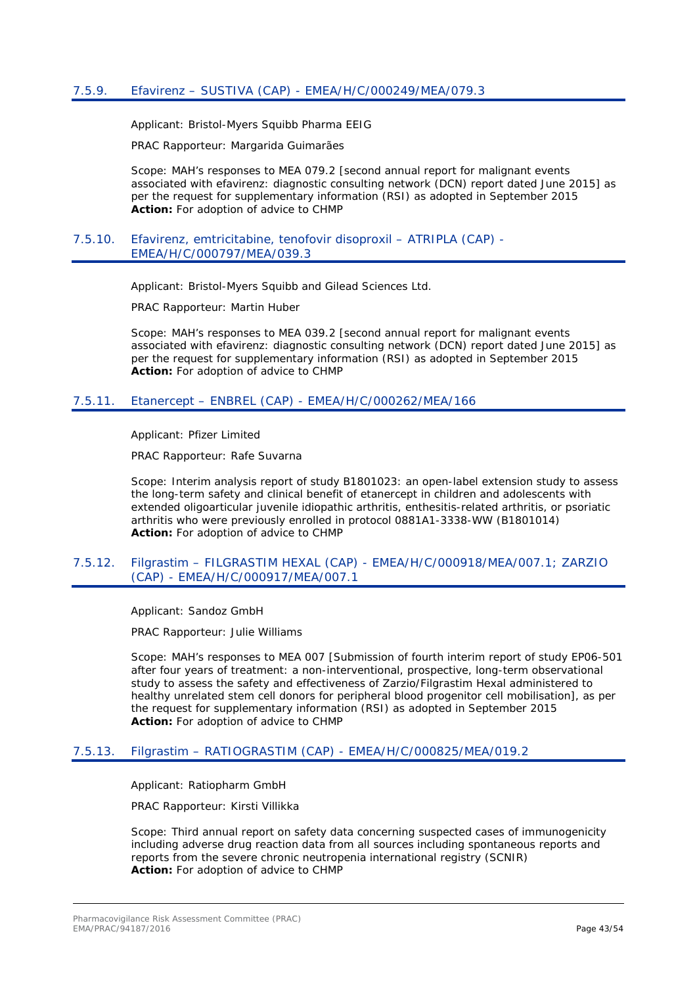<span id="page-42-0"></span>Applicant: Bristol-Myers Squibb Pharma EEIG

PRAC Rapporteur: Margarida Guimarães

Scope: MAH's responses to MEA 079.2 [second annual report for malignant events associated with efavirenz: diagnostic consulting network (DCN) report dated June 2015] as per the request for supplementary information (RSI) as adopted in September 2015 **Action:** For adoption of advice to CHMP

#### <span id="page-42-1"></span>7.5.10. Efavirenz, emtricitabine, tenofovir disoproxil – ATRIPLA (CAP) - EMEA/H/C/000797/MEA/039.3

Applicant: Bristol-Myers Squibb and Gilead Sciences Ltd.

PRAC Rapporteur: Martin Huber

Scope: MAH's responses to MEA 039.2 [second annual report for malignant events associated with efavirenz: diagnostic consulting network (DCN) report dated June 2015] as per the request for supplementary information (RSI) as adopted in September 2015 **Action:** For adoption of advice to CHMP

### <span id="page-42-2"></span>7.5.11. Etanercept – ENBREL (CAP) - EMEA/H/C/000262/MEA/166

Applicant: Pfizer Limited

PRAC Rapporteur: Rafe Suvarna

Scope: Interim analysis report of study B1801023: an open-label extension study to assess the long-term safety and clinical benefit of etanercept in children and adolescents with extended oligoarticular juvenile idiopathic arthritis, enthesitis-related arthritis, or psoriatic arthritis who were previously enrolled in protocol 0881A1-3338-WW (B1801014) **Action:** For adoption of advice to CHMP

#### <span id="page-42-3"></span>7.5.12. Filgrastim – FILGRASTIM HEXAL (CAP) - EMEA/H/C/000918/MEA/007.1; ZARZIO (CAP) - EMEA/H/C/000917/MEA/007.1

Applicant: Sandoz GmbH

PRAC Rapporteur: Julie Williams

Scope: MAH's responses to MEA 007 [Submission of fourth interim report of study EP06-501 after four years of treatment: a non-interventional, prospective, long-term observational study to assess the safety and effectiveness of Zarzio/Filgrastim Hexal administered to healthy unrelated stem cell donors for peripheral blood progenitor cell mobilisation], as per the request for supplementary information (RSI) as adopted in September 2015 **Action:** For adoption of advice to CHMP

### <span id="page-42-4"></span>7.5.13. Filgrastim – RATIOGRASTIM (CAP) - EMEA/H/C/000825/MEA/019.2

Applicant: Ratiopharm GmbH

PRAC Rapporteur: Kirsti Villikka

Scope: Third annual report on safety data concerning suspected cases of immunogenicity including adverse drug reaction data from all sources including spontaneous reports and reports from the severe chronic neutropenia international registry (SCNIR) **Action:** For adoption of advice to CHMP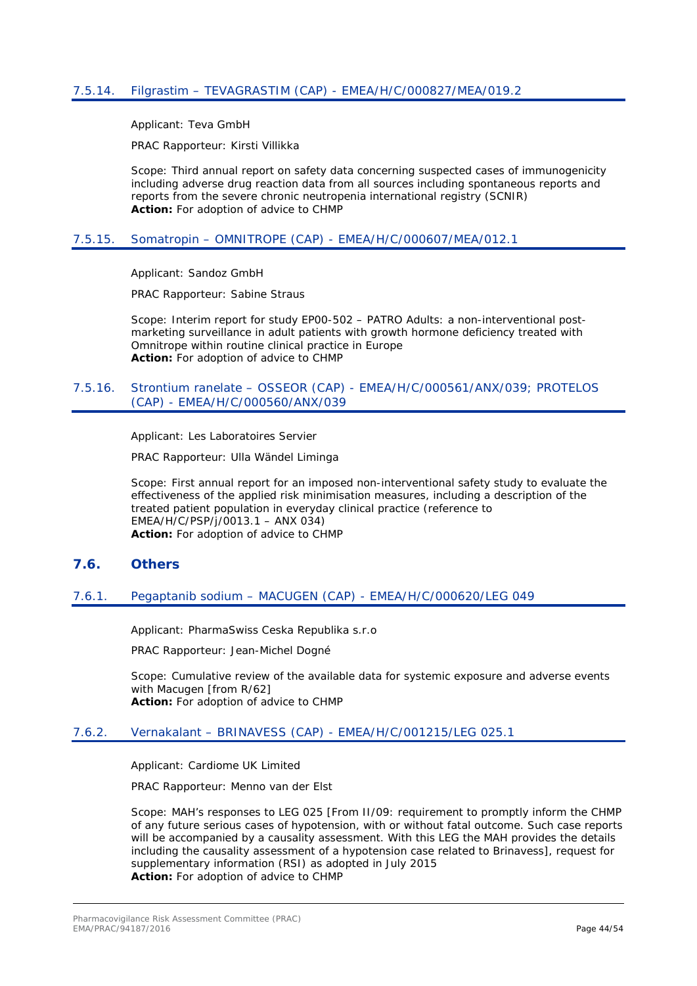<span id="page-43-0"></span>Applicant: Teva GmbH

PRAC Rapporteur: Kirsti Villikka

Scope: Third annual report on safety data concerning suspected cases of immunogenicity including adverse drug reaction data from all sources including spontaneous reports and reports from the severe chronic neutropenia international registry (SCNIR) **Action:** For adoption of advice to CHMP

### <span id="page-43-1"></span>7.5.15. Somatropin – OMNITROPE (CAP) - EMEA/H/C/000607/MEA/012.1

Applicant: Sandoz GmbH

PRAC Rapporteur: Sabine Straus

Scope: Interim report for study EP00-502 – PATRO Adults: a non-interventional postmarketing surveillance in adult patients with growth hormone deficiency treated with Omnitrope within routine clinical practice in Europe **Action:** For adoption of advice to CHMP

#### <span id="page-43-2"></span>7.5.16. Strontium ranelate – OSSEOR (CAP) - EMEA/H/C/000561/ANX/039; PROTELOS (CAP) - EMEA/H/C/000560/ANX/039

Applicant: Les Laboratoires Servier

PRAC Rapporteur: Ulla Wändel Liminga

Scope: First annual report for an imposed non-interventional safety study to evaluate the effectiveness of the applied risk minimisation measures, including a description of the treated patient population in everyday clinical practice (reference to EMEA/H/C/PSP/j/0013.1 – ANX 034) **Action:** For adoption of advice to CHMP

### <span id="page-43-3"></span>**7.6. Others**

### <span id="page-43-4"></span>7.6.1. Pegaptanib sodium – MACUGEN (CAP) - EMEA/H/C/000620/LEG 049

Applicant: PharmaSwiss Ceska Republika s.r.o

PRAC Rapporteur: Jean-Michel Dogné

Scope: Cumulative review of the available data for systemic exposure and adverse events with Macugen [from R/62] **Action:** For adoption of advice to CHMP

### <span id="page-43-5"></span>7.6.2. Vernakalant – BRINAVESS (CAP) - EMEA/H/C/001215/LEG 025.1

Applicant: Cardiome UK Limited

PRAC Rapporteur: Menno van der Elst

Scope: MAH's responses to LEG 025 [From II/09: requirement to promptly inform the CHMP of any future serious cases of hypotension, with or without fatal outcome. Such case reports will be accompanied by a causality assessment. With this LEG the MAH provides the details including the causality assessment of a hypotension case related to Brinavess], request for supplementary information (RSI) as adopted in July 2015 **Action:** For adoption of advice to CHMP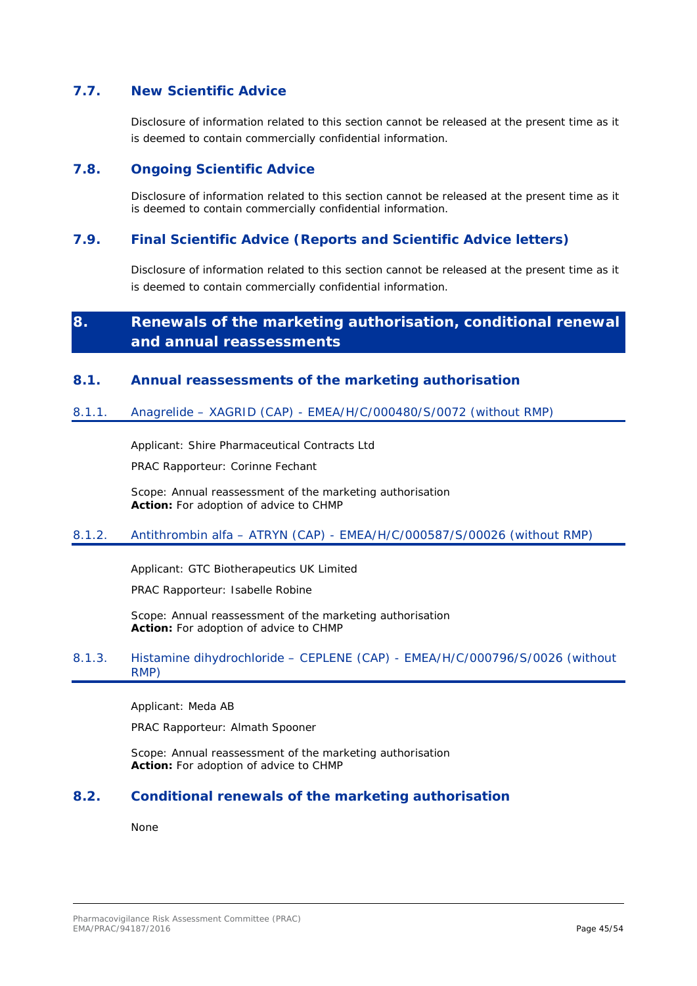### <span id="page-44-0"></span>**7.7. New Scientific Advice**

Disclosure of information related to this section cannot be released at the present time as it is deemed to contain commercially confidential information.

### <span id="page-44-1"></span>**7.8. Ongoing Scientific Advice**

Disclosure of information related to this section cannot be released at the present time as it is deemed to contain commercially confidential information.

### <span id="page-44-2"></span>**7.9. Final Scientific Advice (Reports and Scientific Advice letters)**

Disclosure of information related to this section cannot be released at the present time as it is deemed to contain commercially confidential information.

# <span id="page-44-3"></span>**8. Renewals of the marketing authorisation, conditional renewal and annual reassessments**

### <span id="page-44-4"></span>**8.1. Annual reassessments of the marketing authorisation**

### <span id="page-44-5"></span>8.1.1. Anagrelide – XAGRID (CAP) - EMEA/H/C/000480/S/0072 (without RMP)

Applicant: Shire Pharmaceutical Contracts Ltd

PRAC Rapporteur: Corinne Fechant

Scope: Annual reassessment of the marketing authorisation **Action:** For adoption of advice to CHMP

### <span id="page-44-6"></span>8.1.2. Antithrombin alfa – ATRYN (CAP) - EMEA/H/C/000587/S/00026 (without RMP)

Applicant: GTC Biotherapeutics UK Limited

PRAC Rapporteur: Isabelle Robine

Scope: Annual reassessment of the marketing authorisation **Action:** For adoption of advice to CHMP

### <span id="page-44-7"></span>8.1.3. Histamine dihydrochloride – CEPLENE (CAP) - EMEA/H/C/000796/S/0026 (without RMP)

Applicant: Meda AB

PRAC Rapporteur: Almath Spooner

Scope: Annual reassessment of the marketing authorisation **Action:** For adoption of advice to CHMP

### <span id="page-44-8"></span>**8.2. Conditional renewals of the marketing authorisation**

None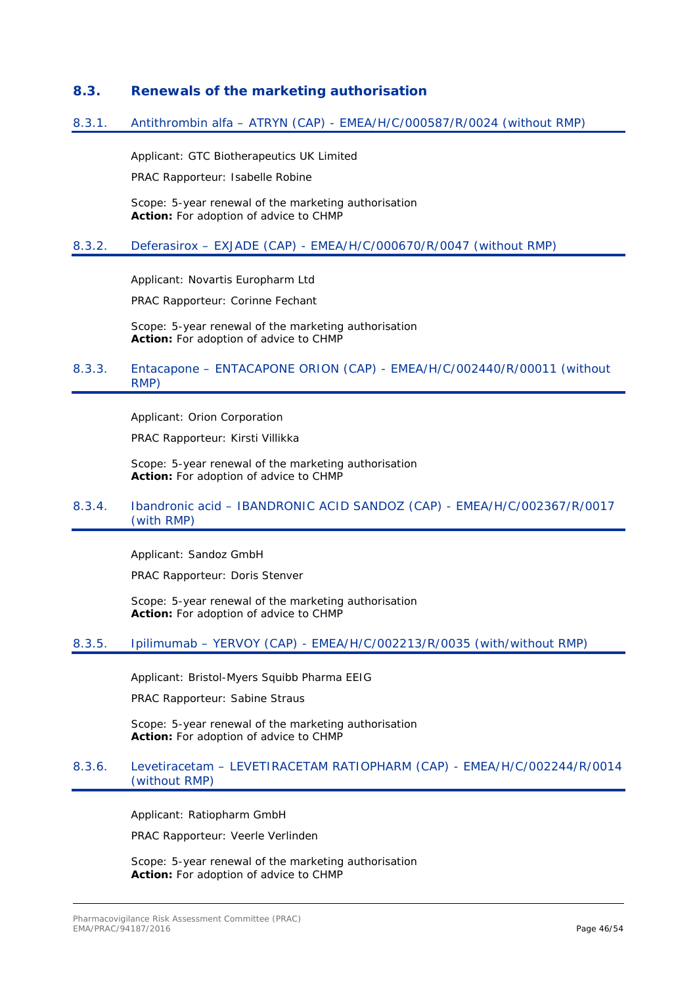### <span id="page-45-0"></span>**8.3. Renewals of the marketing authorisation**

#### <span id="page-45-1"></span>8.3.1. Antithrombin alfa – ATRYN (CAP) - EMEA/H/C/000587/R/0024 (without RMP)

Applicant: GTC Biotherapeutics UK Limited

PRAC Rapporteur: Isabelle Robine

Scope: 5-year renewal of the marketing authorisation **Action:** For adoption of advice to CHMP

#### <span id="page-45-2"></span>8.3.2. Deferasirox – EXJADE (CAP) - EMEA/H/C/000670/R/0047 (without RMP)

Applicant: Novartis Europharm Ltd

PRAC Rapporteur: Corinne Fechant

Scope: 5-year renewal of the marketing authorisation **Action:** For adoption of advice to CHMP

### <span id="page-45-3"></span>8.3.3. Entacapone – ENTACAPONE ORION (CAP) - EMEA/H/C/002440/R/00011 (without RMP)

Applicant: Orion Corporation

PRAC Rapporteur: Kirsti Villikka

Scope: 5-year renewal of the marketing authorisation **Action:** For adoption of advice to CHMP

### <span id="page-45-4"></span>8.3.4. Ibandronic acid – IBANDRONIC ACID SANDOZ (CAP) - EMEA/H/C/002367/R/0017 (with RMP)

Applicant: Sandoz GmbH

PRAC Rapporteur: Doris Stenver

Scope: 5-year renewal of the marketing authorisation **Action:** For adoption of advice to CHMP

#### <span id="page-45-5"></span>8.3.5. Ipilimumab – YERVOY (CAP) - EMEA/H/C/002213/R/0035 (with/without RMP)

Applicant: Bristol-Myers Squibb Pharma EEIG

PRAC Rapporteur: Sabine Straus

Scope: 5-year renewal of the marketing authorisation **Action:** For adoption of advice to CHMP

### <span id="page-45-6"></span>8.3.6. Levetiracetam – LEVETIRACETAM RATIOPHARM (CAP) - EMEA/H/C/002244/R/0014 (without RMP)

Applicant: Ratiopharm GmbH

PRAC Rapporteur: Veerle Verlinden

Scope: 5-year renewal of the marketing authorisation **Action:** For adoption of advice to CHMP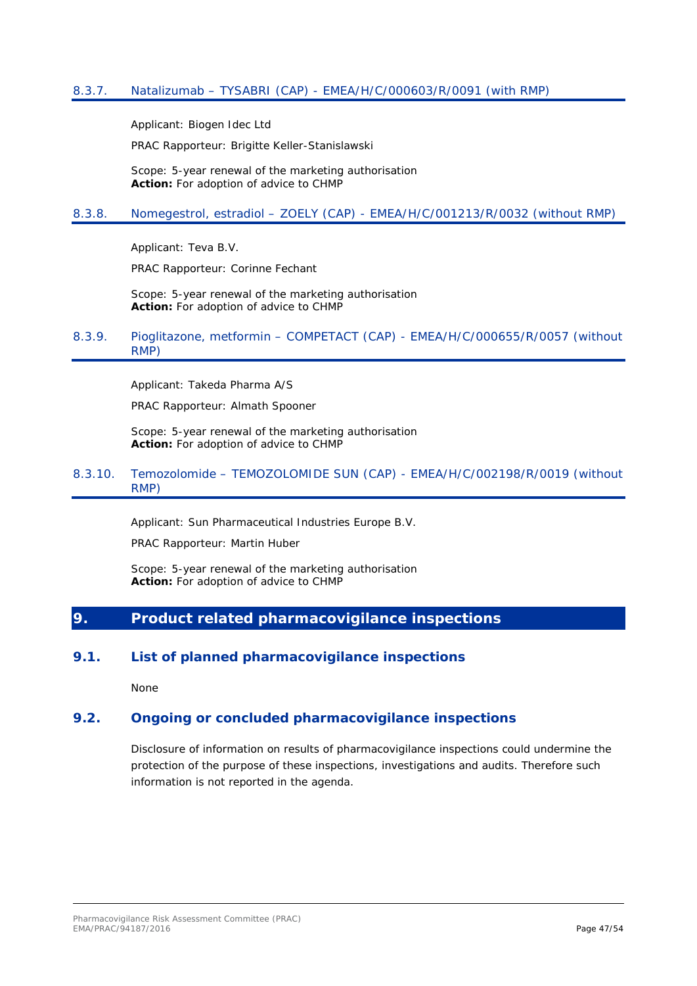<span id="page-46-0"></span>Applicant: Biogen Idec Ltd

PRAC Rapporteur: Brigitte Keller-Stanislawski

Scope: 5-year renewal of the marketing authorisation **Action:** For adoption of advice to CHMP

### <span id="page-46-1"></span>8.3.8. Nomegestrol, estradiol – ZOELY (CAP) - EMEA/H/C/001213/R/0032 (without RMP)

Applicant: Teva B.V.

PRAC Rapporteur: Corinne Fechant

Scope: 5-year renewal of the marketing authorisation **Action:** For adoption of advice to CHMP

#### <span id="page-46-2"></span>8.3.9. Pioglitazone, metformin – COMPETACT (CAP) - EMEA/H/C/000655/R/0057 (without RMP)

Applicant: Takeda Pharma A/S

PRAC Rapporteur: Almath Spooner

Scope: 5-year renewal of the marketing authorisation **Action:** For adoption of advice to CHMP

### <span id="page-46-3"></span>8.3.10. Temozolomide – TEMOZOLOMIDE SUN (CAP) - EMEA/H/C/002198/R/0019 (without RMP)

Applicant: Sun Pharmaceutical Industries Europe B.V.

PRAC Rapporteur: Martin Huber

Scope: 5-year renewal of the marketing authorisation **Action:** For adoption of advice to CHMP

## <span id="page-46-4"></span>**9. Product related pharmacovigilance inspections**

### <span id="page-46-5"></span>**9.1. List of planned pharmacovigilance inspections**

None

### <span id="page-46-6"></span>**9.2. Ongoing or concluded pharmacovigilance inspections**

Disclosure of information on results of pharmacovigilance inspections could undermine the protection of the purpose of these inspections, investigations and audits. Therefore such information is not reported in the agenda.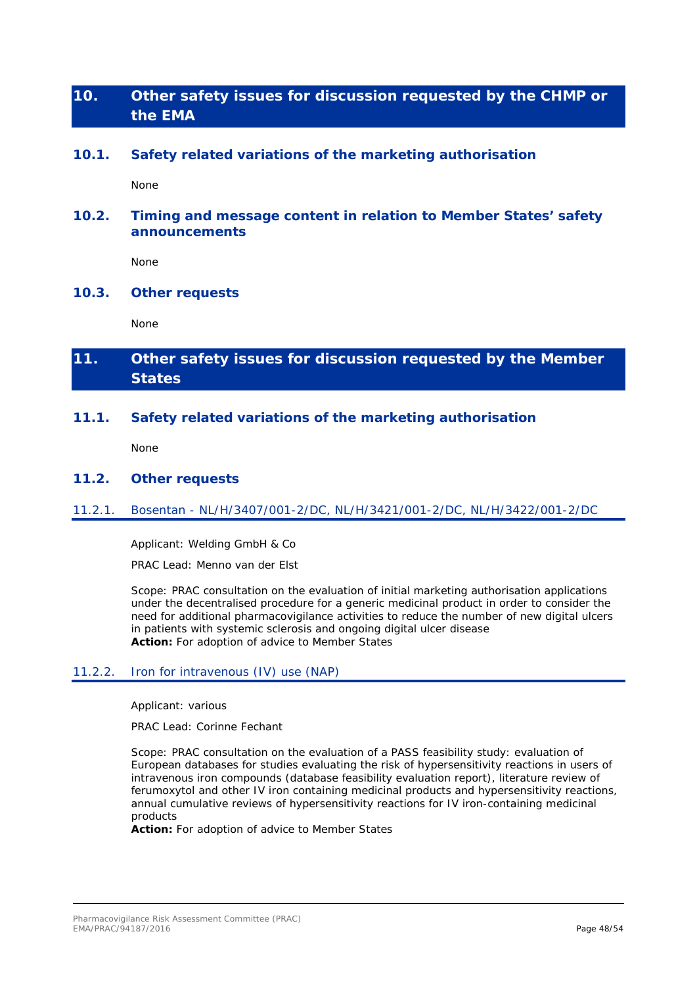# <span id="page-47-0"></span>**10. Other safety issues for discussion requested by the CHMP or the EMA**

### <span id="page-47-1"></span>**10.1. Safety related variations of the marketing authorisation**

None

### <span id="page-47-2"></span>**10.2. Timing and message content in relation to Member States' safety announcements**

None

### <span id="page-47-3"></span>**10.3. Other requests**

None

# <span id="page-47-4"></span>**11. Other safety issues for discussion requested by the Member States**

### <span id="page-47-5"></span>**11.1. Safety related variations of the marketing authorisation**

None

### <span id="page-47-6"></span>**11.2. Other requests**

### <span id="page-47-7"></span>11.2.1. Bosentan - NL/H/3407/001-2/DC, NL/H/3421/001-2/DC, NL/H/3422/001-2/DC

Applicant: Welding GmbH & Co

PRAC Lead: Menno van der Elst

Scope: PRAC consultation on the evaluation of initial marketing authorisation applications under the decentralised procedure for a generic medicinal product in order to consider the need for additional pharmacovigilance activities to reduce the number of new digital ulcers in patients with systemic sclerosis and ongoing digital ulcer disease **Action:** For adoption of advice to Member States

#### <span id="page-47-8"></span>11.2.2. Iron for intravenous (IV) use (NAP)

Applicant: various

PRAC Lead: Corinne Fechant

Scope: PRAC consultation on the evaluation of a PASS feasibility study: evaluation of European databases for studies evaluating the risk of hypersensitivity reactions in users of intravenous iron compounds (database feasibility evaluation report), literature review of ferumoxytol and other IV iron containing medicinal products and hypersensitivity reactions, annual cumulative reviews of hypersensitivity reactions for IV iron-containing medicinal products

**Action:** For adoption of advice to Member States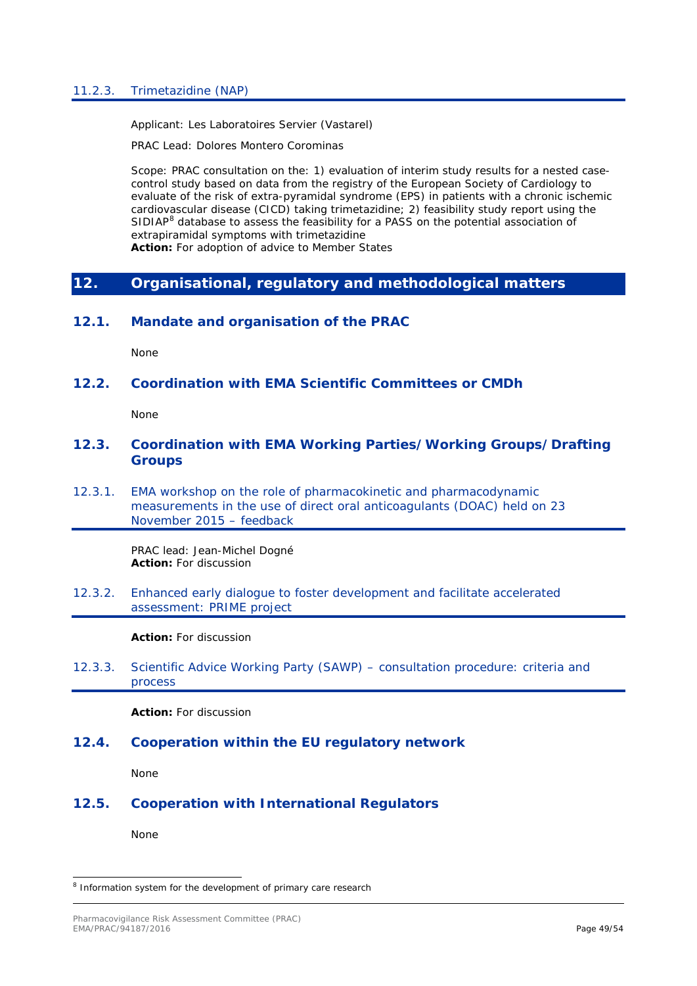### <span id="page-48-0"></span>11.2.3. Trimetazidine (NAP)

Applicant: Les Laboratoires Servier (Vastarel)

PRAC Lead: Dolores Montero Corominas

Scope: PRAC consultation on the: 1) evaluation of interim study results for a nested casecontrol study based on data from the registry of the European Society of Cardiology to evaluate of the risk of extra-pyramidal syndrome (EPS) in patients with a chronic ischemic cardiovascular disease (CICD) taking trimetazidine; 2) feasibility study report using the SIDIAP<sup>[8](#page-48-10)</sup> database to assess the feasibility for a PASS on the potential association of extrapiramidal symptoms with trimetazidine

**Action:** For adoption of advice to Member States

### <span id="page-48-1"></span>**12. Organisational, regulatory and methodological matters**

### <span id="page-48-2"></span>**12.1. Mandate and organisation of the PRAC**

None

### <span id="page-48-3"></span>**12.2. Coordination with EMA Scientific Committees or CMDh**

None

### <span id="page-48-4"></span>**12.3. Coordination with EMA Working Parties/Working Groups/Drafting Groups**

<span id="page-48-5"></span>12.3.1. EMA workshop on the role of pharmacokinetic and pharmacodynamic measurements in the use of direct oral anticoagulants (DOAC) held on 23 November 2015 – feedback

> PRAC lead: Jean-Michel Dogné **Action:** For discussion

<span id="page-48-6"></span>12.3.2. Enhanced early dialogue to foster development and facilitate accelerated assessment: PRIME project

**Action:** For discussion

<span id="page-48-7"></span>12.3.3. Scientific Advice Working Party (SAWP) – consultation procedure: criteria and process

**Action:** For discussion

### <span id="page-48-8"></span>**12.4. Cooperation within the EU regulatory network**

None

### <span id="page-48-9"></span>**12.5. Cooperation with International Regulators**

None

<span id="page-48-10"></span><sup>&</sup>lt;sup>8</sup> Information system for the development of primary care research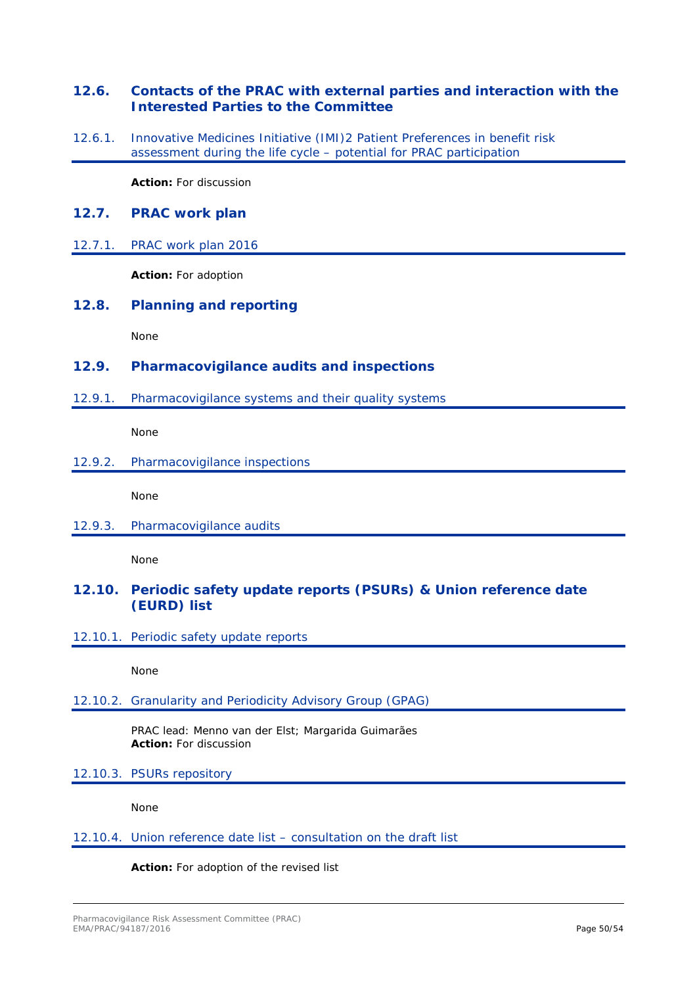### <span id="page-49-0"></span>**12.6. Contacts of the PRAC with external parties and interaction with the Interested Parties to the Committee**

<span id="page-49-1"></span>12.6.1. Innovative Medicines Initiative (IMI)2 Patient Preferences in benefit risk assessment during the life cycle – potential for PRAC participation

**Action:** For discussion

### <span id="page-49-2"></span>**12.7. PRAC work plan**

### <span id="page-49-3"></span>12.7.1. PRAC work plan 2016

**Action:** For adoption

### <span id="page-49-4"></span>**12.8. Planning and reporting**

None

### <span id="page-49-5"></span>**12.9. Pharmacovigilance audits and inspections**

<span id="page-49-6"></span>12.9.1. Pharmacovigilance systems and their quality systems

None

### <span id="page-49-7"></span>12.9.2. Pharmacovigilance inspections

None

<span id="page-49-8"></span>12.9.3. Pharmacovigilance audits

None

### <span id="page-49-9"></span>**12.10. Periodic safety update reports (PSURs) & Union reference date (EURD) list**

<span id="page-49-10"></span>12.10.1. Periodic safety update reports

None

### <span id="page-49-11"></span>12.10.2. Granularity and Periodicity Advisory Group (GPAG)

PRAC lead: Menno van der Elst; Margarida Guimarães **Action:** For discussion

### <span id="page-49-12"></span>12.10.3. PSURs repository

None

#### <span id="page-49-13"></span>12.10.4. Union reference date list – consultation on the draft list

#### **Action:** For adoption of the revised list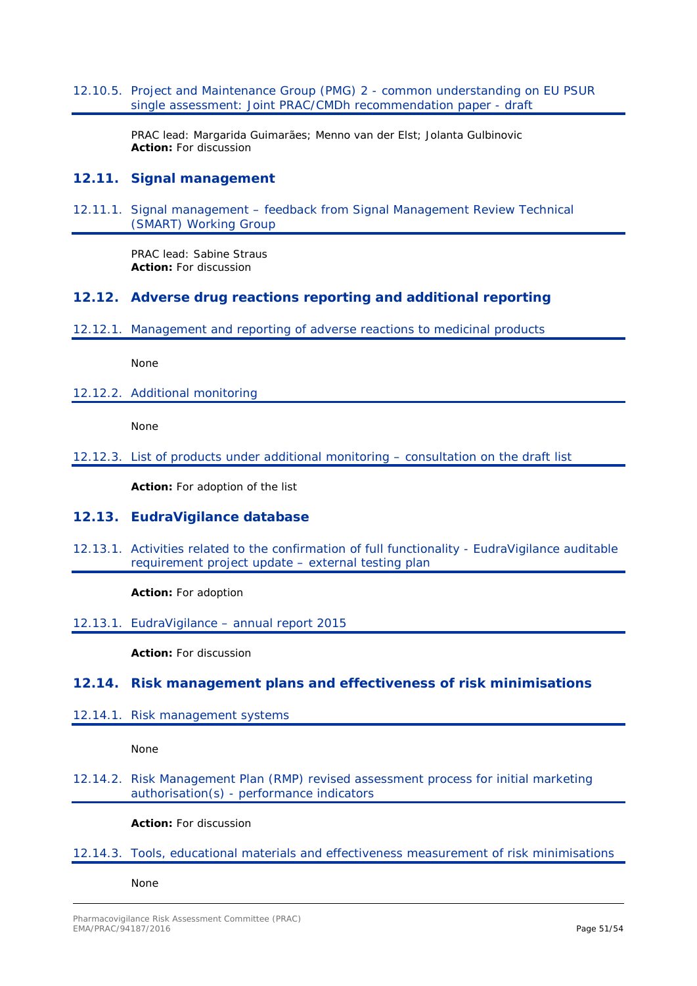<span id="page-50-0"></span>12.10.5. Project and Maintenance Group (PMG) 2 - common understanding on EU PSUR single assessment: Joint PRAC/CMDh recommendation paper - draft

> PRAC lead: Margarida Guimarães; Menno van der Elst; Jolanta Gulbinovic **Action:** For discussion

### <span id="page-50-1"></span>**12.11. Signal management**

<span id="page-50-2"></span>12.11.1. Signal management – feedback from Signal Management Review Technical (SMART) Working Group

> PRAC lead: Sabine Straus **Action:** For discussion

### <span id="page-50-3"></span>**12.12. Adverse drug reactions reporting and additional reporting**

<span id="page-50-4"></span>12.12.1. Management and reporting of adverse reactions to medicinal products

None

<span id="page-50-5"></span>12.12.2. Additional monitoring

None

<span id="page-50-6"></span>12.12.3. List of products under additional monitoring – consultation on the draft list

**Action:** For adoption of the list

### <span id="page-50-7"></span>**12.13. EudraVigilance database**

<span id="page-50-8"></span>12.13.1. Activities related to the confirmation of full functionality - EudraVigilance auditable requirement project update – external testing plan

**Action:** For adoption

<span id="page-50-9"></span>12.13.1. EudraVigilance – annual report 2015

**Action:** For discussion

### <span id="page-50-10"></span>**12.14. Risk management plans and effectiveness of risk minimisations**

<span id="page-50-11"></span>12.14.1. Risk management systems

None

<span id="page-50-12"></span>12.14.2. Risk Management Plan (RMP) revised assessment process for initial marketing authorisation(s) - performance indicators

**Action:** For discussion

<span id="page-50-13"></span>12.14.3. Tools, educational materials and effectiveness measurement of risk minimisations

None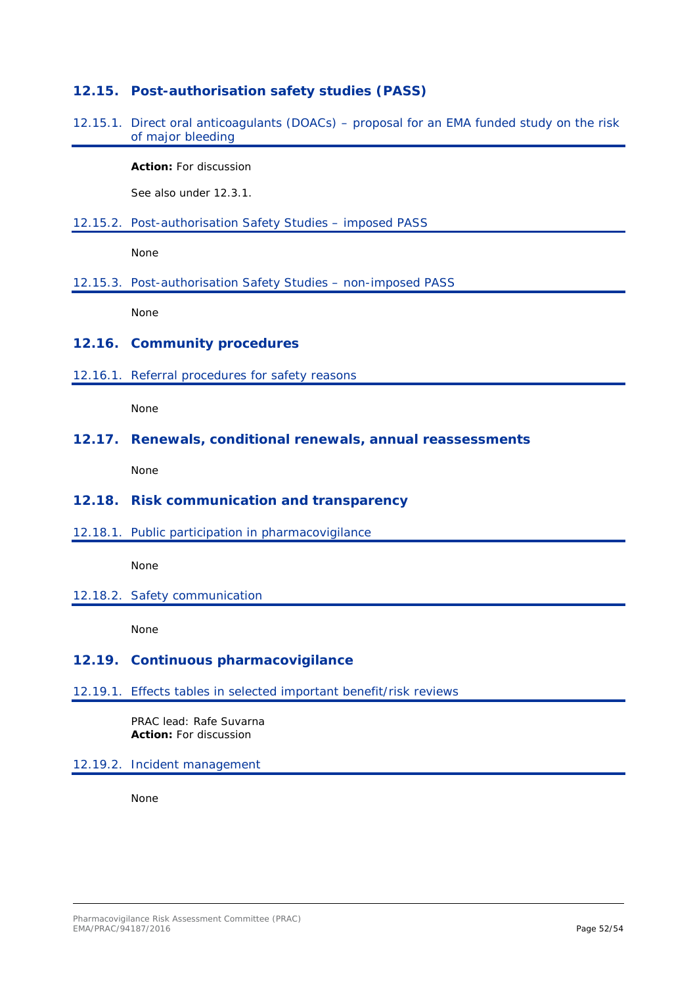### <span id="page-51-0"></span>**12.15. Post-authorisation safety studies (PASS)**

<span id="page-51-1"></span>12.15.1. Direct oral anticoagulants (DOACs) – proposal for an EMA funded study on the risk of major bleeding

**Action:** For discussion

See also under [12.3.1.](#page-48-5) 

<span id="page-51-2"></span>12.15.2. Post-authorisation Safety Studies – imposed PASS

None

<span id="page-51-3"></span>12.15.3. Post-authorisation Safety Studies – non-imposed PASS

None

### <span id="page-51-4"></span>**12.16. Community procedures**

<span id="page-51-5"></span>12.16.1. Referral procedures for safety reasons

None

#### <span id="page-51-6"></span>**12.17. Renewals, conditional renewals, annual reassessments**

None

### <span id="page-51-7"></span>**12.18. Risk communication and transparency**

<span id="page-51-8"></span>12.18.1. Public participation in pharmacovigilance

None

<span id="page-51-9"></span>12.18.2. Safety communication

None

### <span id="page-51-10"></span>**12.19. Continuous pharmacovigilance**

<span id="page-51-11"></span>12.19.1. Effects tables in selected important benefit/risk reviews

PRAC lead: Rafe Suvarna **Action:** For discussion

### <span id="page-51-12"></span>12.19.2. Incident management

None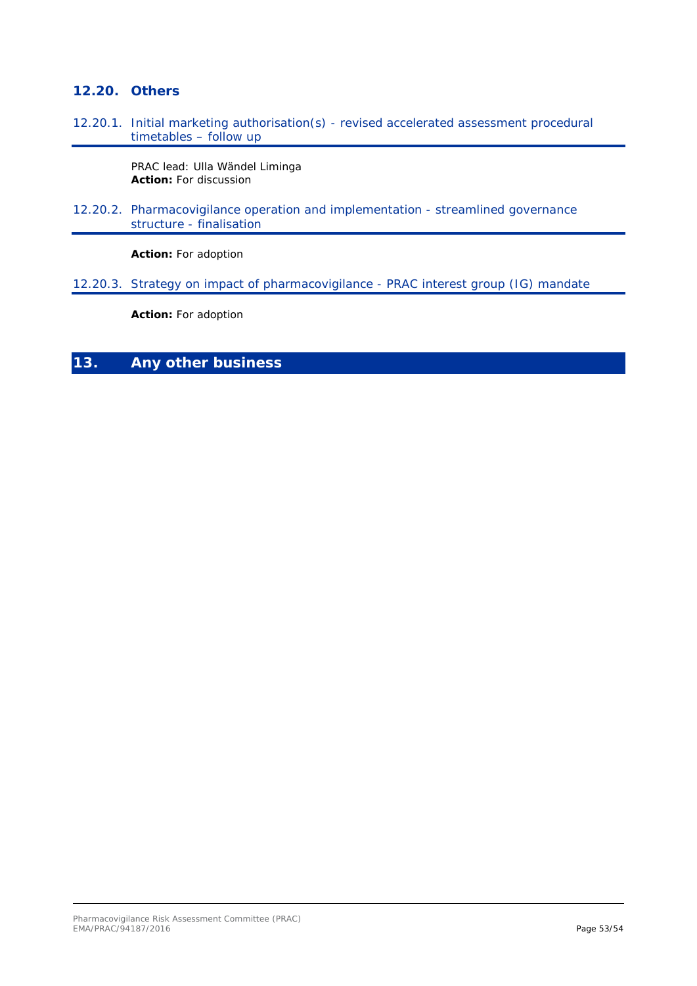### <span id="page-52-0"></span>**12.20. Others**

<span id="page-52-1"></span>12.20.1. Initial marketing authorisation(s) - revised accelerated assessment procedural timetables – follow up

> PRAC lead: Ulla Wändel Liminga **Action:** For discussion

<span id="page-52-2"></span>12.20.2. Pharmacovigilance operation and implementation - streamlined governance structure - finalisation

**Action:** For adoption

<span id="page-52-3"></span>12.20.3. Strategy on impact of pharmacovigilance - PRAC interest group (IG) mandate

**Action:** For adoption

## <span id="page-52-4"></span>**13. Any other business**